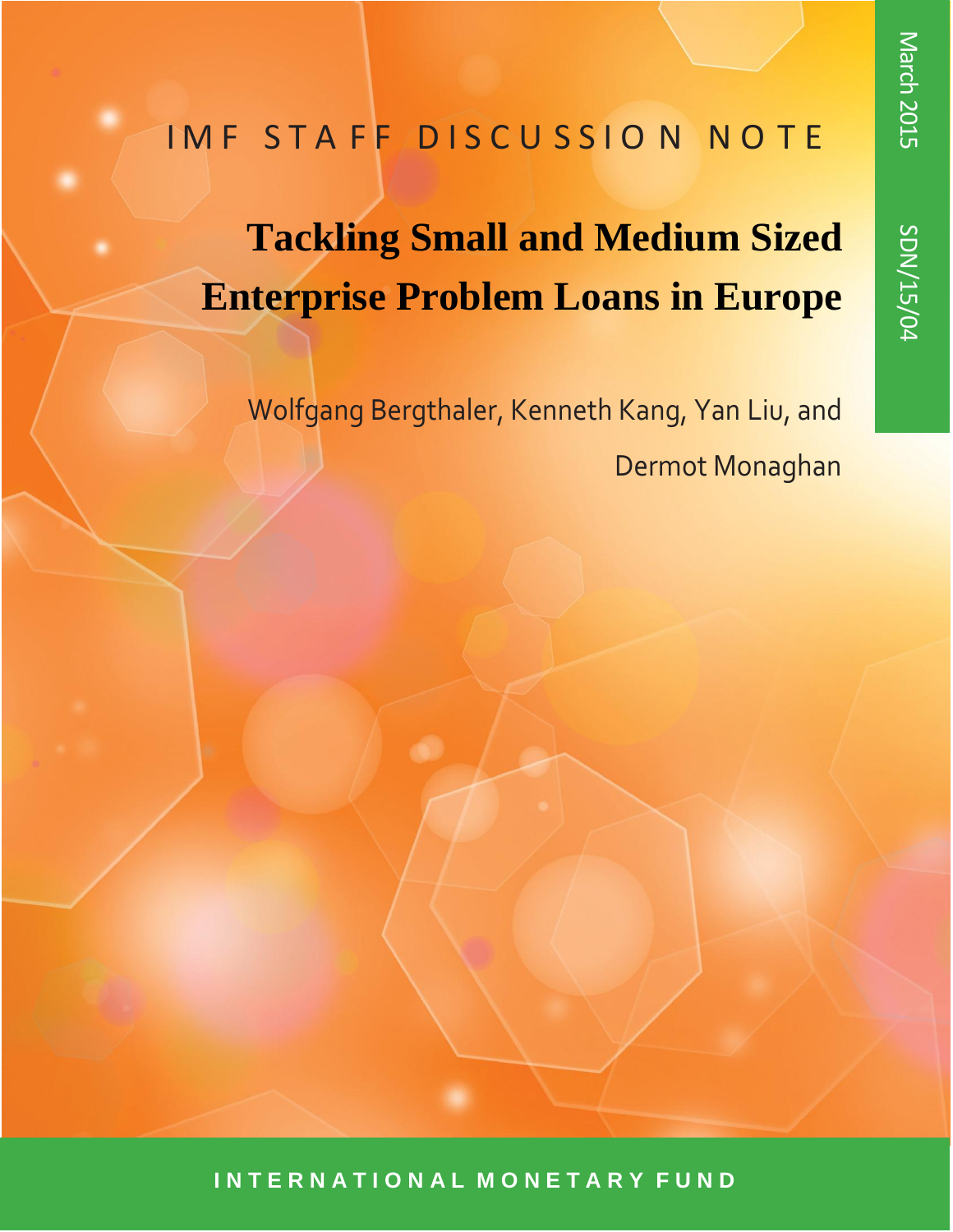# SDN/15 /04

## IMF STAFF DISCUSSION NOTE

# **Tackling Small and Medium Sized Enterprise Problem Loans in Europe**

Wolfgang Bergthaler, Kenneth Kang, Yan Liu, and Dermot Monaghan

**I N T E R N A T I O N A L M O N E T A R Y F U N D**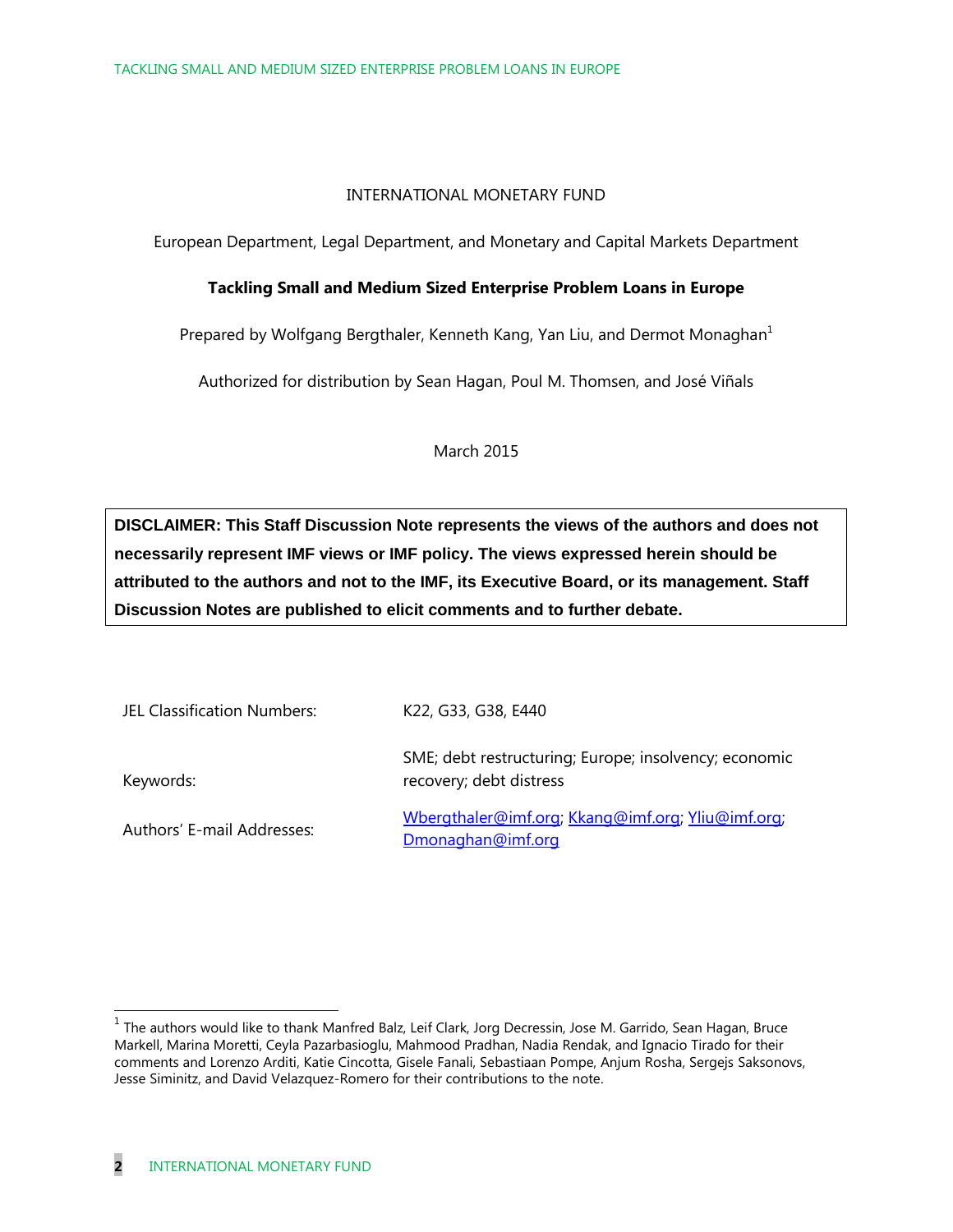#### INTERNATIONAL MONETARY FUND

European Department, Legal Department, and Monetary and Capital Markets Department

#### **Tackling Small and Medium Sized Enterprise Problem Loans in Europe**

Prepared by Wolfgang Bergthaler, Kenneth Kang, Yan Liu, and Dermot Monaghan<sup>1</sup>

Authorized for distribution by Sean Hagan, Poul M. Thomsen, and José Viñals

March 2015

**DISCLAIMER: This Staff Discussion Note represents the views of the authors and does not necessarily represent IMF views or IMF policy. The views expressed herein should be attributed to the authors and not to the IMF, its Executive Board, or its management. Staff Discussion Notes are published to elicit comments and to further debate.**

| JEL Classification Numbers: | K22, G33, G38, E440                                                              |
|-----------------------------|----------------------------------------------------------------------------------|
| Keywords:                   | SME; debt restructuring; Europe; insolvency; economic<br>recovery; debt distress |
| Authors' E-mail Addresses:  | Wbergthaler@imf.org; Kkang@imf.org; Yliu@imf.org;<br>Dmonaghan@imf.org           |

 1 The authors would like to thank Manfred Balz, Leif Clark, Jorg Decressin, Jose M. Garrido, Sean Hagan, Bruce Markell, Marina Moretti, Ceyla Pazarbasioglu, Mahmood Pradhan, Nadia Rendak, and Ignacio Tirado for their comments and Lorenzo Arditi, Katie Cincotta, Gisele Fanali, Sebastiaan Pompe, Anjum Rosha, Sergejs Saksonovs, Jesse Siminitz, and David Velazquez-Romero for their contributions to the note.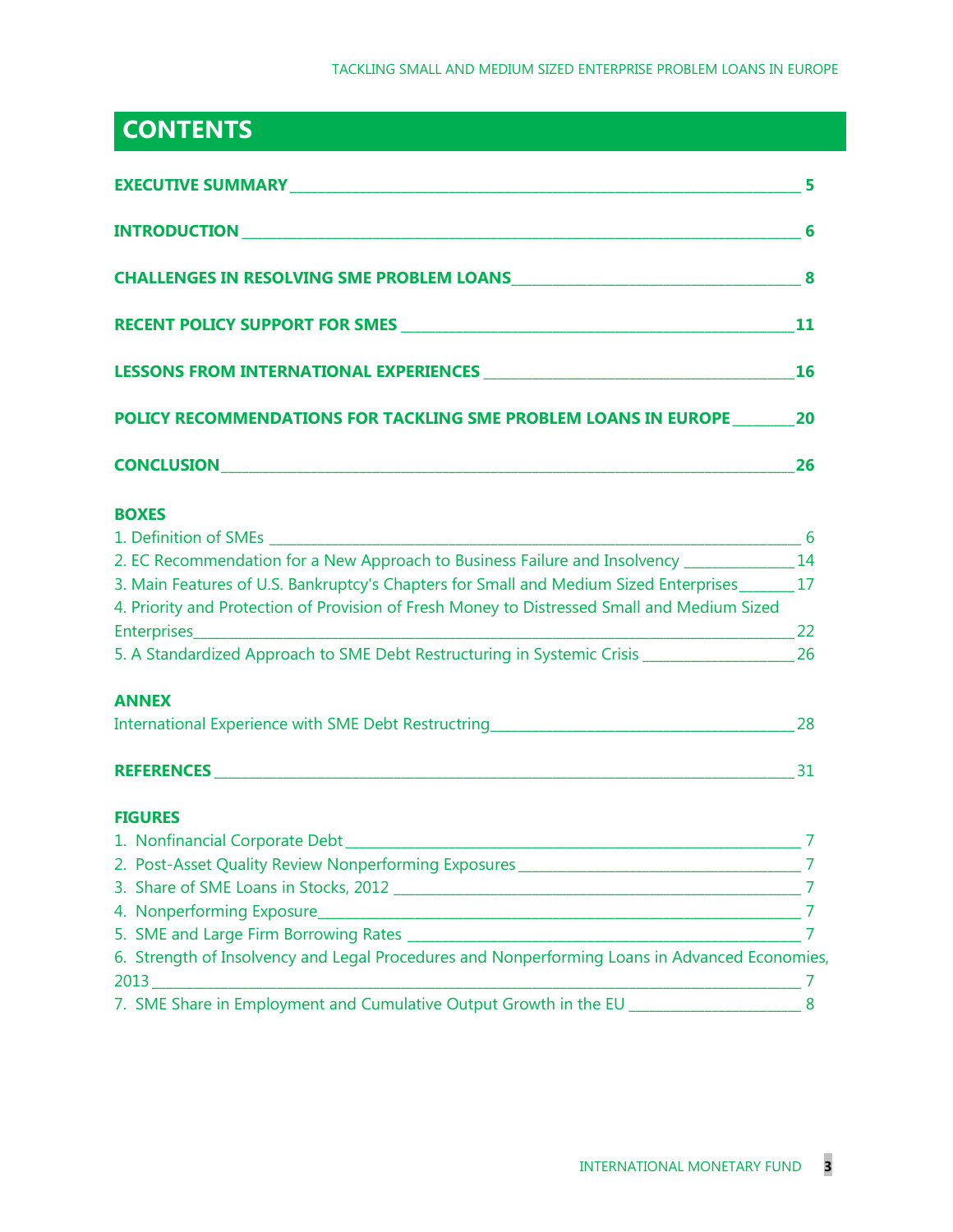### **CONTENTS**

| POLICY RECOMMENDATIONS FOR TACKLING SME PROBLEM LOANS IN EUROPE 20                                      |    |  |
|---------------------------------------------------------------------------------------------------------|----|--|
|                                                                                                         | 26 |  |
| <b>BOXES</b>                                                                                            |    |  |
|                                                                                                         |    |  |
| 2. EC Recommendation for a New Approach to Business Failure and Insolvency ______________ 14            |    |  |
| 3. Main Features of U.S. Bankruptcy's Chapters for Small and Medium Sized Enterprises_______ 17         |    |  |
| 4. Priority and Protection of Provision of Fresh Money to Distressed Small and Medium Sized             |    |  |
| 5. A Standardized Approach to SME Debt Restructuring in Systemic Crisis ____________________________ 26 |    |  |
| <b>ANNEX</b>                                                                                            |    |  |
|                                                                                                         |    |  |
|                                                                                                         |    |  |
| <b>FIGURES</b>                                                                                          |    |  |
|                                                                                                         |    |  |
|                                                                                                         |    |  |
|                                                                                                         |    |  |
|                                                                                                         | 7  |  |
|                                                                                                         | 7  |  |
| 6. Strength of Insolvency and Legal Procedures and Nonperforming Loans in Advanced Economies,           |    |  |
|                                                                                                         | 7  |  |
| 7. SME Share in Employment and Cumulative Output Growth in the EU _______________                       | 8  |  |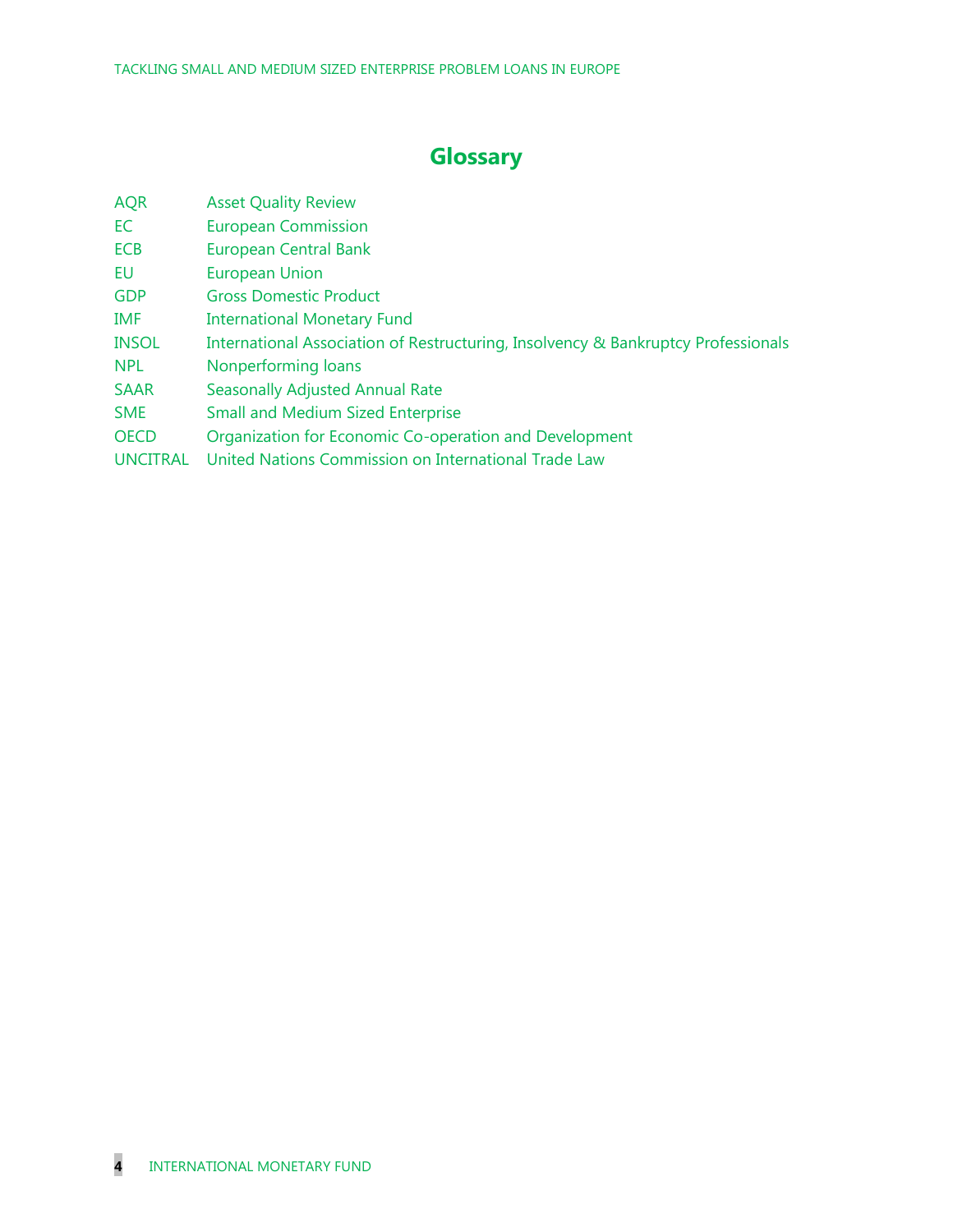### **Glossary**

| <b>AQR</b>      | <b>Asset Quality Review</b>                                                       |
|-----------------|-----------------------------------------------------------------------------------|
| EC              | <b>European Commission</b>                                                        |
| <b>ECB</b>      | <b>European Central Bank</b>                                                      |
| EU              | <b>European Union</b>                                                             |
| <b>GDP</b>      | <b>Gross Domestic Product</b>                                                     |
| <b>IMF</b>      | <b>International Monetary Fund</b>                                                |
| <b>INSOL</b>    | International Association of Restructuring, Insolvency & Bankruptcy Professionals |
| <b>NPL</b>      | Nonperforming loans                                                               |
| <b>SAAR</b>     | <b>Seasonally Adjusted Annual Rate</b>                                            |
| <b>SME</b>      | <b>Small and Medium Sized Enterprise</b>                                          |
| <b>OECD</b>     | Organization for Economic Co-operation and Development                            |
| <b>UNCITRAL</b> | United Nations Commission on International Trade Law                              |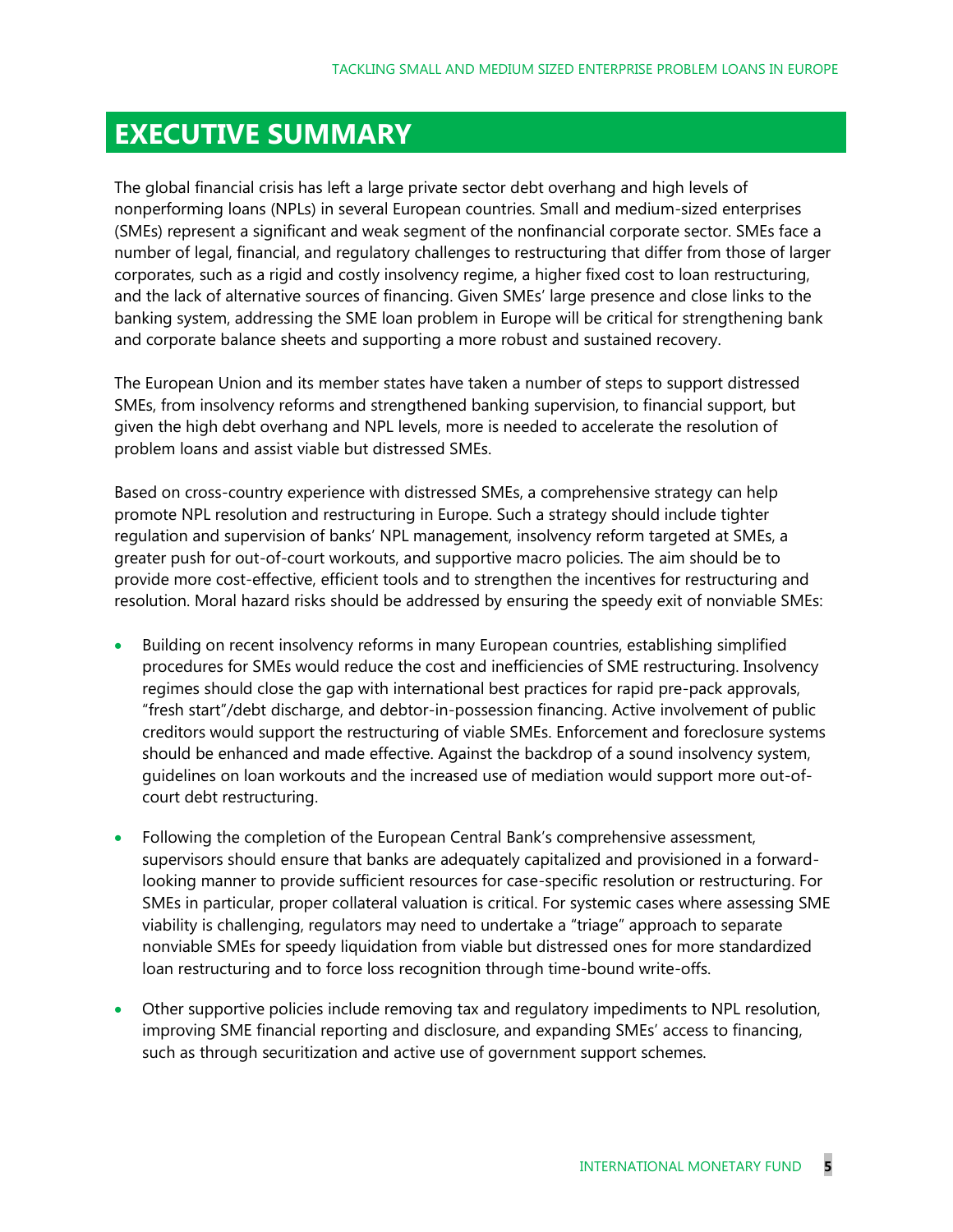### **EXECUTIVE SUMMARY**

The global financial crisis has left a large private sector debt overhang and high levels of nonperforming loans (NPLs) in several European countries. Small and medium-sized enterprises (SMEs) represent a significant and weak segment of the nonfinancial corporate sector. SMEs face a number of legal, financial, and regulatory challenges to restructuring that differ from those of larger corporates, such as a rigid and costly insolvency regime, a higher fixed cost to loan restructuring, and the lack of alternative sources of financing. Given SMEs' large presence and close links to the banking system, addressing the SME loan problem in Europe will be critical for strengthening bank and corporate balance sheets and supporting a more robust and sustained recovery.

The European Union and its member states have taken a number of steps to support distressed SMEs, from insolvency reforms and strengthened banking supervision, to financial support, but given the high debt overhang and NPL levels, more is needed to accelerate the resolution of problem loans and assist viable but distressed SMEs.

Based on cross-country experience with distressed SMEs, a comprehensive strategy can help promote NPL resolution and restructuring in Europe. Such a strategy should include tighter regulation and supervision of banks' NPL management, insolvency reform targeted at SMEs, a greater push for out-of-court workouts, and supportive macro policies. The aim should be to provide more cost-effective, efficient tools and to strengthen the incentives for restructuring and resolution. Moral hazard risks should be addressed by ensuring the speedy exit of nonviable SMEs:

- Building on recent insolvency reforms in many European countries, establishing simplified procedures for SMEs would reduce the cost and inefficiencies of SME restructuring. Insolvency regimes should close the gap with international best practices for rapid pre-pack approvals, "fresh start"/debt discharge, and debtor-in-possession financing. Active involvement of public creditors would support the restructuring of viable SMEs. Enforcement and foreclosure systems should be enhanced and made effective. Against the backdrop of a sound insolvency system, guidelines on loan workouts and the increased use of mediation would support more out-ofcourt debt restructuring.
- Following the completion of the European Central Bank's comprehensive assessment, supervisors should ensure that banks are adequately capitalized and provisioned in a forwardlooking manner to provide sufficient resources for case-specific resolution or restructuring. For SMEs in particular, proper collateral valuation is critical. For systemic cases where assessing SME viability is challenging, regulators may need to undertake a "triage" approach to separate nonviable SMEs for speedy liquidation from viable but distressed ones for more standardized loan restructuring and to force loss recognition through time-bound write-offs.
- Other supportive policies include removing tax and regulatory impediments to NPL resolution, improving SME financial reporting and disclosure, and expanding SMEs' access to financing, such as through securitization and active use of government support schemes.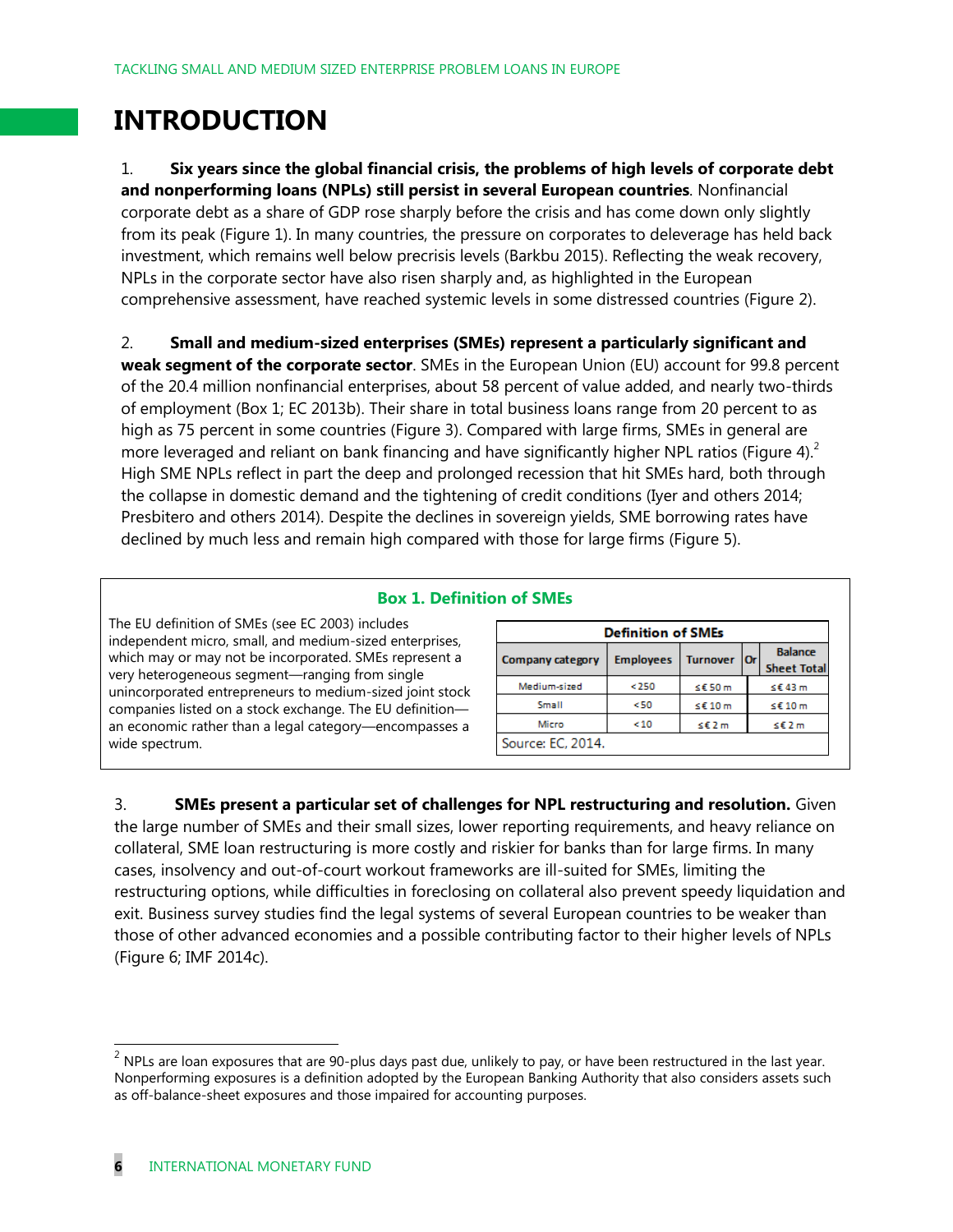### **INTRODUCTION**

1. **Six years since the global financial crisis, the problems of high levels of corporate debt and nonperforming loans (NPLs) still persist in several European countries**. Nonfinancial corporate debt as a share of GDP rose sharply before the crisis and has come down only slightly from its peak (Figure 1). In many countries, the pressure on corporates to deleverage has held back investment, which remains well below precrisis levels (Barkbu 2015). Reflecting the weak recovery, NPLs in the corporate sector have also risen sharply and, as highlighted in the European comprehensive assessment, have reached systemic levels in some distressed countries (Figure 2).

2. **Small and medium-sized enterprises (SMEs) represent a particularly significant and weak segment of the corporate sector**. SMEs in the European Union (EU) account for 99.8 percent of the 20.4 million nonfinancial enterprises, about 58 percent of value added, and nearly two-thirds of employment (Box 1; EC 2013b). Their share in total business loans range from 20 percent to as high as 75 percent in some countries (Figure 3). Compared with large firms, SMEs in general are more leveraged and reliant on bank financing and have significantly higher NPL ratios (Figure 4).<sup>2</sup> High SME NPLs reflect in part the deep and prolonged recession that hit SMEs hard, both through the collapse in domestic demand and the tightening of credit conditions (Iyer and others 2014; Presbitero and others 2014). Despite the declines in sovereign yields, SME borrowing rates have

#### **Box 1. Definition of SMEs**

declined by much less and remain high compared with those for large firms (Figure 5).

The EU definition of SMEs (see EC 2003) includes independent micro, small, and medium-sized enterprises, which may or may not be incorporated. SMEs represent a very heterogeneous segment—ranging from single unincorporated entrepreneurs to medium-sized joint stock companies listed on a stock exchange. The EU definition an economic rather than a legal category—encompasses a wide spectrum.

| <b>Definition of SMEs</b> |                  |                 |            |                                      |  |  |  |  |
|---------------------------|------------------|-----------------|------------|--------------------------------------|--|--|--|--|
| <b>Company category</b>   | <b>Employees</b> | <b>Turnover</b> | <b>Orl</b> | <b>Balance</b><br><b>Sheet Total</b> |  |  |  |  |
| Medium-sized              | < 250            | $≤$ £50 m       |            | ≤€43 m                               |  |  |  |  |
| Small                     | <50              | ≤£10m           |            | $≤$ £10 m                            |  |  |  |  |
| Micro                     | <10              | ≤€2 m           |            | ≤€2 m                                |  |  |  |  |
| Source: EC, 2014.         |                  |                 |            |                                      |  |  |  |  |

3. **SMEs present a particular set of challenges for NPL restructuring and resolution.** Given the large number of SMEs and their small sizes, lower reporting requirements, and heavy reliance on collateral, SME loan restructuring is more costly and riskier for banks than for large firms. In many cases, insolvency and out-of-court workout frameworks are ill-suited for SMEs, limiting the restructuring options, while difficulties in foreclosing on collateral also prevent speedy liquidation and exit. Business survey studies find the legal systems of several European countries to be weaker than those of other advanced economies and a possible contributing factor to their higher levels of NPLs (Figure 6; IMF 2014c).

 $^2$  NPLs are loan exposures that are 90-plus days past due, unlikely to pay, or have been restructured in the last year. Nonperforming exposures is a definition adopted by the European Banking Authority that also considers assets such as off-balance-sheet exposures and those impaired for accounting purposes.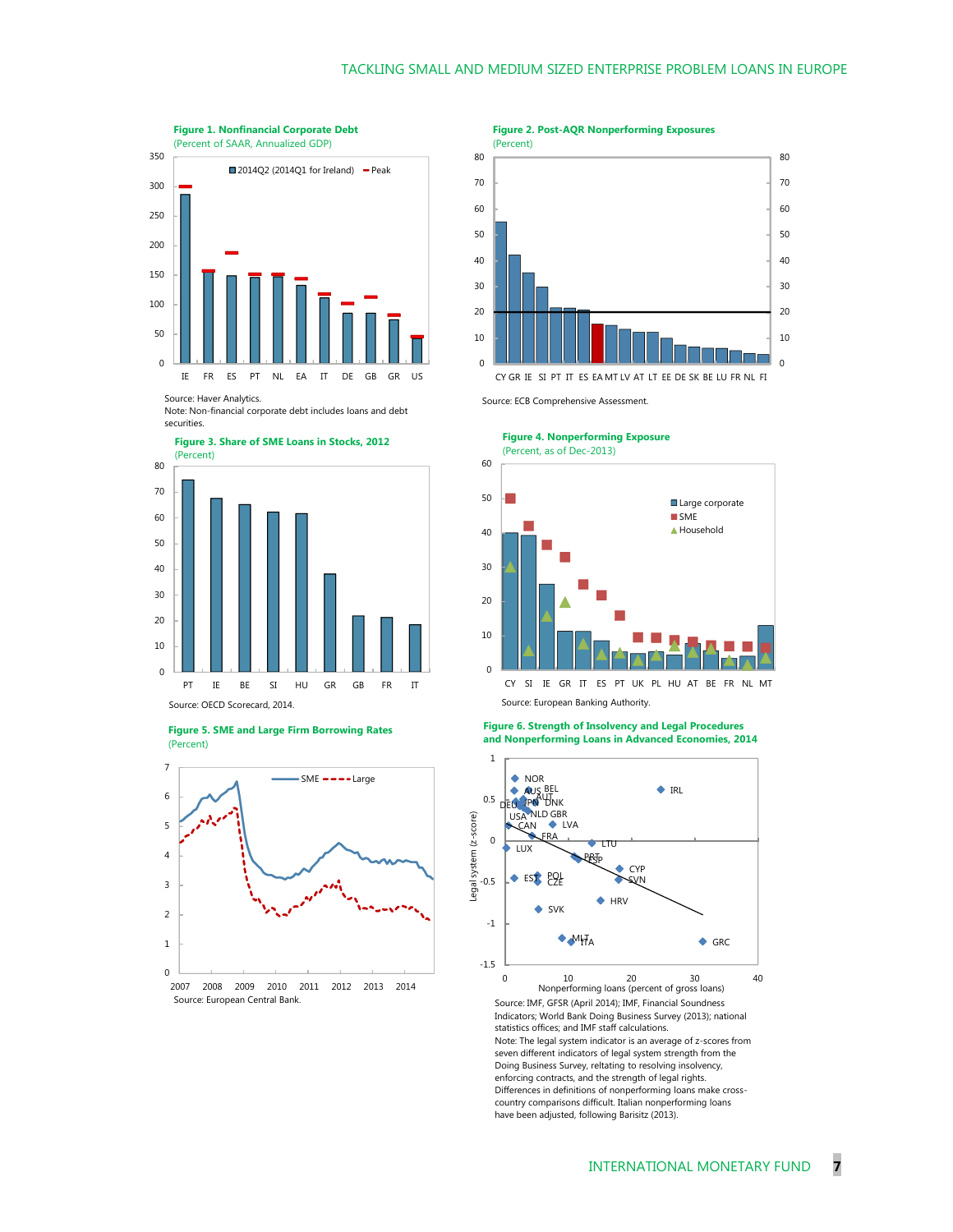

Source: Haver Analytics.

Note: Non-financial corporate debt includes loans and debt securities.







**Figure 2. Post-AQR Nonperforming Exposures**



Source: ECB Comprehensive Assessment.

**Figure 4. Nonperforming Exposure** (Percent, as of Dec-2013)



Source: European Banking Authority.

**Figure 6. Strength of Insolvency and Legal Procedures and Nonperforming Loans in Advanced Economies, 2014**



Note: The legal system indicator is an average of z-scores from seven different indicators of legal system strength from the Doing Business Survey, reltating to resolving insolvency, enforcing contracts, and the strength of legal rights. Differences in definitions of nonperforming loans make crosscountry comparisons difficult. Italian nonperforming loans have been adjusted, following Barisitz (2013).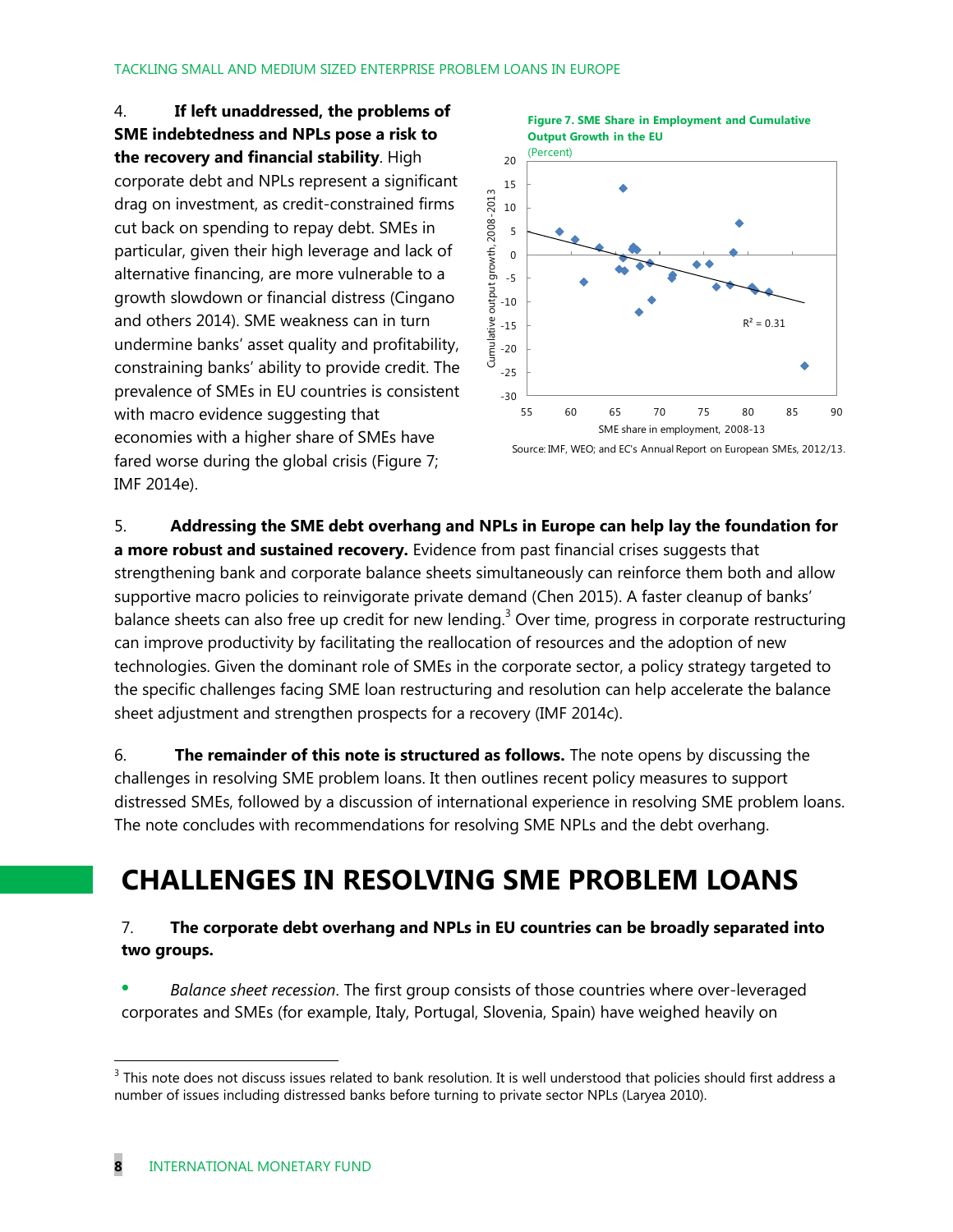4. **If left unaddressed, the problems of SME indebtedness and NPLs pose a risk to the recovery and financial stability**. High corporate debt and NPLs represent a significant drag on investment, as credit-constrained firms cut back on spending to repay debt. SMEs in particular, given their high leverage and lack of alternative financing, are more vulnerable to a growth slowdown or financial distress (Cingano and others 2014). SME weakness can in turn undermine banks' asset quality and profitability, constraining banks' ability to provide credit. The prevalence of SMEs in EU countries is consistent with macro evidence suggesting that economies with a higher share of SMEs have fared worse during the global crisis (Figure 7; IMF 2014e).



5. **Addressing the SME debt overhang and NPLs in Europe can help lay the foundation for a more robust and sustained recovery.** Evidence from past financial crises suggests that strengthening bank and corporate balance sheets simultaneously can reinforce them both and allow supportive macro policies to reinvigorate private demand (Chen 2015). A faster cleanup of banks' balance sheets can also free up credit for new lending.<sup>3</sup> Over time, progress in corporate restructuring can improve productivity by facilitating the reallocation of resources and the adoption of new technologies. Given the dominant role of SMEs in the corporate sector, a policy strategy targeted to the specific challenges facing SME loan restructuring and resolution can help accelerate the balance sheet adjustment and strengthen prospects for a recovery (IMF 2014c).

6. **The remainder of this note is structured as follows.** The note opens by discussing the challenges in resolving SME problem loans. It then outlines recent policy measures to support distressed SMEs, followed by a discussion of international experience in resolving SME problem loans. The note concludes with recommendations for resolving SME NPLs and the debt overhang.

### **CHALLENGES IN RESOLVING SME PROBLEM LOANS**

#### 7. **The corporate debt overhang and NPLs in EU countries can be broadly separated into two groups.**

 *Balance sheet recession*. The first group consists of those countries where over-leveraged corporates and SMEs (for example, Italy, Portugal, Slovenia, Spain) have weighed heavily on

 $3$  This note does not discuss issues related to bank resolution. It is well understood that policies should first address a number of issues including distressed banks before turning to private sector NPLs (Laryea 2010).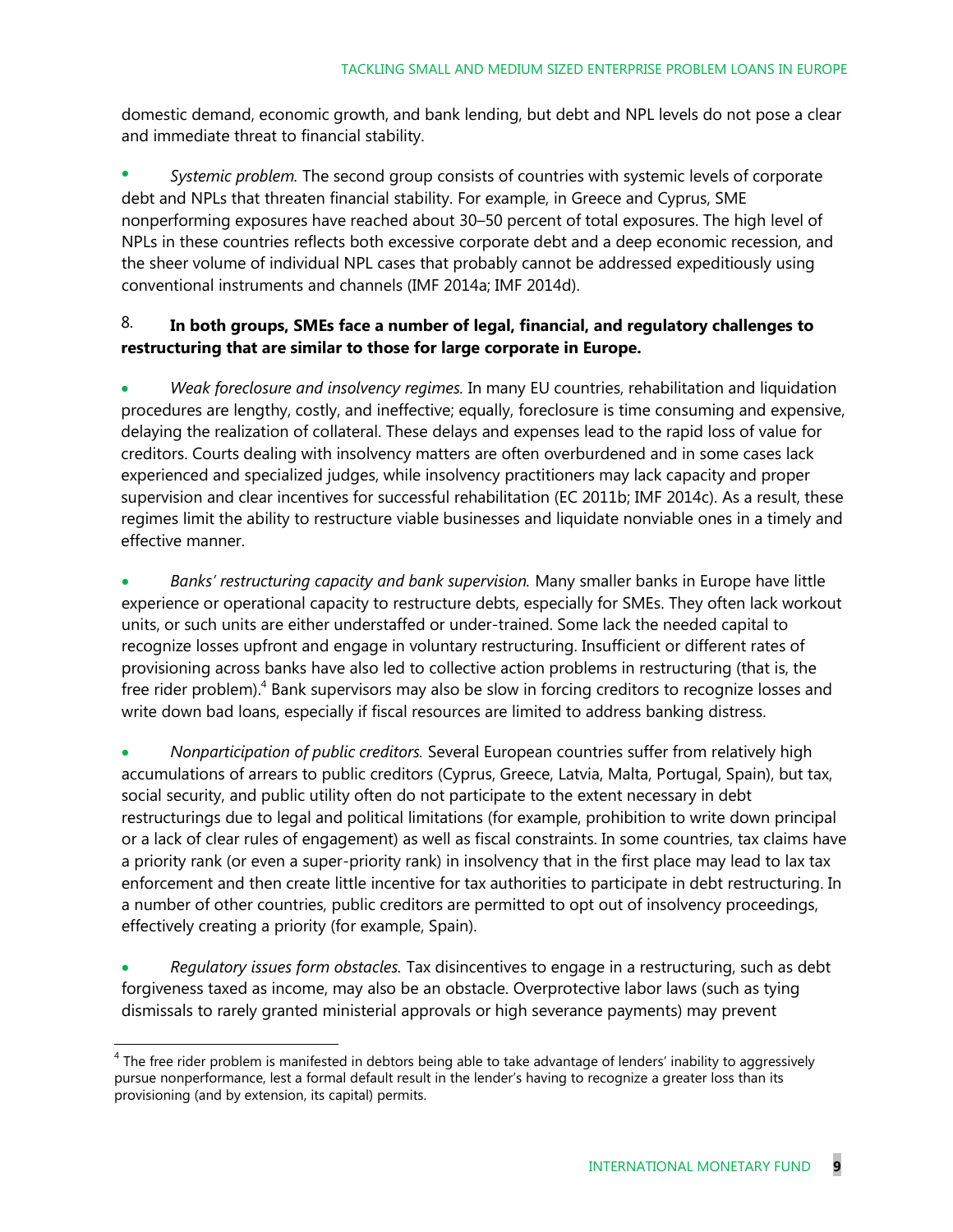domestic demand, economic growth, and bank lending, but debt and NPL levels do not pose a clear and immediate threat to financial stability.

 *Systemic problem.* The second group consists of countries with systemic levels of corporate debt and NPLs that threaten financial stability. For example, in Greece and Cyprus, SME nonperforming exposures have reached about 30–50 percent of total exposures. The high level of NPLs in these countries reflects both excessive corporate debt and a deep economic recession, and the sheer volume of individual NPL cases that probably cannot be addressed expeditiously using conventional instruments and channels (IMF 2014a; IMF 2014d).

#### 8. **In both groups, SMEs face a number of legal, financial, and regulatory challenges to restructuring that are similar to those for large corporate in Europe.**

 *Weak foreclosure and insolvency regimes.* In many EU countries, rehabilitation and liquidation procedures are lengthy, costly, and ineffective; equally, foreclosure is time consuming and expensive, delaying the realization of collateral. These delays and expenses lead to the rapid loss of value for creditors. Courts dealing with insolvency matters are often overburdened and in some cases lack experienced and specialized judges, while insolvency practitioners may lack capacity and proper supervision and clear incentives for successful rehabilitation (EC 2011b; IMF 2014c). As a result, these regimes limit the ability to restructure viable businesses and liquidate nonviable ones in a timely and effective manner.

 *Banks' restructuring capacity and bank supervision.* Many smaller banks in Europe have little experience or operational capacity to restructure debts, especially for SMEs. They often lack workout units, or such units are either understaffed or under-trained. Some lack the needed capital to recognize losses upfront and engage in voluntary restructuring. Insufficient or different rates of provisioning across banks have also led to collective action problems in restructuring (that is, the free rider problem). $4$  Bank supervisors may also be slow in forcing creditors to recognize losses and write down bad loans, especially if fiscal resources are limited to address banking distress.

 *Nonparticipation of public creditors.* Several European countries suffer from relatively high accumulations of arrears to public creditors (Cyprus, Greece, Latvia, Malta, Portugal, Spain), but tax, social security, and public utility often do not participate to the extent necessary in debt restructurings due to legal and political limitations (for example, prohibition to write down principal or a lack of clear rules of engagement) as well as fiscal constraints. In some countries, tax claims have a priority rank (or even a super-priority rank) in insolvency that in the first place may lead to lax tax enforcement and then create little incentive for tax authorities to participate in debt restructuring. In a number of other countries, public creditors are permitted to opt out of insolvency proceedings, effectively creating a priority (for example, Spain).

 *Regulatory issues form obstacles.* Tax disincentives to engage in a restructuring, such as debt forgiveness taxed as income, may also be an obstacle. Overprotective labor laws (such as tying dismissals to rarely granted ministerial approvals or high severance payments) may prevent

<sup>&</sup>lt;sup>4</sup> The free rider problem is manifested in debtors being able to take advantage of lenders' inability to aggressively pursue nonperformance, lest a formal default result in the lender's having to recognize a greater loss than its provisioning (and by extension, its capital) permits.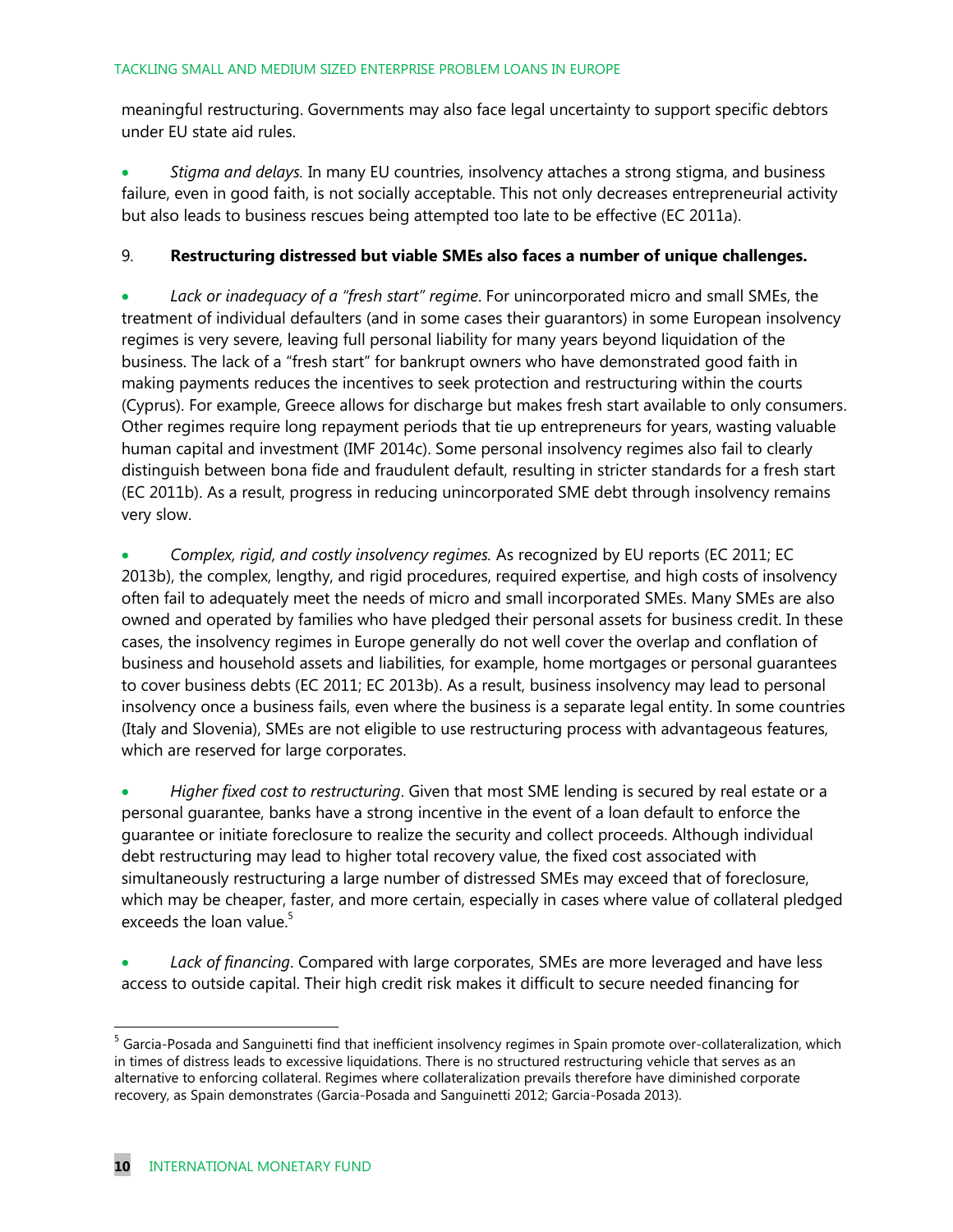meaningful restructuring. Governments may also face legal uncertainty to support specific debtors under EU state aid rules.

 *Stigma and delays.* In many EU countries, insolvency attaches a strong stigma, and business failure, even in good faith, is not socially acceptable. This not only decreases entrepreneurial activity but also leads to business rescues being attempted too late to be effective (EC 2011a).

#### 9. **Restructuring distressed but viable SMEs also faces a number of unique challenges.**

 *Lack or inadequacy of a "fresh start" regime*. For unincorporated micro and small SMEs, the treatment of individual defaulters (and in some cases their guarantors) in some European insolvency regimes is very severe, leaving full personal liability for many years beyond liquidation of the business. The lack of a "fresh start" for bankrupt owners who have demonstrated good faith in making payments reduces the incentives to seek protection and restructuring within the courts (Cyprus). For example, Greece allows for discharge but makes fresh start available to only consumers. Other regimes require long repayment periods that tie up entrepreneurs for years, wasting valuable human capital and investment (IMF 2014c). Some personal insolvency regimes also fail to clearly distinguish between bona fide and fraudulent default, resulting in stricter standards for a fresh start (EC 2011b). As a result, progress in reducing unincorporated SME debt through insolvency remains very slow.

 *Complex, rigid, and costly insolvency regimes.* As recognized by EU reports (EC 2011; EC 2013b), the complex, lengthy, and rigid procedures, required expertise, and high costs of insolvency often fail to adequately meet the needs of micro and small incorporated SMEs. Many SMEs are also owned and operated by families who have pledged their personal assets for business credit. In these cases, the insolvency regimes in Europe generally do not well cover the overlap and conflation of business and household assets and liabilities, for example, home mortgages or personal guarantees to cover business debts (EC 2011; EC 2013b). As a result, business insolvency may lead to personal insolvency once a business fails, even where the business is a separate legal entity. In some countries (Italy and Slovenia), SMEs are not eligible to use restructuring process with advantageous features, which are reserved for large corporates.

 *Higher fixed cost to restructuring*. Given that most SME lending is secured by real estate or a personal guarantee, banks have a strong incentive in the event of a loan default to enforce the guarantee or initiate foreclosure to realize the security and collect proceeds. Although individual debt restructuring may lead to higher total recovery value, the fixed cost associated with simultaneously restructuring a large number of distressed SMEs may exceed that of foreclosure, which may be cheaper, faster, and more certain, especially in cases where value of collateral pledged exceeds the loan value.<sup>5</sup>

 *Lack of financing*. Compared with large corporates, SMEs are more leveraged and have less access to outside capital. Their high credit risk makes it difficult to secure needed financing for

 $\overline{a}$ 

<sup>&</sup>lt;sup>5</sup> Garcia-Posada and Sanguinetti find that inefficient insolvency regimes in Spain promote over-collateralization, which in times of distress leads to excessive liquidations. There is no structured restructuring vehicle that serves as an alternative to enforcing collateral. Regimes where collateralization prevails therefore have diminished corporate recovery, as Spain demonstrates (Garcia-Posada and Sanguinetti 2012; Garcia-Posada 2013).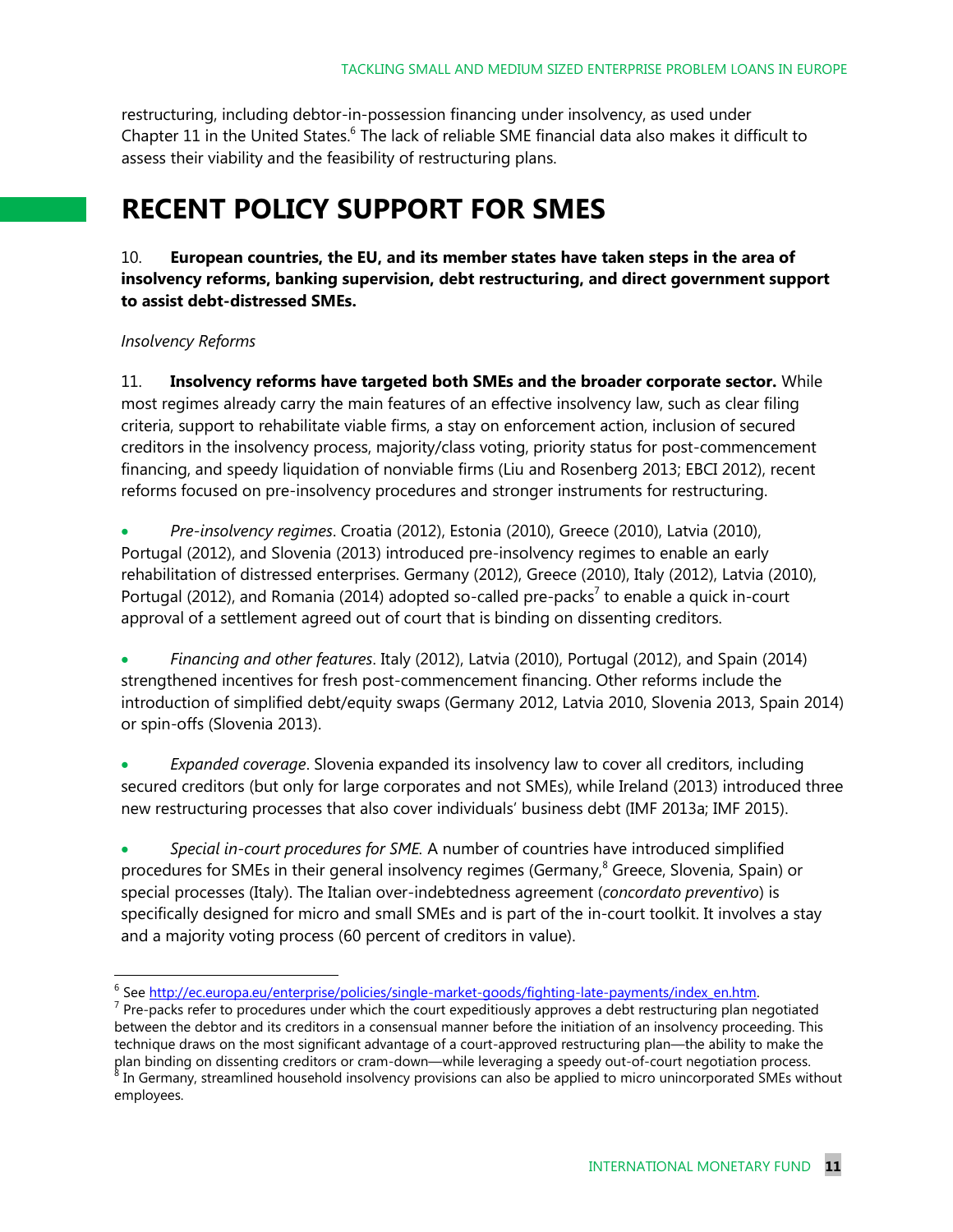restructuring, including debtor-in-possession financing under insolvency, as used under Chapter 11 in the United States.<sup>6</sup> The lack of reliable SME financial data also makes it difficult to assess their viability and the feasibility of restructuring plans.

### **RECENT POLICY SUPPORT FOR SMES**

#### 10. **European countries, the EU, and its member states have taken steps in the area of insolvency reforms, banking supervision, debt restructuring, and direct government support to assist debt-distressed SMEs.**

#### *Insolvency Reforms*

 $\overline{a}$ 

11. **Insolvency reforms have targeted both SMEs and the broader corporate sector.** While most regimes already carry the main features of an effective insolvency law, such as clear filing criteria, support to rehabilitate viable firms, a stay on enforcement action, inclusion of secured creditors in the insolvency process, majority/class voting, priority status for post-commencement financing, and speedy liquidation of nonviable firms (Liu and Rosenberg 2013; EBCI 2012), recent reforms focused on pre-insolvency procedures and stronger instruments for restructuring.

 *Pre-insolvency regimes*. Croatia (2012), Estonia (2010), Greece (2010), Latvia (2010), Portugal (2012), and Slovenia (2013) introduced pre-insolvency regimes to enable an early rehabilitation of distressed enterprises. Germany (2012), Greece (2010), Italy (2012), Latvia (2010), Portugal (2012), and Romania (2014) adopted so-called pre-packs<sup>7</sup> to enable a quick in-court approval of a settlement agreed out of court that is binding on dissenting creditors.

 *Financing and other features*. Italy (2012), Latvia (2010), Portugal (2012), and Spain (2014) strengthened incentives for fresh post-commencement financing. Other reforms include the introduction of simplified debt/equity swaps (Germany 2012, Latvia 2010, Slovenia 2013, Spain 2014) or spin-offs (Slovenia 2013).

 *Expanded coverage*. Slovenia expanded its insolvency law to cover all creditors, including secured creditors (but only for large corporates and not SMEs), while Ireland (2013) introduced three new restructuring processes that also cover individuals' business debt (IMF 2013a; IMF 2015).

 *Special in-court procedures for SME.* A number of countries have introduced simplified procedures for SMEs in their general insolvency regimes (Germany,<sup>8</sup> Greece, Slovenia, Spain) or special processes (Italy). The Italian over-indebtedness agreement (*concordato preventivo*) is specifically designed for micro and small SMEs and is part of the in-court toolkit. It involves a stay and a majority voting process (60 percent of creditors in value).

<sup>&</sup>lt;sup>6</sup> See http://ec.europa.eu/enterprise/policies/single-market-goods/fighting-late-payments/index\_en.htm.

<sup>&</sup>lt;sup>7</sup> Pre-packs refer to procedures under which the court expeditiously approves a debt restructuring plan negotiated between the debtor and its creditors in a consensual manner before the initiation of an insolvency proceeding. This technique draws on the most significant advantage of a court-approved restructuring plan—the ability to make the plan binding on dissenting creditors or cram-down—while leveraging a speedy out-of-court negotiation process.<br><sup>8</sup> In Cermany streamlined household insolvency provisions can also be applied to misre uninsorperated CMFs with In Germany, streamlined household insolvency provisions can also be applied to micro unincorporated SMEs without employees.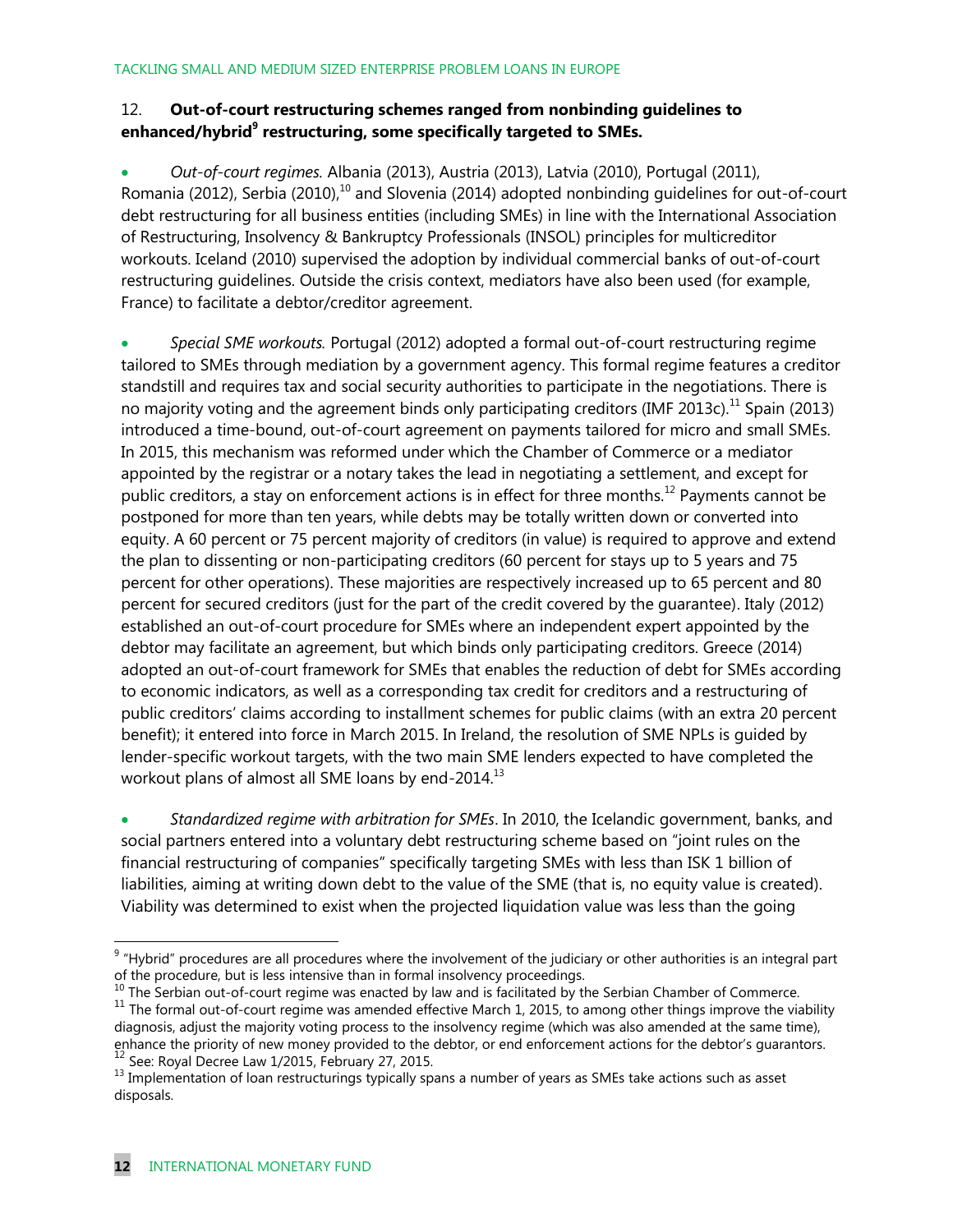#### 12. **Out-of-court restructuring schemes ranged from nonbinding guidelines to enhanced/hybrid<sup>9</sup> restructuring, some specifically targeted to SMEs.**

 *Out-of-court regimes.* Albania (2013), Austria (2013), Latvia (2010), Portugal (2011), Romania (2012), Serbia (2010),<sup>10</sup> and Slovenia (2014) adopted nonbinding guidelines for out-of-court debt restructuring for all business entities (including SMEs) in line with the International Association of Restructuring, Insolvency & Bankruptcy Professionals (INSOL) principles for multicreditor workouts. Iceland (2010) supervised the adoption by individual commercial banks of out-of-court restructuring guidelines. Outside the crisis context, mediators have also been used (for example, France) to facilitate a debtor/creditor agreement.

 *Special SME workouts.* Portugal (2012) adopted a formal out-of-court restructuring regime tailored to SMEs through mediation by a government agency. This formal regime features a creditor standstill and requires tax and social security authorities to participate in the negotiations. There is no majority voting and the agreement binds only participating creditors (IMF 2013c).<sup>11</sup> Spain (2013) introduced a time-bound, out-of-court agreement on payments tailored for micro and small SMEs. In 2015, this mechanism was reformed under which the Chamber of Commerce or a mediator appointed by the registrar or a notary takes the lead in negotiating a settlement, and except for public creditors, a stay on enforcement actions is in effect for three months.<sup>12</sup> Payments cannot be postponed for more than ten years, while debts may be totally written down or converted into equity. A 60 percent or 75 percent majority of creditors (in value) is required to approve and extend the plan to dissenting or non-participating creditors (60 percent for stays up to 5 years and 75 percent for other operations). These majorities are respectively increased up to 65 percent and 80 percent for secured creditors (just for the part of the credit covered by the guarantee). Italy (2012) established an out-of-court procedure for SMEs where an independent expert appointed by the debtor may facilitate an agreement, but which binds only participating creditors. Greece (2014) adopted an out-of-court framework for SMEs that enables the reduction of debt for SMEs according to economic indicators, as well as a corresponding tax credit for creditors and a restructuring of public creditors' claims according to installment schemes for public claims (with an extra 20 percent benefit); it entered into force in March 2015. In Ireland, the resolution of SME NPLs is guided by lender-specific workout targets, with the two main SME lenders expected to have completed the workout plans of almost all SME loans by end-2014.<sup>13</sup>

 *Standardized regime with arbitration for SMEs*. In 2010, the Icelandic government, banks, and social partners entered into a voluntary debt restructuring scheme based on "joint rules on the financial restructuring of companies" specifically targeting SMEs with less than ISK 1 billion of liabilities, aiming at writing down debt to the value of the SME (that is, no equity value is created). Viability was determined to exist when the projected liquidation value was less than the going

 $9$  "Hybrid" procedures are all procedures where the involvement of the judiciary or other authorities is an integral part of the procedure, but is less intensive than in formal insolvency proceedings.

 $10$  The Serbian out-of-court regime was enacted by law and is facilitated by the Serbian Chamber of Commerce.

 $11$  The formal out-of-court regime was amended effective March 1, 2015, to among other things improve the viability diagnosis, adjust the majority voting process to the insolvency regime (which was also amended at the same time), enhance the priority of new money provided to the debtor, or end enforcement actions for the debtor's guarantors.  $12$  See: Royal Decree Law 1/2015, February 27, 2015.

<sup>13</sup> Implementation of loan restructurings typically spans a number of years as SMEs take actions such as asset disposals.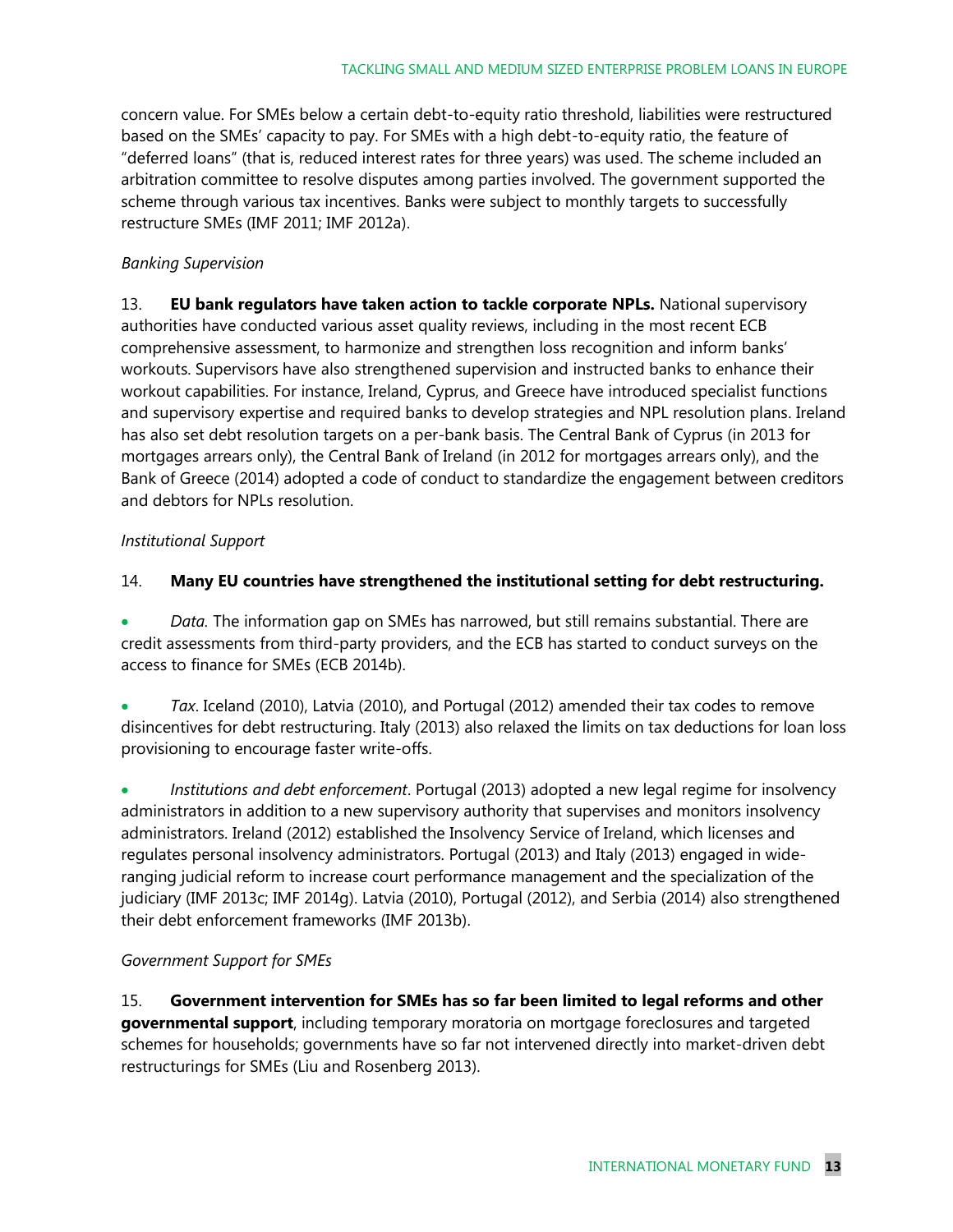concern value. For SMEs below a certain debt-to-equity ratio threshold, liabilities were restructured based on the SMEs' capacity to pay. For SMEs with a high debt-to-equity ratio, the feature of "deferred loans" (that is, reduced interest rates for three years) was used. The scheme included an arbitration committee to resolve disputes among parties involved. The government supported the scheme through various tax incentives. Banks were subject to monthly targets to successfully restructure SMEs (IMF 2011; IMF 2012a).

#### *Banking Supervision*

13. **EU bank regulators have taken action to tackle corporate NPLs.** National supervisory authorities have conducted various asset quality reviews, including in the most recent ECB comprehensive assessment, to harmonize and strengthen loss recognition and inform banks' workouts. Supervisors have also strengthened supervision and instructed banks to enhance their workout capabilities. For instance, Ireland, Cyprus, and Greece have introduced specialist functions and supervisory expertise and required banks to develop strategies and NPL resolution plans. Ireland has also set debt resolution targets on a per-bank basis. The Central Bank of Cyprus (in 2013 for mortgages arrears only), the Central Bank of Ireland (in 2012 for mortgages arrears only), and the Bank of Greece (2014) adopted a code of conduct to standardize the engagement between creditors and debtors for NPLs resolution.

#### *Institutional Support*

#### 14. **Many EU countries have strengthened the institutional setting for debt restructuring.**

 *Data.* The information gap on SMEs has narrowed, but still remains substantial. There are credit assessments from third-party providers, and the ECB has started to conduct surveys on the access to finance for SMEs (ECB 2014b).

 *Tax*. Iceland (2010), Latvia (2010), and Portugal (2012) amended their tax codes to remove disincentives for debt restructuring. Italy (2013) also relaxed the limits on tax deductions for loan loss provisioning to encourage faster write-offs.

 *Institutions and debt enforcement*. Portugal (2013) adopted a new legal regime for insolvency administrators in addition to a new supervisory authority that supervises and monitors insolvency administrators. Ireland (2012) established the Insolvency Service of Ireland, which licenses and regulates personal insolvency administrators. Portugal (2013) and Italy (2013) engaged in wideranging judicial reform to increase court performance management and the specialization of the judiciary (IMF 2013c; IMF 2014g). Latvia (2010), Portugal (2012), and Serbia (2014) also strengthened their debt enforcement frameworks (IMF 2013b).

#### *Government Support for SMEs*

15. **Government intervention for SMEs has so far been limited to legal reforms and other governmental support**, including temporary moratoria on mortgage foreclosures and targeted schemes for households; governments have so far not intervened directly into market-driven debt restructurings for SMEs (Liu and Rosenberg 2013).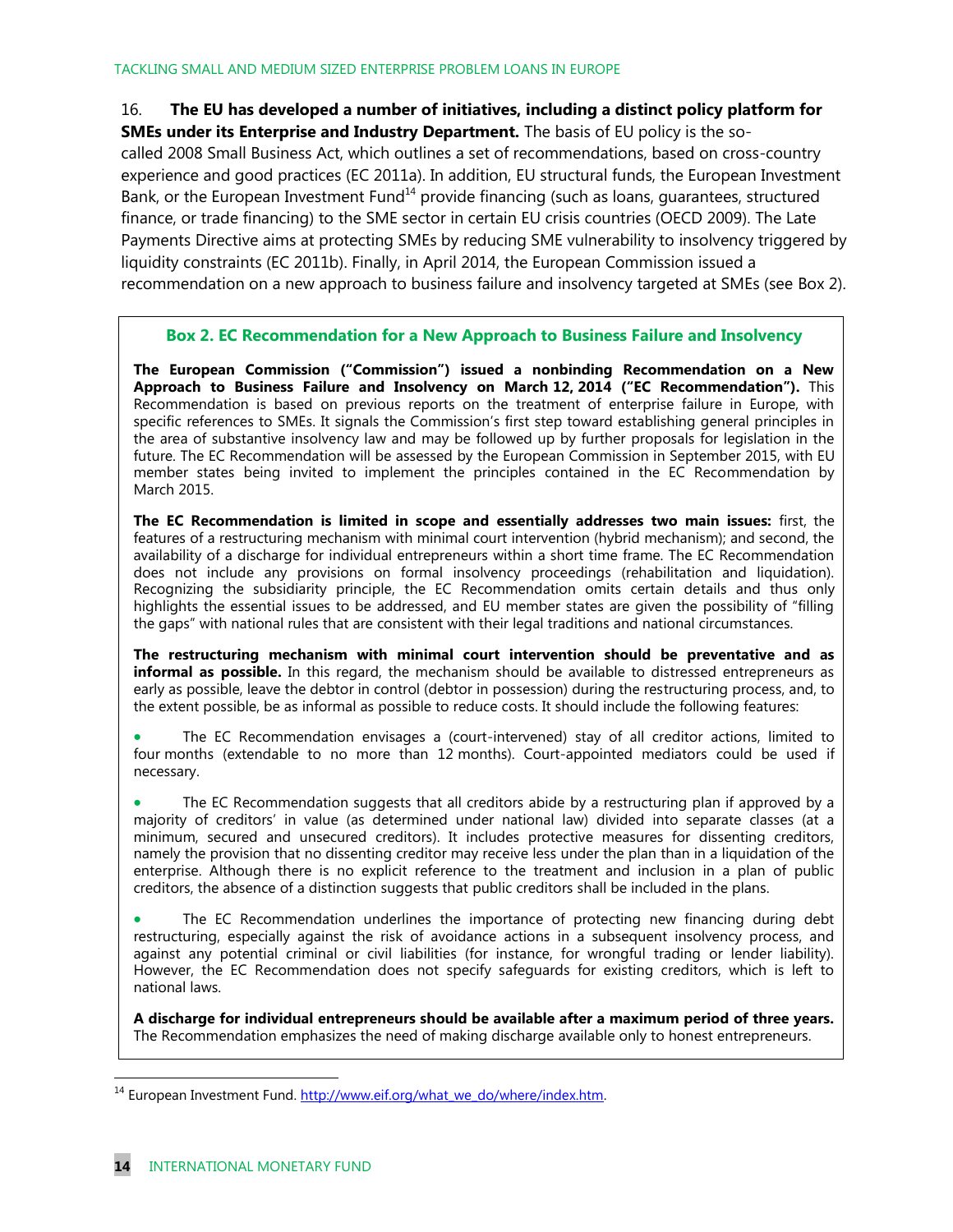16. **The EU has developed a number of initiatives, including a distinct policy platform for SMEs under its Enterprise and Industry Department.** The basis of EU policy is the socalled 2008 Small Business Act, which outlines a set of recommendations, based on cross-country experience and good practices (EC 2011a). In addition, EU structural funds, the European Investment Bank, or the European Investment Fund<sup>14</sup> provide financing (such as loans, guarantees, structured finance, or trade financing) to the SME sector in certain EU crisis countries (OECD 2009). The Late Payments Directive aims at protecting SMEs by reducing SME vulnerability to insolvency triggered by liquidity constraints (EC 2011b). Finally, in April 2014, the European Commission issued a recommendation on a new approach to business failure and insolvency targeted at SMEs (see Box 2).

#### **Box 2. EC Recommendation for a New Approach to Business Failure and Insolvency**

**The European Commission ("Commission") issued a nonbinding Recommendation on a New Approach to Business Failure and Insolvency on March 12, 2014 ("EC Recommendation").** This Recommendation is based on previous reports on the treatment of enterprise failure in Europe, with specific references to SMEs. It signals the Commission's first step toward establishing general principles in the area of substantive insolvency law and may be followed up by further proposals for legislation in the future. The EC Recommendation will be assessed by the European Commission in September 2015, with EU member states being invited to implement the principles contained in the EC Recommendation by March 2015.

**The EC Recommendation is limited in scope and essentially addresses two main issues:** first, the features of a restructuring mechanism with minimal court intervention (hybrid mechanism); and second, the availability of a discharge for individual entrepreneurs within a short time frame. The EC Recommendation does not include any provisions on formal insolvency proceedings (rehabilitation and liquidation). Recognizing the subsidiarity principle, the EC Recommendation omits certain details and thus only highlights the essential issues to be addressed, and EU member states are given the possibility of "filling the gaps" with national rules that are consistent with their legal traditions and national circumstances.

**The restructuring mechanism with minimal court intervention should be preventative and as informal as possible.** In this regard, the mechanism should be available to distressed entrepreneurs as early as possible, leave the debtor in control (debtor in possession) during the restructuring process, and, to the extent possible, be as informal as possible to reduce costs. It should include the following features:

 The EC Recommendation envisages a (court-intervened) stay of all creditor actions, limited to four months (extendable to no more than 12 months). Court-appointed mediators could be used if necessary.

 The EC Recommendation suggests that all creditors abide by a restructuring plan if approved by a majority of creditors' in value (as determined under national law) divided into separate classes (at a minimum, secured and unsecured creditors). It includes protective measures for dissenting creditors, namely the provision that no dissenting creditor may receive less under the plan than in a liquidation of the enterprise. Although there is no explicit reference to the treatment and inclusion in a plan of public creditors, the absence of a distinction suggests that public creditors shall be included in the plans.

 The EC Recommendation underlines the importance of protecting new financing during debt restructuring, especially against the risk of avoidance actions in a subsequent insolvency process, and against any potential criminal or civil liabilities (for instance, for wrongful trading or lender liability). However, the EC Recommendation does not specify safeguards for existing creditors, which is left to national laws.

**A discharge for individual entrepreneurs should be available after a maximum period of three years.** The Recommendation emphasizes the need of making discharge available only to honest entrepreneurs.

 $\overline{a}$ 

<sup>&</sup>lt;sup>14</sup> European Investment Fund. [http://www.eif.org/what\\_we\\_do/where/index.htm.](http://www.eif.org/what_we_do/where/index.htm)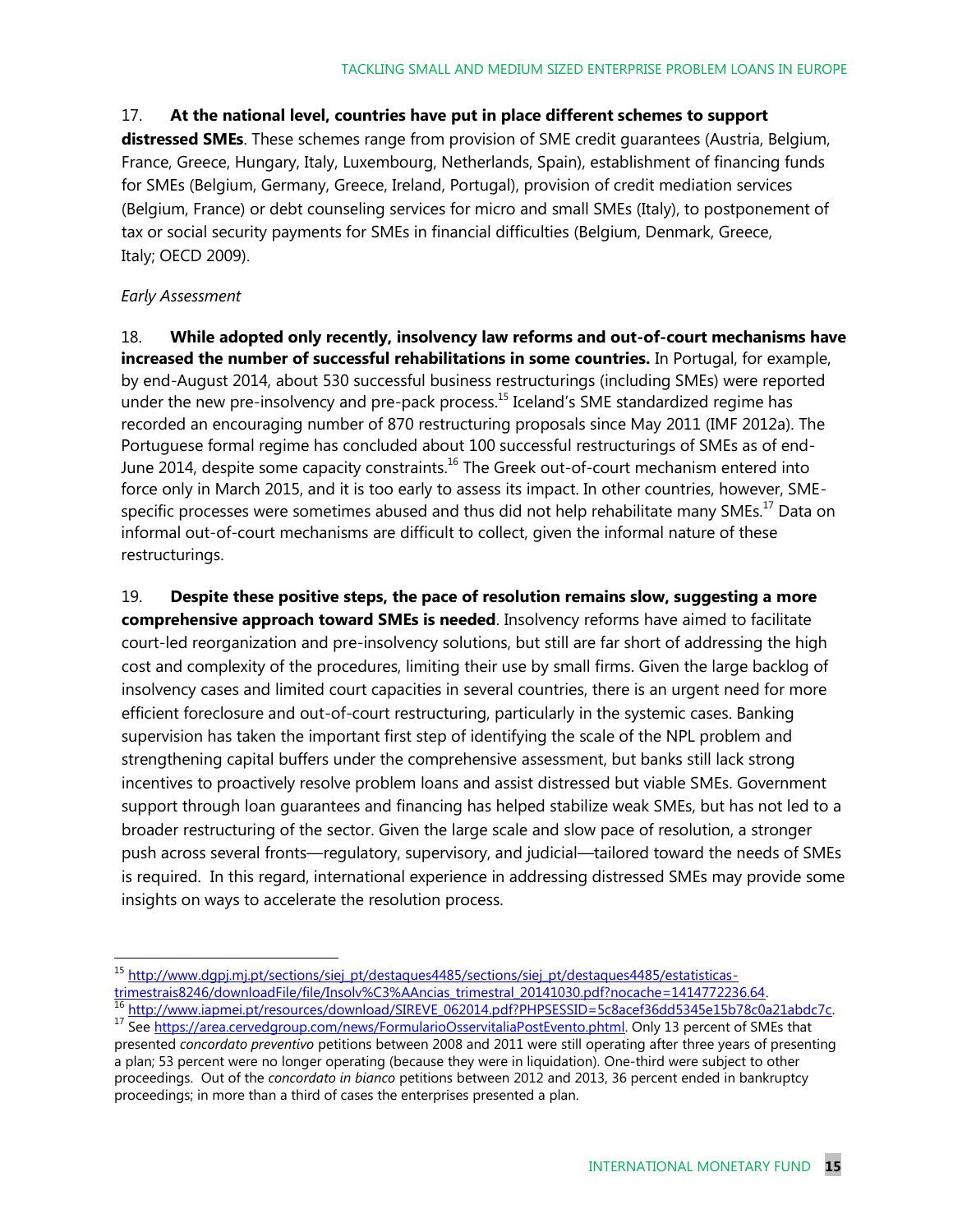#### 17. **At the national level, countries have put in place different schemes to support**

**distressed SMEs**. These schemes range from provision of SME credit guarantees (Austria, Belgium, France, Greece, Hungary, Italy, Luxembourg, Netherlands, Spain), establishment of financing funds for SMEs (Belgium, Germany, Greece, Ireland, Portugal), provision of credit mediation services (Belgium, France) or debt counseling services for micro and small SMEs (Italy), to postponement of tax or social security payments for SMEs in financial difficulties (Belgium, Denmark, Greece, Italy; OECD 2009).

#### *Early Assessment*

18. **While adopted only recently, insolvency law reforms and out-of-court mechanisms have increased the number of successful rehabilitations in some countries.** In Portugal, for example, by end-August 2014, about 530 successful business restructurings (including SMEs) were reported under the new pre-insolvency and pre-pack process.<sup>15</sup> Iceland's SME standardized regime has recorded an encouraging number of 870 restructuring proposals since May 2011 (IMF 2012a). The Portuguese formal regime has concluded about 100 successful restructurings of SMEs as of end-June 2014, despite some capacity constraints.<sup>16</sup> The Greek out-of-court mechanism entered into force only in March 2015, and it is too early to assess its impact. In other countries, however, SMEspecific processes were sometimes abused and thus did not help rehabilitate many SMEs.<sup>17</sup> Data on informal out-of-court mechanisms are difficult to collect, given the informal nature of these restructurings.

19. **Despite these positive steps, the pace of resolution remains slow, suggesting a more comprehensive approach toward SMEs is needed**. Insolvency reforms have aimed to facilitate court-led reorganization and pre-insolvency solutions, but still are far short of addressing the high cost and complexity of the procedures, limiting their use by small firms. Given the large backlog of insolvency cases and limited court capacities in several countries, there is an urgent need for more efficient foreclosure and out-of-court restructuring, particularly in the systemic cases. Banking supervision has taken the important first step of identifying the scale of the NPL problem and strengthening capital buffers under the comprehensive assessment, but banks still lack strong incentives to proactively resolve problem loans and assist distressed but viable SMEs. Government support through loan guarantees and financing has helped stabilize weak SMEs, but has not led to a broader restructuring of the sector. Given the large scale and slow pace of resolution, a stronger push across several fronts—regulatory, supervisory, and judicial—tailored toward the needs of SMEs is required. In this regard, international experience in addressing distressed SMEs may provide some insights on ways to accelerate the resolution process.

<sup>&</sup>lt;sup>15</sup> http://www.dqpj.mj.pt/sections/siej\_pt/destaques4485/sections/siej\_pt/destaques4485/estatisticas[trimestrais8246/downloadFile/file/Insolv%C3%AAncias\\_trimestral\\_20141030.pdf?nocache=1414772236.64.](http://www.dgpj.mj.pt/sections/siej_pt/destaques4485/sections/siej_pt/destaques4485/estatisticas-trimestrais8246/downloadFile/file/Insolv%C3%AAncias_trimestral_20141030.pdf?nocache=1414772236.64)

<sup>16</sup> [http://www.iapmei.pt/resources/download/SIREVE\\_062014.pdf?PHPSESSID=5c8acef36dd5345e15b78c0a21abdc7c.](http://www.iapmei.pt/resources/download/SIREVE_062014.pdf?PHPSESSID=5c8acef36dd5345e15b78c0a21abdc7c) 17 See [https://area.cervedgroup.com/news/FormularioOsservitaliaPostEvento.phtml.](https://area.cervedgroup.com/news/FormularioOsservitaliaPostEvento.phtml) Only 13 percent of SMEs that

presented *concordato preventivo* petitions between 2008 and 2011 were still operating after three years of presenting a plan; 53 percent were no longer operating (because they were in liquidation). One-third were subject to other proceedings. Out of the *concordato in bianco* petitions between 2012 and 2013, 36 percent ended in bankruptcy proceedings; in more than a third of cases the enterprises presented a plan.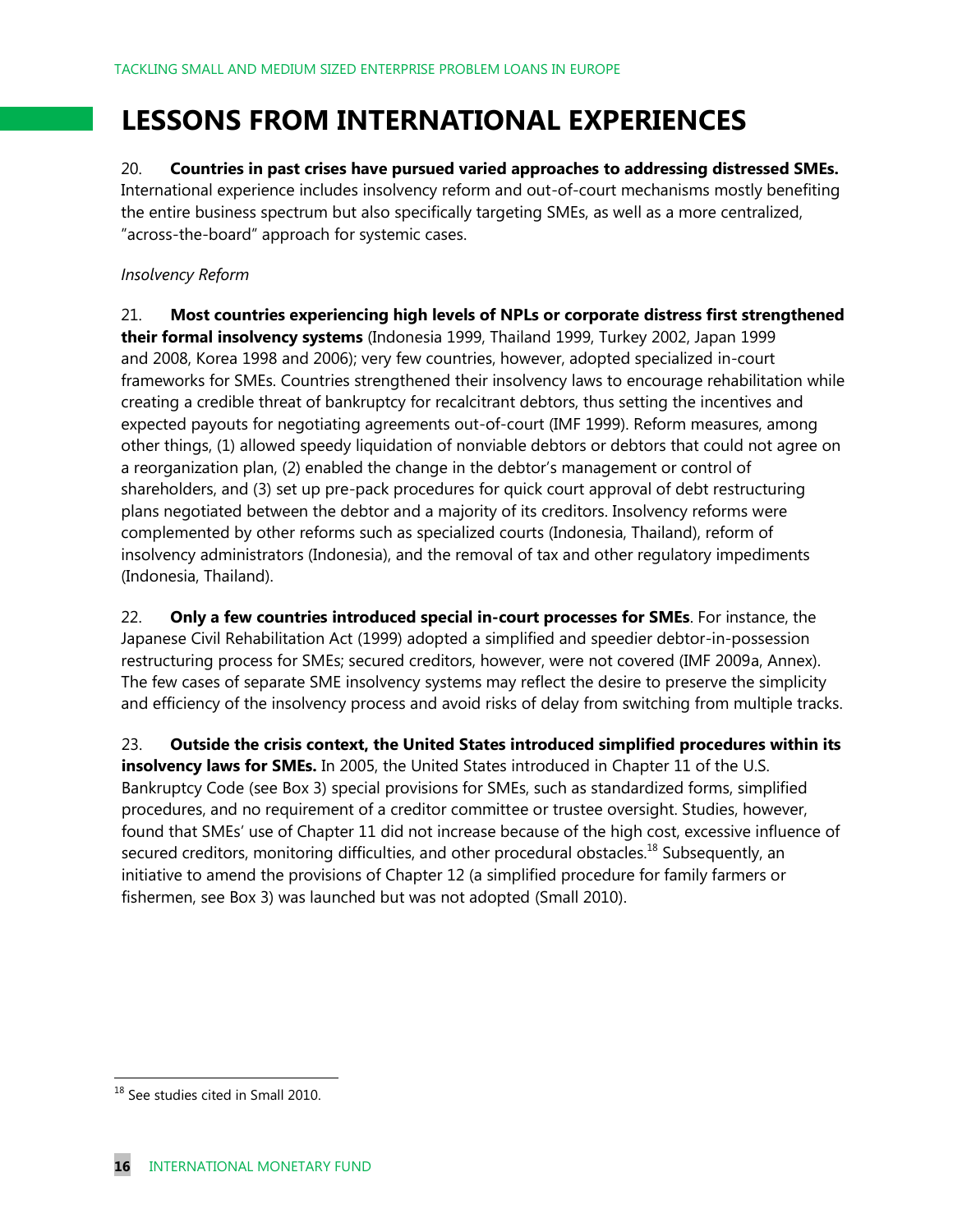### **LESSONS FROM INTERNATIONAL EXPERIENCES**

20. **Countries in past crises have pursued varied approaches to addressing distressed SMEs.**  International experience includes insolvency reform and out-of-court mechanisms mostly benefiting the entire business spectrum but also specifically targeting SMEs, as well as a more centralized, "across-the-board" approach for systemic cases.

#### *Insolvency Reform*

21. **Most countries experiencing high levels of NPLs or corporate distress first strengthened their formal insolvency systems** (Indonesia 1999, Thailand 1999, Turkey 2002, Japan 1999 and 2008, Korea 1998 and 2006); very few countries, however, adopted specialized in-court frameworks for SMEs. Countries strengthened their insolvency laws to encourage rehabilitation while creating a credible threat of bankruptcy for recalcitrant debtors, thus setting the incentives and expected payouts for negotiating agreements out-of-court (IMF 1999). Reform measures, among other things, (1) allowed speedy liquidation of nonviable debtors or debtors that could not agree on a reorganization plan, (2) enabled the change in the debtor's management or control of shareholders, and (3) set up pre-pack procedures for quick court approval of debt restructuring plans negotiated between the debtor and a majority of its creditors. Insolvency reforms were complemented by other reforms such as specialized courts (Indonesia, Thailand), reform of insolvency administrators (Indonesia), and the removal of tax and other regulatory impediments (Indonesia, Thailand).

22. **Only a few countries introduced special in-court processes for SMEs**. For instance, the Japanese Civil Rehabilitation Act (1999) adopted a simplified and speedier debtor-in-possession restructuring process for SMEs; secured creditors, however, were not covered (IMF 2009a, Annex). The few cases of separate SME insolvency systems may reflect the desire to preserve the simplicity and efficiency of the insolvency process and avoid risks of delay from switching from multiple tracks.

23. **Outside the crisis context, the United States introduced simplified procedures within its insolvency laws for SMEs.** In 2005, the United States introduced in Chapter 11 of the U.S. Bankruptcy Code (see Box 3) special provisions for SMEs, such as standardized forms, simplified procedures, and no requirement of a creditor committee or trustee oversight. Studies, however, found that SMEs' use of Chapter 11 did not increase because of the high cost, excessive influence of secured creditors, monitoring difficulties, and other procedural obstacles.<sup>18</sup> Subsequently, an initiative to amend the provisions of Chapter 12 (a simplified procedure for family farmers or fishermen, see Box 3) was launched but was not adopted (Small 2010).

 $\overline{a}$ 

<sup>&</sup>lt;sup>18</sup> See studies cited in Small 2010.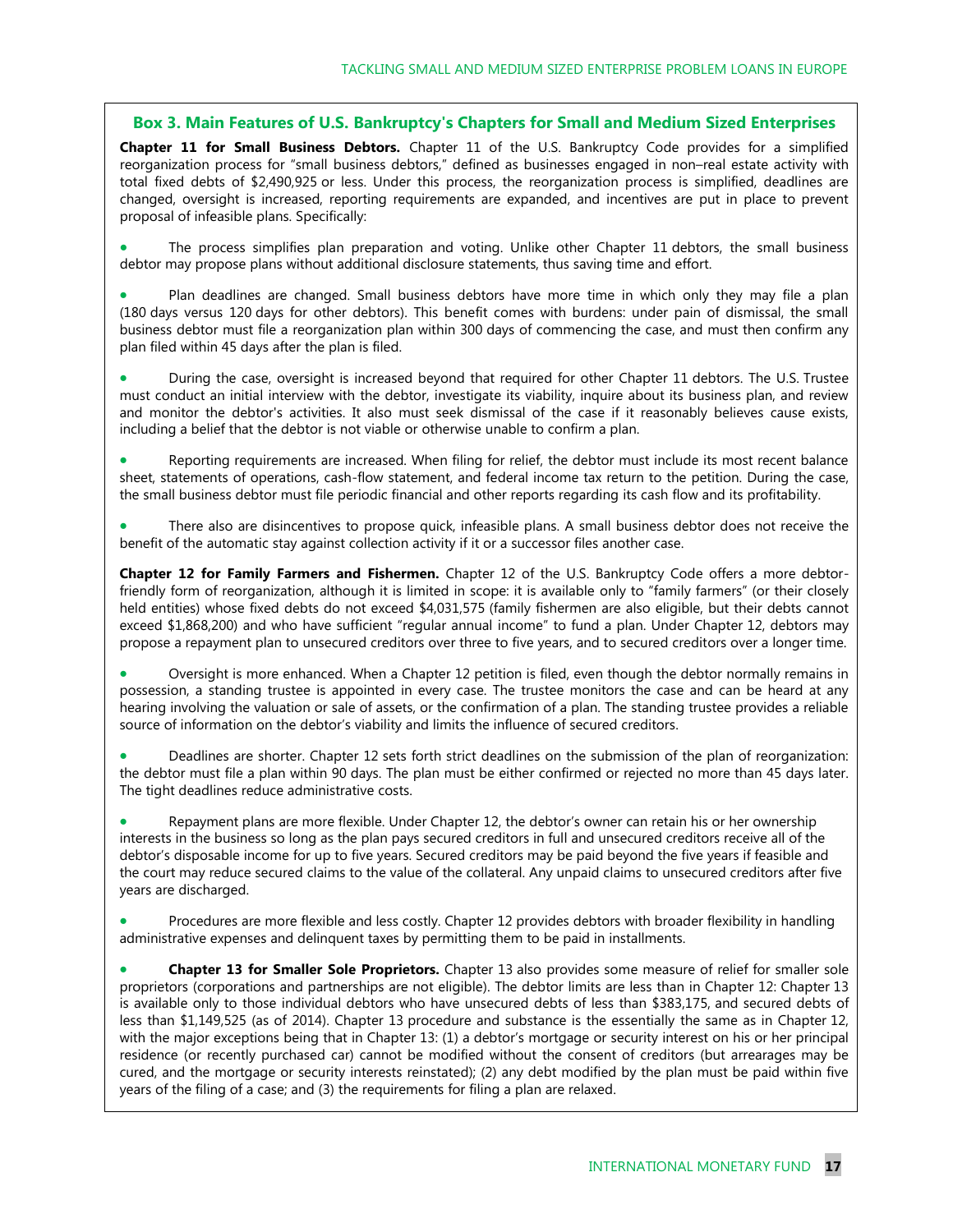#### **Box 3. Main Features of U.S. Bankruptcy's Chapters for Small and Medium Sized Enterprises**

**Chapter 11 for Small Business Debtors.** Chapter 11 of the U.S. Bankruptcy Code provides for a simplified reorganization process for "small business debtors," defined as businesses engaged in non–real estate activity with total fixed debts of \$2,490,925 or less. Under this process, the reorganization process is simplified, deadlines are changed, oversight is increased, reporting requirements are expanded, and incentives are put in place to prevent proposal of infeasible plans. Specifically:

 The process simplifies plan preparation and voting. Unlike other Chapter 11 debtors, the small business debtor may propose plans without additional disclosure statements, thus saving time and effort.

 Plan deadlines are changed. Small business debtors have more time in which only they may file a plan (180 days versus 120 days for other debtors). This benefit comes with burdens: under pain of dismissal, the small business debtor must file a reorganization plan within 300 days of commencing the case, and must then confirm any plan filed within 45 days after the plan is filed.

 During the case, oversight is increased beyond that required for other Chapter 11 debtors. The U.S. Trustee must conduct an initial interview with the debtor, investigate its viability, inquire about its business plan, and review and monitor the debtor's activities. It also must seek dismissal of the case if it reasonably believes cause exists, including a belief that the debtor is not viable or otherwise unable to confirm a plan.

 Reporting requirements are increased. When filing for relief, the debtor must include its most recent balance sheet, statements of operations, cash-flow statement, and federal income tax return to the petition. During the case, the small business debtor must file periodic financial and other reports regarding its cash flow and its profitability.

 There also are disincentives to propose quick, infeasible plans. A small business debtor does not receive the benefit of the automatic stay against collection activity if it or a successor files another case.

**Chapter 12 for Family Farmers and Fishermen.** Chapter 12 of the U.S. Bankruptcy Code offers a more debtorfriendly form of reorganization, although it is limited in scope: it is available only to "family farmers" (or their closely held entities) whose fixed debts do not exceed \$4,031,575 (family fishermen are also eligible, but their debts cannot exceed \$1,868,200) and who have sufficient "regular annual income" to fund a plan. Under Chapter 12, debtors may propose a repayment plan to unsecured creditors over three to five years, and to secured creditors over a longer time.

 Oversight is more enhanced. When a Chapter 12 petition is filed, even though the debtor normally remains in possession, a standing trustee is appointed in every case. The trustee monitors the case and can be heard at any hearing involving the valuation or sale of assets, or the confirmation of a plan. The standing trustee provides a reliable source of information on the debtor's viability and limits the influence of secured creditors.

 Deadlines are shorter. Chapter 12 sets forth strict deadlines on the submission of the plan of reorganization: the debtor must file a plan within 90 days. The plan must be either confirmed or rejected no more than 45 days later. The tight deadlines reduce administrative costs.

 Repayment plans are more flexible. Under Chapter 12, the debtor's owner can retain his or her ownership interests in the business so long as the plan pays secured creditors in full and unsecured creditors receive all of the debtor's disposable income for up to five years. Secured creditors may be paid beyond the five years if feasible and the court may reduce secured claims to the value of the collateral. Any unpaid claims to unsecured creditors after five years are discharged.

 Procedures are more flexible and less costly. Chapter 12 provides debtors with broader flexibility in handling administrative expenses and delinquent taxes by permitting them to be paid in installments.

 **Chapter 13 for Smaller Sole Proprietors.** Chapter 13 also provides some measure of relief for smaller sole proprietors (corporations and partnerships are not eligible). The debtor limits are less than in Chapter 12: Chapter 13 is available only to those individual debtors who have unsecured debts of less than \$383,175, and secured debts of less than \$1,149,525 (as of 2014). Chapter 13 procedure and substance is the essentially the same as in Chapter 12, with the major exceptions being that in Chapter 13: (1) a debtor's mortgage or security interest on his or her principal residence (or recently purchased car) cannot be modified without the consent of creditors (but arrearages may be cured, and the mortgage or security interests reinstated); (2) any debt modified by the plan must be paid within five years of the filing of a case; and (3) the requirements for filing a plan are relaxed.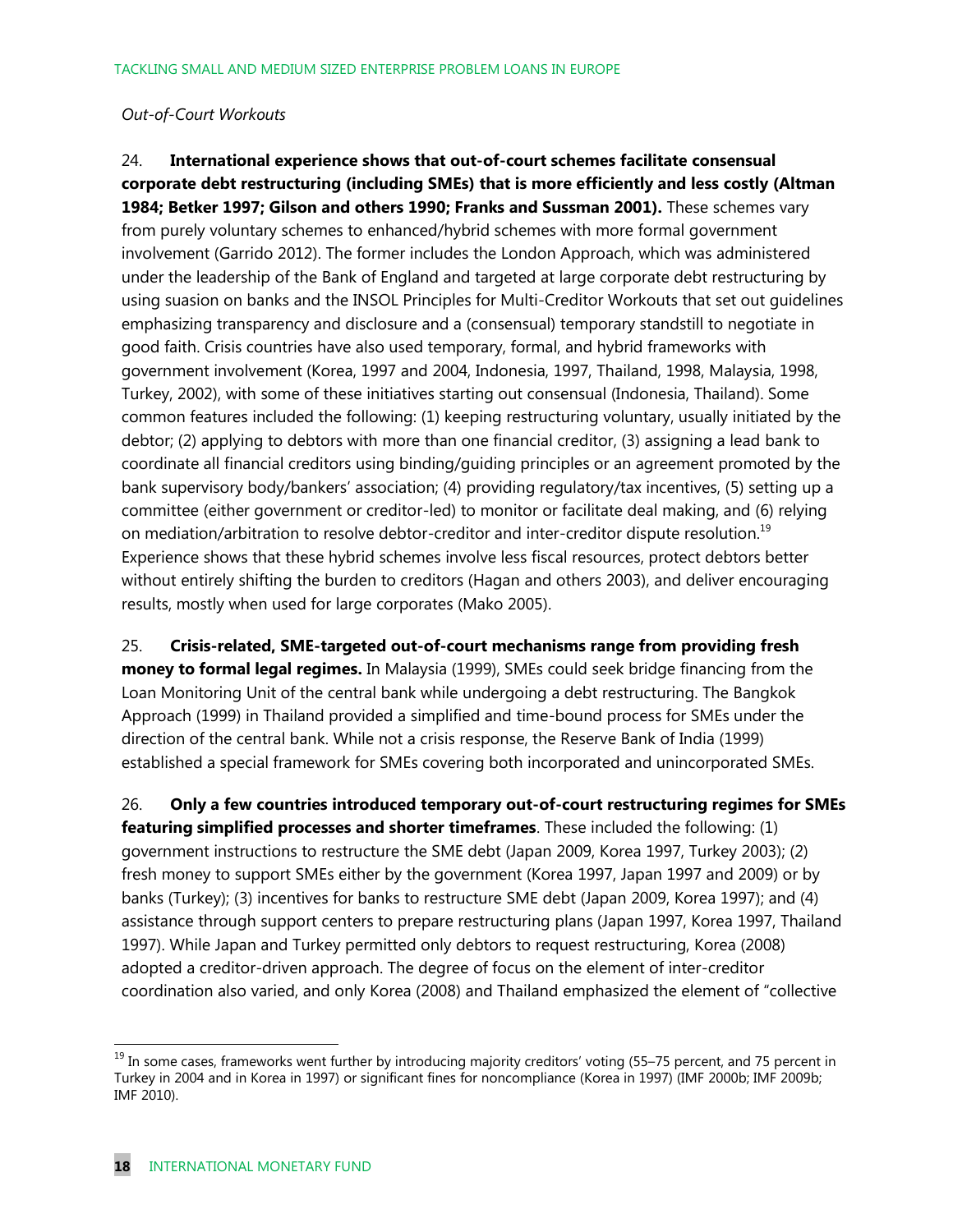#### *Out-of-Court Workouts*

24. **International experience shows that out-of-court schemes facilitate consensual corporate debt restructuring (including SMEs) that is more efficiently and less costly (Altman 1984; Betker 1997; Gilson and others 1990; Franks and Sussman 2001).** These schemes vary from purely voluntary schemes to enhanced/hybrid schemes with more formal government involvement (Garrido 2012). The former includes the London Approach, which was administered under the leadership of the Bank of England and targeted at large corporate debt restructuring by using suasion on banks and the INSOL Principles for Multi-Creditor Workouts that set out guidelines emphasizing transparency and disclosure and a (consensual) temporary standstill to negotiate in good faith. Crisis countries have also used temporary, formal, and hybrid frameworks with government involvement (Korea, 1997 and 2004, Indonesia, 1997, Thailand, 1998, Malaysia, 1998, Turkey, 2002), with some of these initiatives starting out consensual (Indonesia, Thailand). Some common features included the following: (1) keeping restructuring voluntary, usually initiated by the debtor; (2) applying to debtors with more than one financial creditor, (3) assigning a lead bank to coordinate all financial creditors using binding/guiding principles or an agreement promoted by the bank supervisory body/bankers' association; (4) providing regulatory/tax incentives, (5) setting up a committee (either government or creditor-led) to monitor or facilitate deal making, and (6) relying on mediation/arbitration to resolve debtor-creditor and inter-creditor dispute resolution.<sup>19</sup> Experience shows that these hybrid schemes involve less fiscal resources, protect debtors better without entirely shifting the burden to creditors (Hagan and others 2003), and deliver encouraging results, mostly when used for large corporates (Mako 2005).

25. **Crisis-related, SME-targeted out-of-court mechanisms range from providing fresh money to formal legal regimes.** In Malaysia (1999), SMEs could seek bridge financing from the Loan Monitoring Unit of the central bank while undergoing a debt restructuring. The Bangkok Approach (1999) in Thailand provided a simplified and time-bound process for SMEs under the direction of the central bank. While not a crisis response, the Reserve Bank of India (1999) established a special framework for SMEs covering both incorporated and unincorporated SMEs.

26. **Only a few countries introduced temporary out-of-court restructuring regimes for SMEs featuring simplified processes and shorter timeframes**. These included the following: (1) government instructions to restructure the SME debt (Japan 2009, Korea 1997, Turkey 2003); (2) fresh money to support SMEs either by the government (Korea 1997, Japan 1997 and 2009) or by banks (Turkey); (3) incentives for banks to restructure SME debt (Japan 2009, Korea 1997); and (4) assistance through support centers to prepare restructuring plans (Japan 1997, Korea 1997, Thailand 1997). While Japan and Turkey permitted only debtors to request restructuring, Korea (2008) adopted a creditor-driven approach. The degree of focus on the element of inter-creditor coordination also varied, and only Korea (2008) and Thailand emphasized the element of "collective

<sup>&</sup>lt;sup>19</sup> In some cases, frameworks went further by introducing majority creditors' voting (55–75 percent, and 75 percent in Turkey in 2004 and in Korea in 1997) or significant fines for noncompliance (Korea in 1997) (IMF 2000b; IMF 2009b; IMF 2010).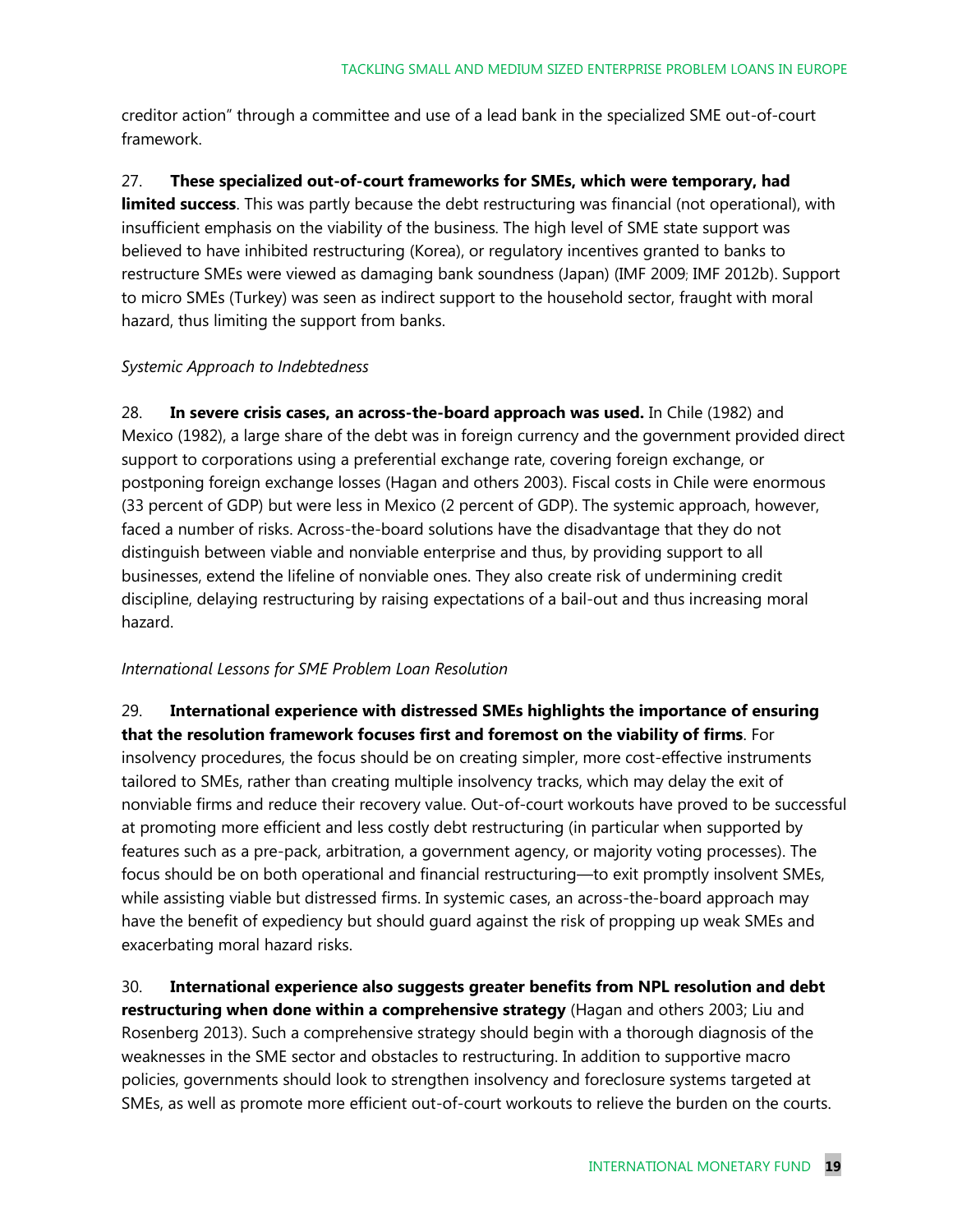creditor action" through a committee and use of a lead bank in the specialized SME out-of-court framework.

27. **These specialized out-of-court frameworks for SMEs, which were temporary, had limited success**. This was partly because the debt restructuring was financial (not operational), with insufficient emphasis on the viability of the business. The high level of SME state support was believed to have inhibited restructuring (Korea), or regulatory incentives granted to banks to restructure SMEs were viewed as damaging bank soundness (Japan) (IMF 2009; IMF 2012b). Support to micro SMEs (Turkey) was seen as indirect support to the household sector, fraught with moral hazard, thus limiting the support from banks.

#### *Systemic Approach to Indebtedness*

28. **In severe crisis cases, an across-the-board approach was used.** In Chile (1982) and Mexico (1982), a large share of the debt was in foreign currency and the government provided direct support to corporations using a preferential exchange rate, covering foreign exchange, or postponing foreign exchange losses (Hagan and others 2003). Fiscal costs in Chile were enormous (33 percent of GDP) but were less in Mexico (2 percent of GDP). The systemic approach, however, faced a number of risks. Across-the-board solutions have the disadvantage that they do not distinguish between viable and nonviable enterprise and thus, by providing support to all businesses, extend the lifeline of nonviable ones. They also create risk of undermining credit discipline, delaying restructuring by raising expectations of a bail-out and thus increasing moral hazard.

#### *International Lessons for SME Problem Loan Resolution*

#### 29. **International experience with distressed SMEs highlights the importance of ensuring that the resolution framework focuses first and foremost on the viability of firms**. For

insolvency procedures, the focus should be on creating simpler, more cost-effective instruments tailored to SMEs, rather than creating multiple insolvency tracks, which may delay the exit of nonviable firms and reduce their recovery value. Out-of-court workouts have proved to be successful at promoting more efficient and less costly debt restructuring (in particular when supported by features such as a pre-pack, arbitration, a government agency, or majority voting processes). The focus should be on both operational and financial restructuring—to exit promptly insolvent SMEs, while assisting viable but distressed firms. In systemic cases, an across-the-board approach may have the benefit of expediency but should guard against the risk of propping up weak SMEs and exacerbating moral hazard risks.

30. **International experience also suggests greater benefits from NPL resolution and debt restructuring when done within a comprehensive strategy** (Hagan and others 2003; Liu and Rosenberg 2013). Such a comprehensive strategy should begin with a thorough diagnosis of the weaknesses in the SME sector and obstacles to restructuring. In addition to supportive macro policies, governments should look to strengthen insolvency and foreclosure systems targeted at SMEs, as well as promote more efficient out-of-court workouts to relieve the burden on the courts.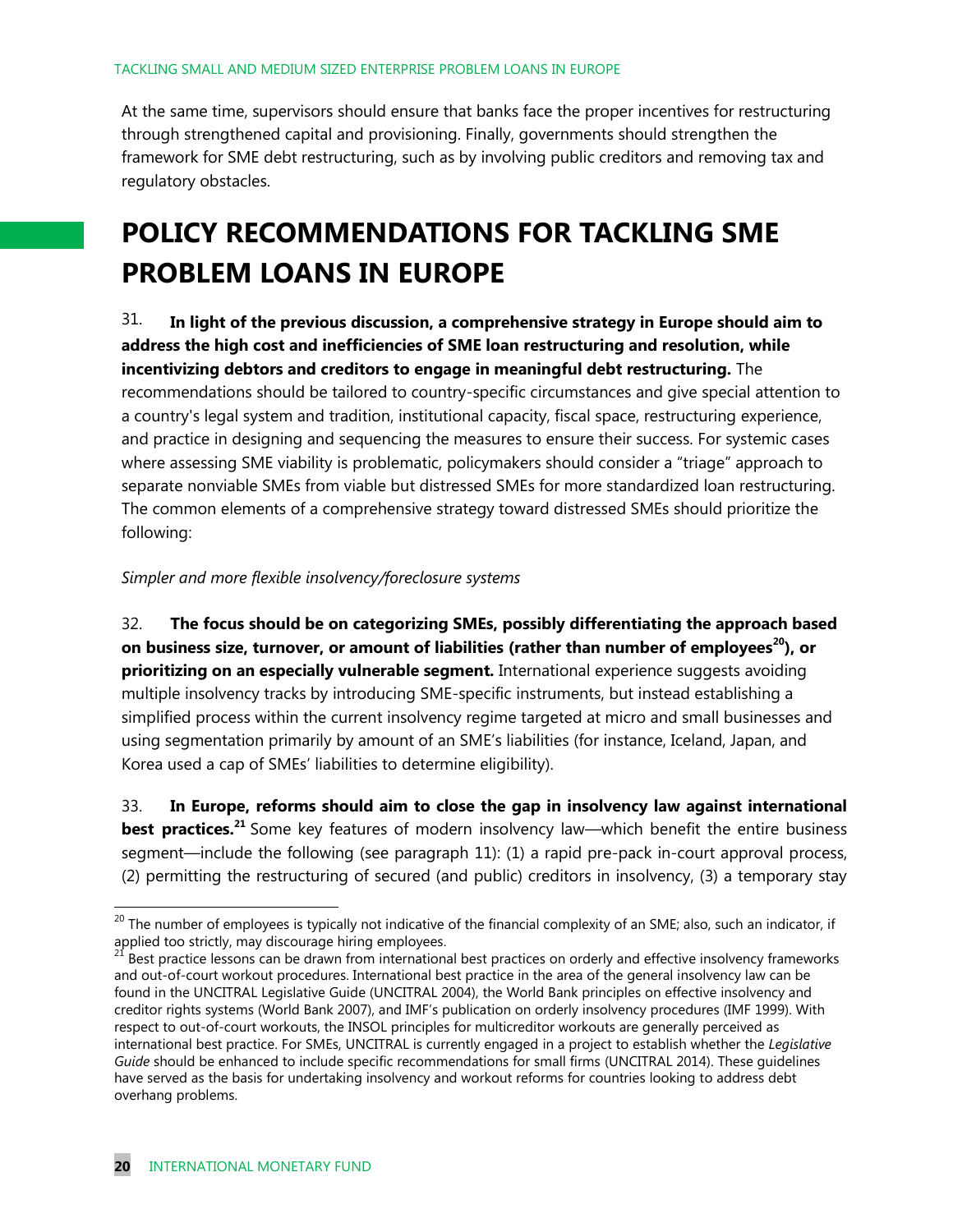At the same time, supervisors should ensure that banks face the proper incentives for restructuring through strengthened capital and provisioning. Finally, governments should strengthen the framework for SME debt restructuring, such as by involving public creditors and removing tax and regulatory obstacles.

### **POLICY RECOMMENDATIONS FOR TACKLING SME PROBLEM LOANS IN EUROPE**

31. **In light of the previous discussion, a comprehensive strategy in Europe should aim to address the high cost and inefficiencies of SME loan restructuring and resolution, while incentivizing debtors and creditors to engage in meaningful debt restructuring.** The recommendations should be tailored to country-specific circumstances and give special attention to a country's legal system and tradition, institutional capacity, fiscal space, restructuring experience, and practice in designing and sequencing the measures to ensure their success. For systemic cases where assessing SME viability is problematic, policymakers should consider a "triage" approach to separate nonviable SMEs from viable but distressed SMEs for more standardized loan restructuring. The common elements of a comprehensive strategy toward distressed SMEs should prioritize the following:

*Simpler and more flexible insolvency/foreclosure systems* 

32. **The focus should be on categorizing SMEs, possibly differentiating the approach based on business size, turnover, or amount of liabilities (rather than number of employees<sup>20</sup>), or prioritizing on an especially vulnerable segment.** International experience suggests avoiding multiple insolvency tracks by introducing SME-specific instruments, but instead establishing a simplified process within the current insolvency regime targeted at micro and small businesses and using segmentation primarily by amount of an SME's liabilities (for instance, Iceland, Japan, and Korea used a cap of SMEs' liabilities to determine eligibility).

33. **In Europe, reforms should aim to close the gap in insolvency law against international best practices.**<sup>21</sup> Some key features of modern insolvency law—which benefit the entire business segment—include the following (see paragraph 11): (1) a rapid pre-pack in-court approval process, (2) permitting the restructuring of secured (and public) creditors in insolvency, (3) a temporary stay

<sup>&</sup>lt;sup>20</sup> The number of employees is typically not indicative of the financial complexity of an SME; also, such an indicator, if applied too strictly, may discourage hiring employees.

<sup>&</sup>lt;sup>21</sup> Best practice lessons can be drawn from international best practices on orderly and effective insolvency frameworks and out-of-court workout procedures. International best practice in the area of the general insolvency law can be found in the UNCITRAL Legislative Guide (UNCITRAL 2004), the World Bank principles on effective insolvency and creditor rights systems (World Bank 2007), and IMF's publication on orderly insolvency procedures (IMF 1999). With respect to out-of-court workouts, the INSOL principles for multicreditor workouts are generally perceived as international best practice. For SMEs, UNCITRAL is currently engaged in a project to establish whether the *Legislative Guide* should be enhanced to include specific recommendations for small firms (UNCITRAL 2014). These guidelines have served as the basis for undertaking insolvency and workout reforms for countries looking to address debt overhang problems.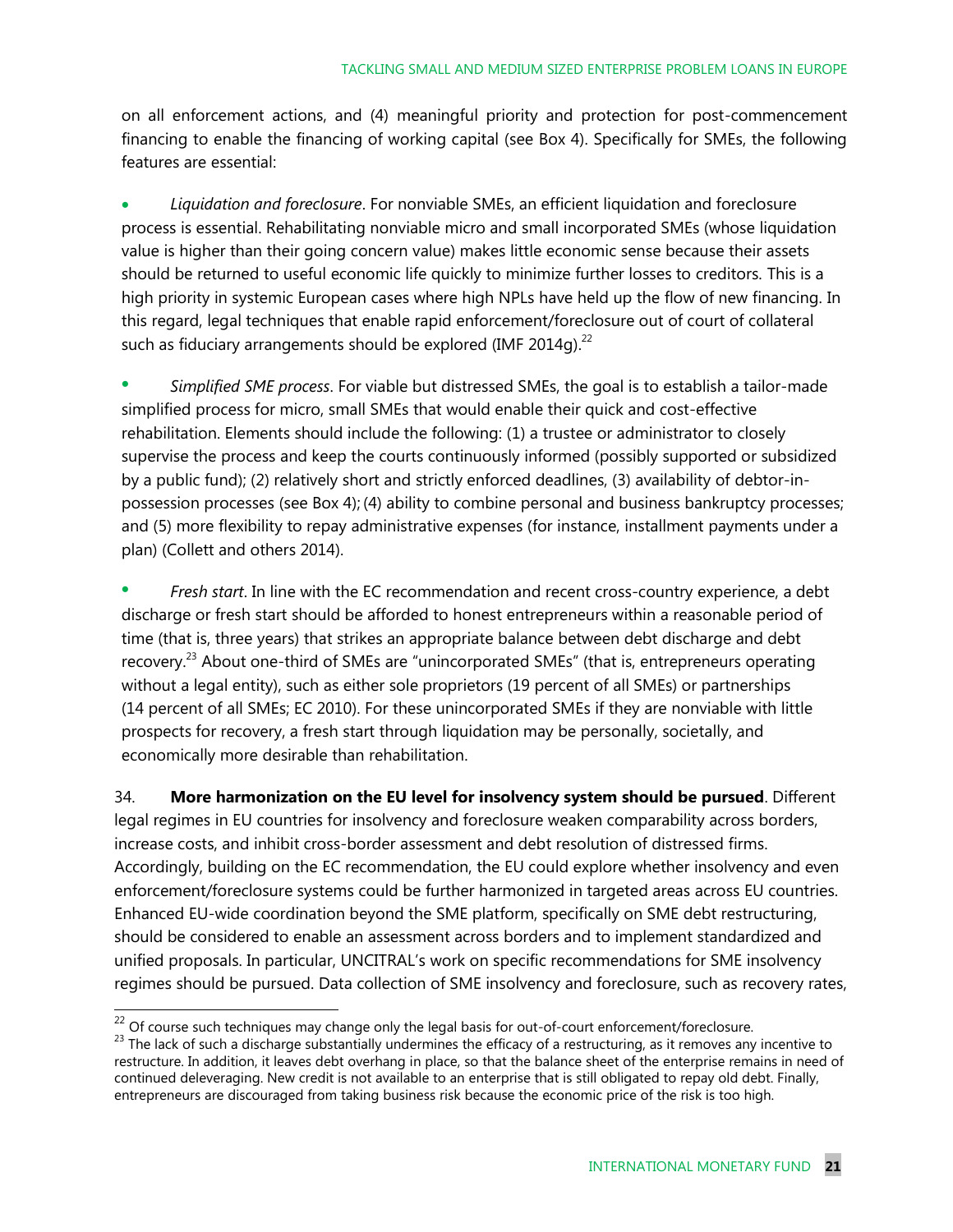on all enforcement actions, and (4) meaningful priority and protection for post-commencement financing to enable the financing of working capital (see Box 4). Specifically for SMEs, the following features are essential:

 *Liquidation and foreclosure*. For nonviable SMEs, an efficient liquidation and foreclosure process is essential. Rehabilitating nonviable micro and small incorporated SMEs (whose liquidation value is higher than their going concern value) makes little economic sense because their assets should be returned to useful economic life quickly to minimize further losses to creditors. This is a high priority in systemic European cases where high NPLs have held up the flow of new financing. In this regard, legal techniques that enable rapid enforcement/foreclosure out of court of collateral such as fiduciary arrangements should be explored (IMF 2014g). $^{22}$ 

 *Simplified SME process*. For viable but distressed SMEs, the goal is to establish a tailor-made simplified process for micro, small SMEs that would enable their quick and cost-effective rehabilitation. Elements should include the following: (1) a trustee or administrator to closely supervise the process and keep the courts continuously informed (possibly supported or subsidized by a public fund); (2) relatively short and strictly enforced deadlines, (3) availability of debtor-inpossession processes (see Box 4); (4) ability to combine personal and business bankruptcy processes; and (5) more flexibility to repay administrative expenses (for instance, installment payments under a plan) (Collett and others 2014).

 *Fresh start*. In line with the EC recommendation and recent cross-country experience, a debt discharge or fresh start should be afforded to honest entrepreneurs within a reasonable period of time (that is, three years) that strikes an appropriate balance between debt discharge and debt recovery.<sup>23</sup> About one-third of SMEs are "unincorporated SMEs" (that is, entrepreneurs operating without a legal entity), such as either sole proprietors (19 percent of all SMEs) or partnerships (14 percent of all SMEs; EC 2010). For these unincorporated SMEs if they are nonviable with little prospects for recovery, a fresh start through liquidation may be personally, societally, and economically more desirable than rehabilitation.

34. **More harmonization on the EU level for insolvency system should be pursued**. Different legal regimes in EU countries for insolvency and foreclosure weaken comparability across borders, increase costs, and inhibit cross-border assessment and debt resolution of distressed firms. Accordingly, building on the EC recommendation, the EU could explore whether insolvency and even enforcement/foreclosure systems could be further harmonized in targeted areas across EU countries. Enhanced EU-wide coordination beyond the SME platform, specifically on SME debt restructuring, should be considered to enable an assessment across borders and to implement standardized and unified proposals. In particular, UNCITRAL's work on specific recommendations for SME insolvency regimes should be pursued. Data collection of SME insolvency and foreclosure, such as recovery rates,

 $22$  Of course such techniques may change only the legal basis for out-of-court enforcement/foreclosure.

 $^{23}$  The lack of such a discharge substantially undermines the efficacy of a restructuring, as it removes any incentive to restructure. In addition, it leaves debt overhang in place, so that the balance sheet of the enterprise remains in need of continued deleveraging. New credit is not available to an enterprise that is still obligated to repay old debt. Finally, entrepreneurs are discouraged from taking business risk because the economic price of the risk is too high.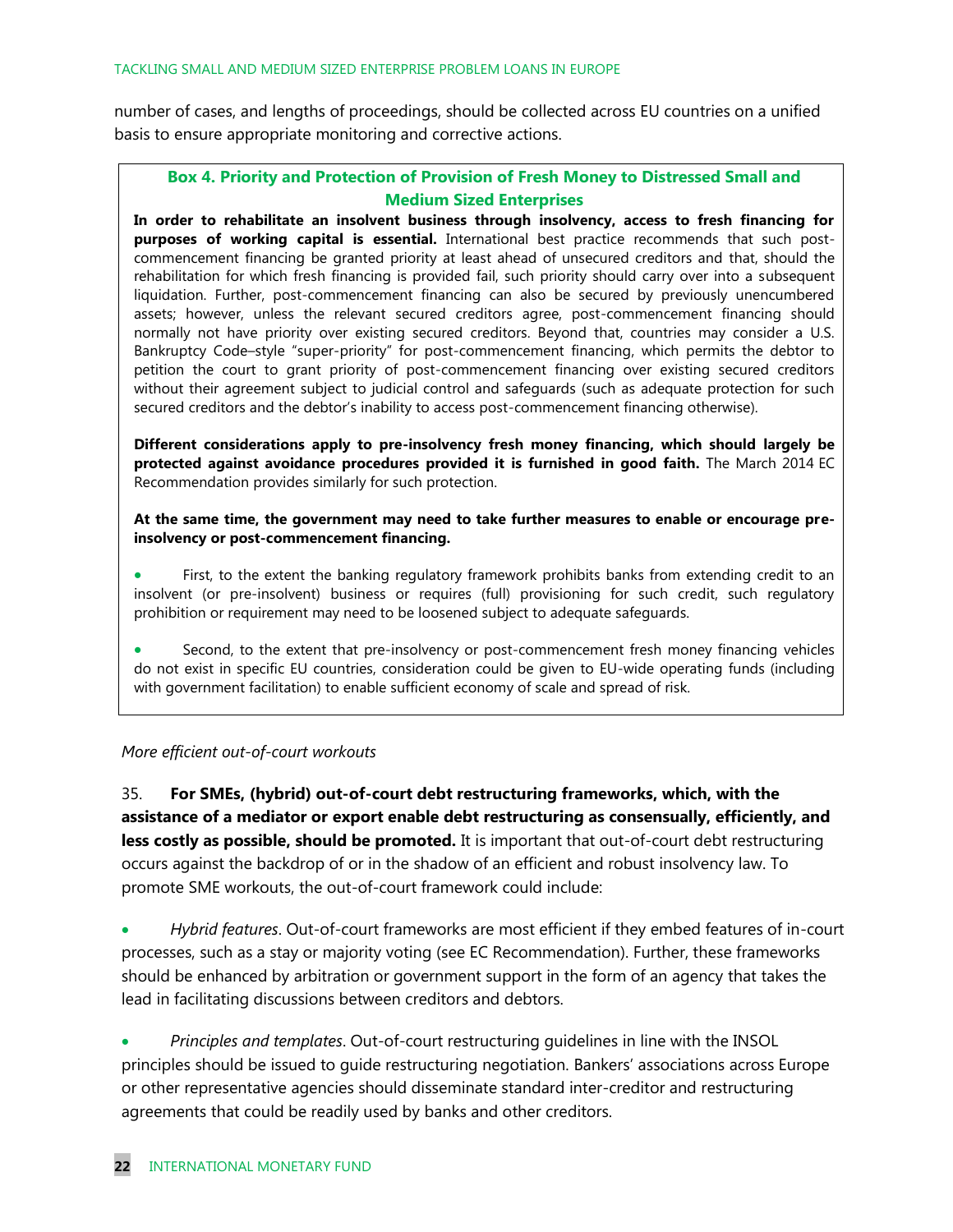number of cases, and lengths of proceedings, should be collected across EU countries on a unified basis to ensure appropriate monitoring and corrective actions.

#### **Box 4. Priority and Protection of Provision of Fresh Money to Distressed Small and Medium Sized Enterprises**

**In order to rehabilitate an insolvent business through insolvency, access to fresh financing for purposes of working capital is essential.** International best practice recommends that such postcommencement financing be granted priority at least ahead of unsecured creditors and that, should the rehabilitation for which fresh financing is provided fail, such priority should carry over into a subsequent liquidation. Further, post-commencement financing can also be secured by previously unencumbered assets; however, unless the relevant secured creditors agree, post-commencement financing should normally not have priority over existing secured creditors. Beyond that, countries may consider a U.S. Bankruptcy Code–style "super-priority" for post-commencement financing, which permits the debtor to petition the court to grant priority of post-commencement financing over existing secured creditors without their agreement subject to judicial control and safeguards (such as adequate protection for such secured creditors and the debtor's inability to access post-commencement financing otherwise).

**Different considerations apply to pre-insolvency fresh money financing, which should largely be protected against avoidance procedures provided it is furnished in good faith.** The March 2014 EC Recommendation provides similarly for such protection.

**At the same time, the government may need to take further measures to enable or encourage preinsolvency or post-commencement financing.**

 First, to the extent the banking regulatory framework prohibits banks from extending credit to an insolvent (or pre-insolvent) business or requires (full) provisioning for such credit, such regulatory prohibition or requirement may need to be loosened subject to adequate safeguards.

 Second, to the extent that pre-insolvency or post-commencement fresh money financing vehicles do not exist in specific EU countries, consideration could be given to EU-wide operating funds (including with government facilitation) to enable sufficient economy of scale and spread of risk.

#### *More efficient out-of-court workouts*

35. **For SMEs, (hybrid) out-of-court debt restructuring frameworks, which, with the assistance of a mediator or export enable debt restructuring as consensually, efficiently, and less costly as possible, should be promoted.** It is important that out-of-court debt restructuring occurs against the backdrop of or in the shadow of an efficient and robust insolvency law. To promote SME workouts, the out-of-court framework could include:

 *Hybrid features*. Out-of-court frameworks are most efficient if they embed features of in-court processes, such as a stay or majority voting (see EC Recommendation). Further, these frameworks should be enhanced by arbitration or government support in the form of an agency that takes the lead in facilitating discussions between creditors and debtors.

 *Principles and templates*. Out-of-court restructuring guidelines in line with the INSOL principles should be issued to guide restructuring negotiation. Bankers' associations across Europe or other representative agencies should disseminate standard inter-creditor and restructuring agreements that could be readily used by banks and other creditors.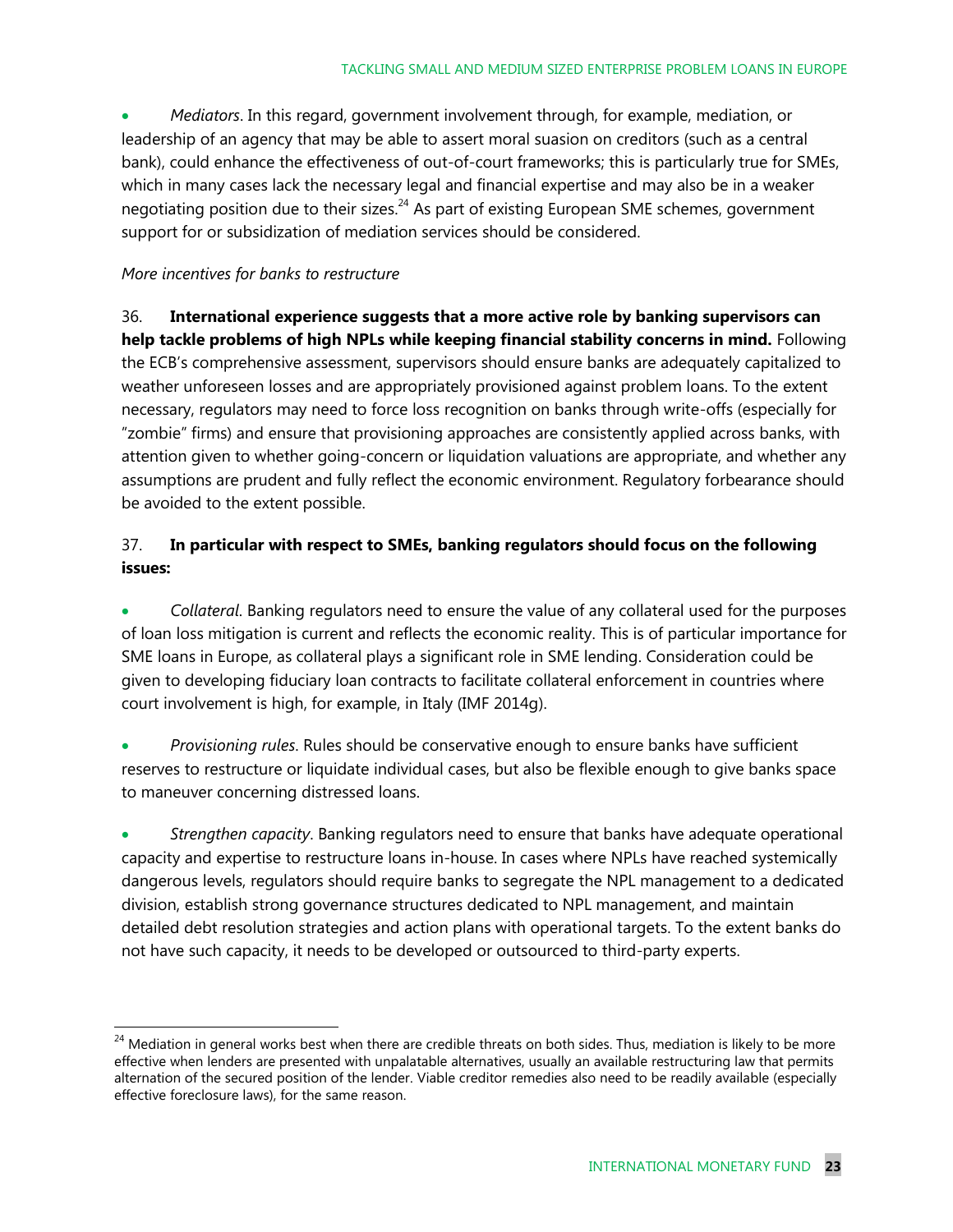*Mediators*. In this regard, government involvement through, for example, mediation, or leadership of an agency that may be able to assert moral suasion on creditors (such as a central bank), could enhance the effectiveness of out-of-court frameworks; this is particularly true for SMEs, which in many cases lack the necessary legal and financial expertise and may also be in a weaker negotiating position due to their sizes. $^{24}$  As part of existing European SME schemes, government support for or subsidization of mediation services should be considered.

#### *More incentives for banks to restructure*

 $\overline{a}$ 

36. **International experience suggests that a more active role by banking supervisors can help tackle problems of high NPLs while keeping financial stability concerns in mind.** Following the ECB's comprehensive assessment, supervisors should ensure banks are adequately capitalized to weather unforeseen losses and are appropriately provisioned against problem loans. To the extent necessary, regulators may need to force loss recognition on banks through write-offs (especially for "zombie" firms) and ensure that provisioning approaches are consistently applied across banks, with attention given to whether going-concern or liquidation valuations are appropriate, and whether any assumptions are prudent and fully reflect the economic environment. Regulatory forbearance should be avoided to the extent possible.

#### 37. **In particular with respect to SMEs, banking regulators should focus on the following issues:**

 *Collateral*. Banking regulators need to ensure the value of any collateral used for the purposes of loan loss mitigation is current and reflects the economic reality. This is of particular importance for SME loans in Europe, as collateral plays a significant role in SME lending. Consideration could be given to developing fiduciary loan contracts to facilitate collateral enforcement in countries where court involvement is high, for example, in Italy (IMF 2014g).

 *Provisioning rules*. Rules should be conservative enough to ensure banks have sufficient reserves to restructure or liquidate individual cases, but also be flexible enough to give banks space to maneuver concerning distressed loans.

 *Strengthen capacity*. Banking regulators need to ensure that banks have adequate operational capacity and expertise to restructure loans in-house. In cases where NPLs have reached systemically dangerous levels, regulators should require banks to segregate the NPL management to a dedicated division, establish strong governance structures dedicated to NPL management, and maintain detailed debt resolution strategies and action plans with operational targets. To the extent banks do not have such capacity, it needs to be developed or outsourced to third-party experts.

<sup>&</sup>lt;sup>24</sup> Mediation in general works best when there are credible threats on both sides. Thus, mediation is likely to be more effective when lenders are presented with unpalatable alternatives, usually an available restructuring law that permits alternation of the secured position of the lender. Viable creditor remedies also need to be readily available (especially effective foreclosure laws), for the same reason.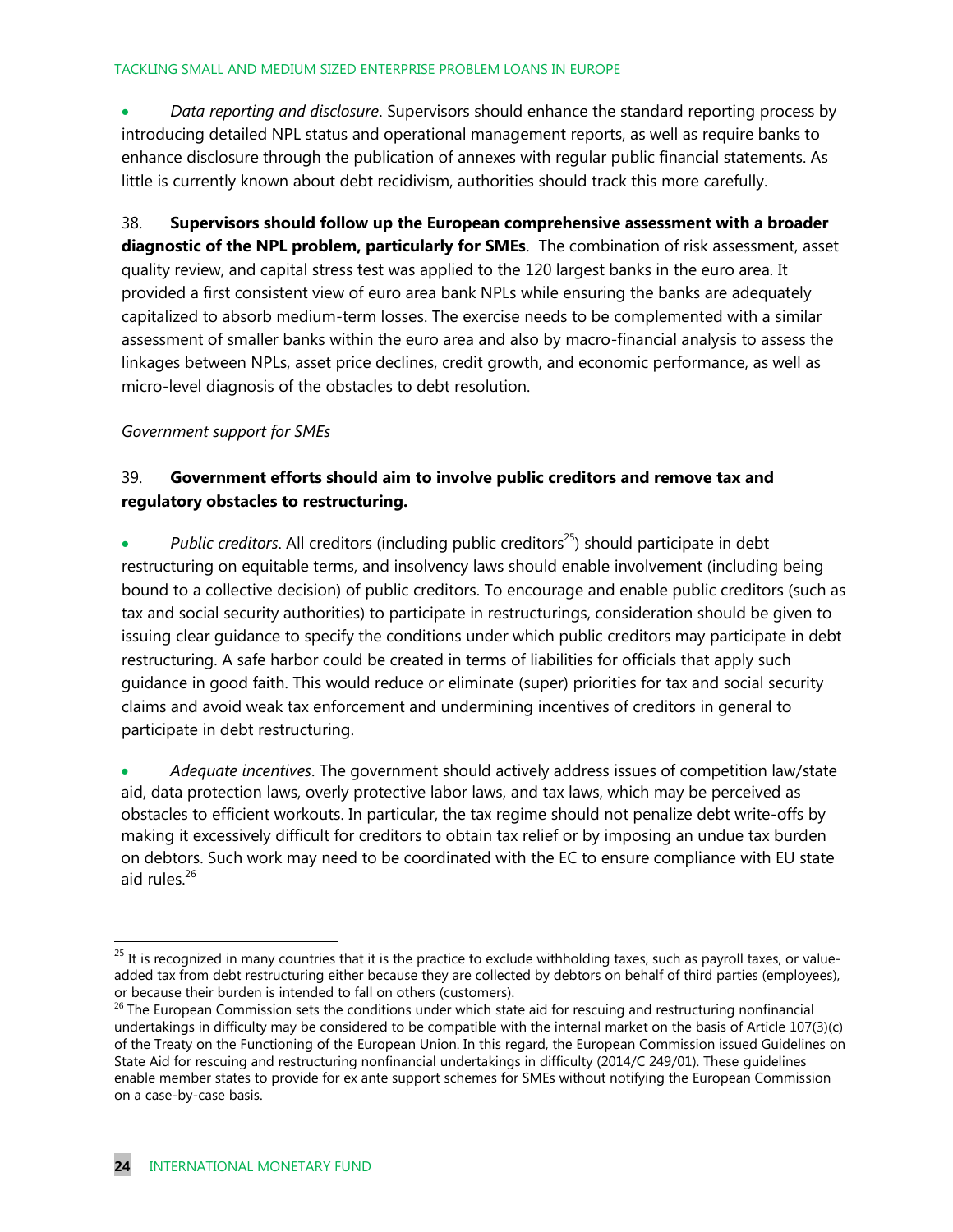#### TACKLING SMALL AND MEDIUM SIZED ENTERPRISE PROBLEM LOANS IN EUROPE

 *Data reporting and disclosure*. Supervisors should enhance the standard reporting process by introducing detailed NPL status and operational management reports, as well as require banks to enhance disclosure through the publication of annexes with regular public financial statements. As little is currently known about debt recidivism, authorities should track this more carefully.

38. **Supervisors should follow up the European comprehensive assessment with a broader diagnostic of the NPL problem, particularly for SMEs**. The combination of risk assessment, asset quality review, and capital stress test was applied to the 120 largest banks in the euro area. It provided a first consistent view of euro area bank NPLs while ensuring the banks are adequately capitalized to absorb medium-term losses. The exercise needs to be complemented with a similar assessment of smaller banks within the euro area and also by macro-financial analysis to assess the linkages between NPLs, asset price declines, credit growth, and economic performance, as well as micro-level diagnosis of the obstacles to debt resolution.

#### *Government support for SMEs*

#### 39. **Government efforts should aim to involve public creditors and remove tax and regulatory obstacles to restructuring.**

*Public creditors*. All creditors (including public creditors<sup>25</sup>) should participate in debt restructuring on equitable terms, and insolvency laws should enable involvement (including being bound to a collective decision) of public creditors. To encourage and enable public creditors (such as tax and social security authorities) to participate in restructurings, consideration should be given to issuing clear guidance to specify the conditions under which public creditors may participate in debt restructuring. A safe harbor could be created in terms of liabilities for officials that apply such guidance in good faith. This would reduce or eliminate (super) priorities for tax and social security claims and avoid weak tax enforcement and undermining incentives of creditors in general to participate in debt restructuring.

 *Adequate incentives*. The government should actively address issues of competition law/state aid, data protection laws, overly protective labor laws, and tax laws, which may be perceived as obstacles to efficient workouts. In particular, the tax regime should not penalize debt write-offs by making it excessively difficult for creditors to obtain tax relief or by imposing an undue tax burden on debtors. Such work may need to be coordinated with the EC to ensure compliance with EU state aid rules. $26$ 

 $25$  It is recognized in many countries that it is the practice to exclude withholding taxes, such as payroll taxes, or valueadded tax from debt restructuring either because they are collected by debtors on behalf of third parties (employees), or because their burden is intended to fall on others (customers).

 $^{26}$  The European Commission sets the conditions under which state aid for rescuing and restructuring nonfinancial undertakings in difficulty may be considered to be compatible with the internal market on the basis of Article 107(3)(c) of the Treaty on the Functioning of the European Union. In this regard, the European Commission issued Guidelines on State Aid for rescuing and restructuring nonfinancial undertakings in difficulty (2014/C 249/01). These guidelines enable member states to provide for ex ante support schemes for SMEs without notifying the European Commission on a case-by-case basis.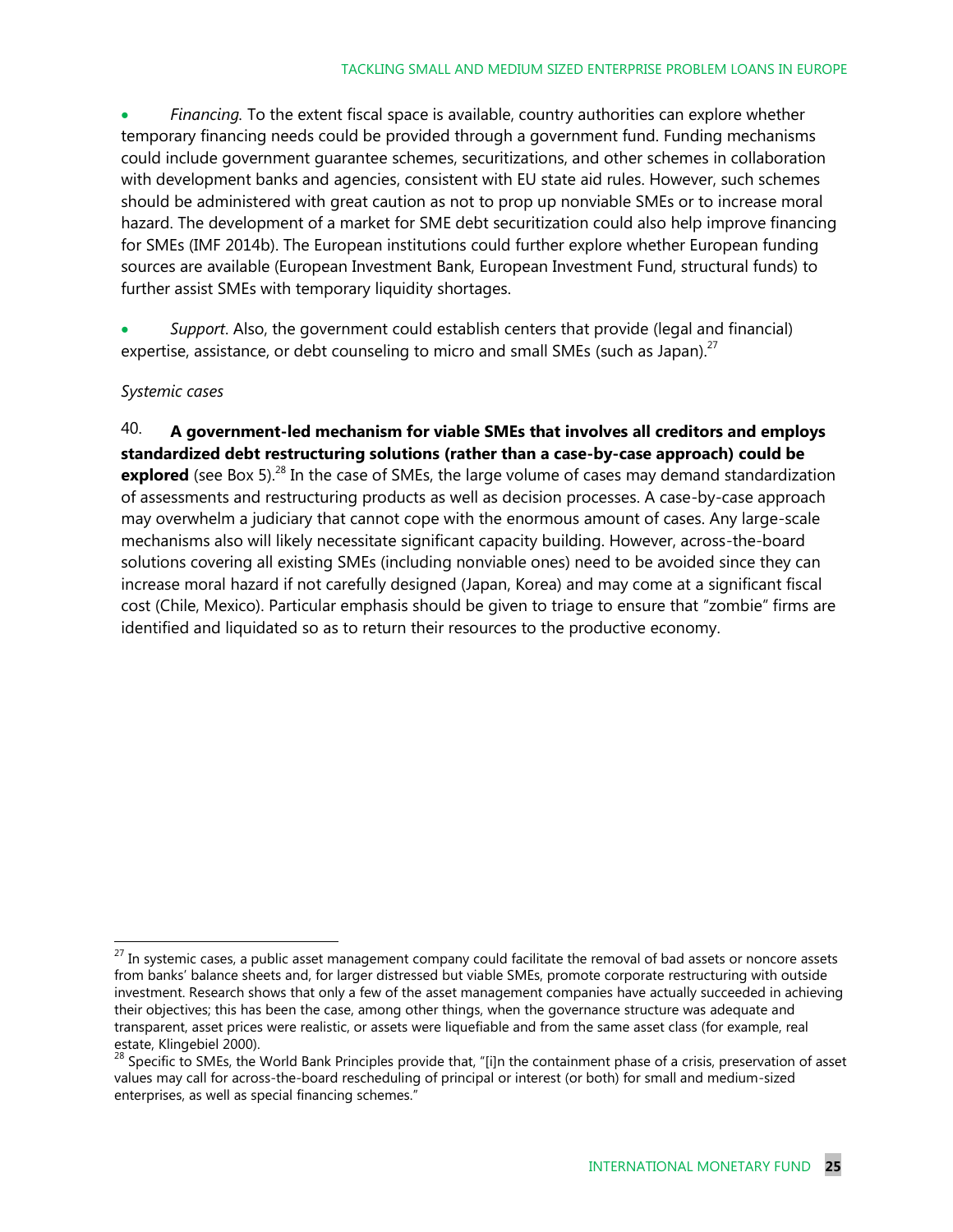*Financing.* To the extent fiscal space is available, country authorities can explore whether temporary financing needs could be provided through a government fund. Funding mechanisms could include government guarantee schemes, securitizations, and other schemes in collaboration with development banks and agencies, consistent with EU state aid rules. However, such schemes should be administered with great caution as not to prop up nonviable SMEs or to increase moral hazard. The development of a market for SME debt securitization could also help improve financing for SMEs (IMF 2014b). The European institutions could further explore whether European funding sources are available (European Investment Bank, European Investment Fund, structural funds) to further assist SMEs with temporary liquidity shortages.

 *Support*. Also, the government could establish centers that provide (legal and financial) expertise, assistance, or debt counseling to micro and small SMEs (such as Japan).<sup>27</sup>

#### *Systemic cases*

40. **A government-led mechanism for viable SMEs that involves all creditors and employs standardized debt restructuring solutions (rather than a case-by-case approach) could be**  explored (see Box 5).<sup>28</sup> In the case of SMEs, the large volume of cases may demand standardization of assessments and restructuring products as well as decision processes. A case-by-case approach may overwhelm a judiciary that cannot cope with the enormous amount of cases. Any large-scale mechanisms also will likely necessitate significant capacity building. However, across-the-board solutions covering all existing SMEs (including nonviable ones) need to be avoided since they can increase moral hazard if not carefully designed (Japan, Korea) and may come at a significant fiscal cost (Chile, Mexico). Particular emphasis should be given to triage to ensure that "zombie" firms are identified and liquidated so as to return their resources to the productive economy.

 $27$  In systemic cases, a public asset management company could facilitate the removal of bad assets or noncore assets from banks' balance sheets and, for larger distressed but viable SMEs, promote corporate restructuring with outside investment. Research shows that only a few of the asset management companies have actually succeeded in achieving their objectives; this has been the case, among other things, when the governance structure was adequate and transparent, asset prices were realistic, or assets were liquefiable and from the same asset class (for example, real estate, Klingebiel 2000).

<sup>28</sup> Specific to SMEs, the World Bank Principles provide that, "[i]n the containment phase of a crisis, preservation of asset values may call for across-the-board rescheduling of principal or interest (or both) for small and medium-sized enterprises, as well as special financing schemes."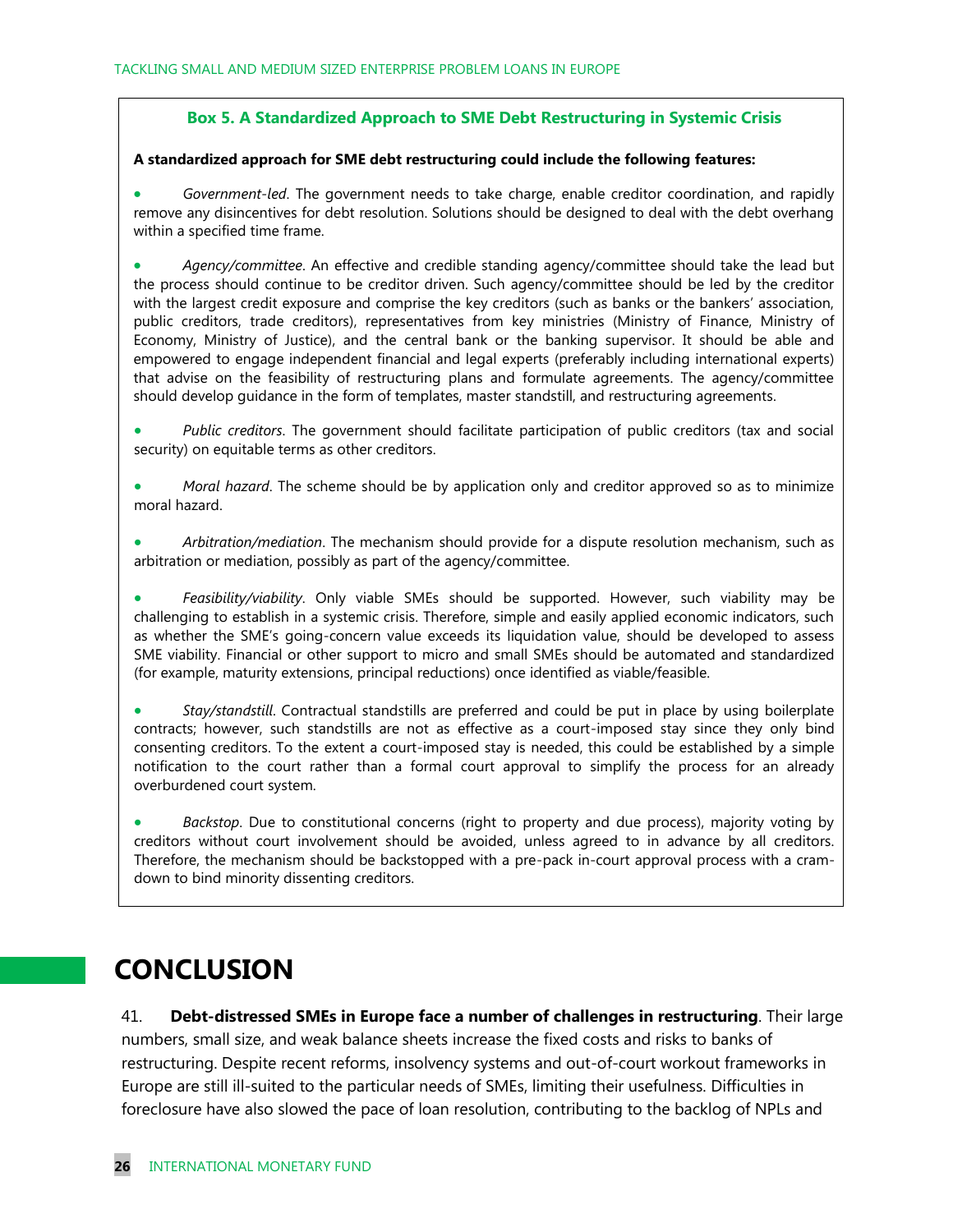#### **Box 5. A Standardized Approach to SME Debt Restructuring in Systemic Crisis**

#### **A standardized approach for SME debt restructuring could include the following features:**

 *Government-led*. The government needs to take charge, enable creditor coordination, and rapidly remove any disincentives for debt resolution. Solutions should be designed to deal with the debt overhang within a specified time frame.

 *Agency/committee*. An effective and credible standing agency/committee should take the lead but the process should continue to be creditor driven. Such agency/committee should be led by the creditor with the largest credit exposure and comprise the key creditors (such as banks or the bankers' association, public creditors, trade creditors), representatives from key ministries (Ministry of Finance, Ministry of Economy, Ministry of Justice), and the central bank or the banking supervisor. It should be able and empowered to engage independent financial and legal experts (preferably including international experts) that advise on the feasibility of restructuring plans and formulate agreements. The agency/committee should develop guidance in the form of templates, master standstill, and restructuring agreements.

- *Public creditors*. The government should facilitate participation of public creditors (tax and social security) on equitable terms as other creditors.
- *Moral hazard*. The scheme should be by application only and creditor approved so as to minimize moral hazard.

 *Arbitration/mediation*. The mechanism should provide for a dispute resolution mechanism, such as arbitration or mediation, possibly as part of the agency/committee.

 *Feasibility/viability*. Only viable SMEs should be supported. However, such viability may be challenging to establish in a systemic crisis. Therefore, simple and easily applied economic indicators, such as whether the SME's going-concern value exceeds its liquidation value, should be developed to assess SME viability. Financial or other support to micro and small SMEs should be automated and standardized (for example, maturity extensions, principal reductions) once identified as viable/feasible.

 *Stay/standstill*. Contractual standstills are preferred and could be put in place by using boilerplate contracts; however, such standstills are not as effective as a court-imposed stay since they only bind consenting creditors. To the extent a court-imposed stay is needed, this could be established by a simple notification to the court rather than a formal court approval to simplify the process for an already overburdened court system.

 *Backstop*. Due to constitutional concerns (right to property and due process), majority voting by creditors without court involvement should be avoided, unless agreed to in advance by all creditors. Therefore, the mechanism should be backstopped with a pre-pack in-court approval process with a cramdown to bind minority dissenting creditors.

### **CONCLUSION**

41. **Debt-distressed SMEs in Europe face a number of challenges in restructuring**. Their large numbers, small size, and weak balance sheets increase the fixed costs and risks to banks of restructuring. Despite recent reforms, insolvency systems and out-of-court workout frameworks in Europe are still ill-suited to the particular needs of SMEs, limiting their usefulness. Difficulties in foreclosure have also slowed the pace of loan resolution, contributing to the backlog of NPLs and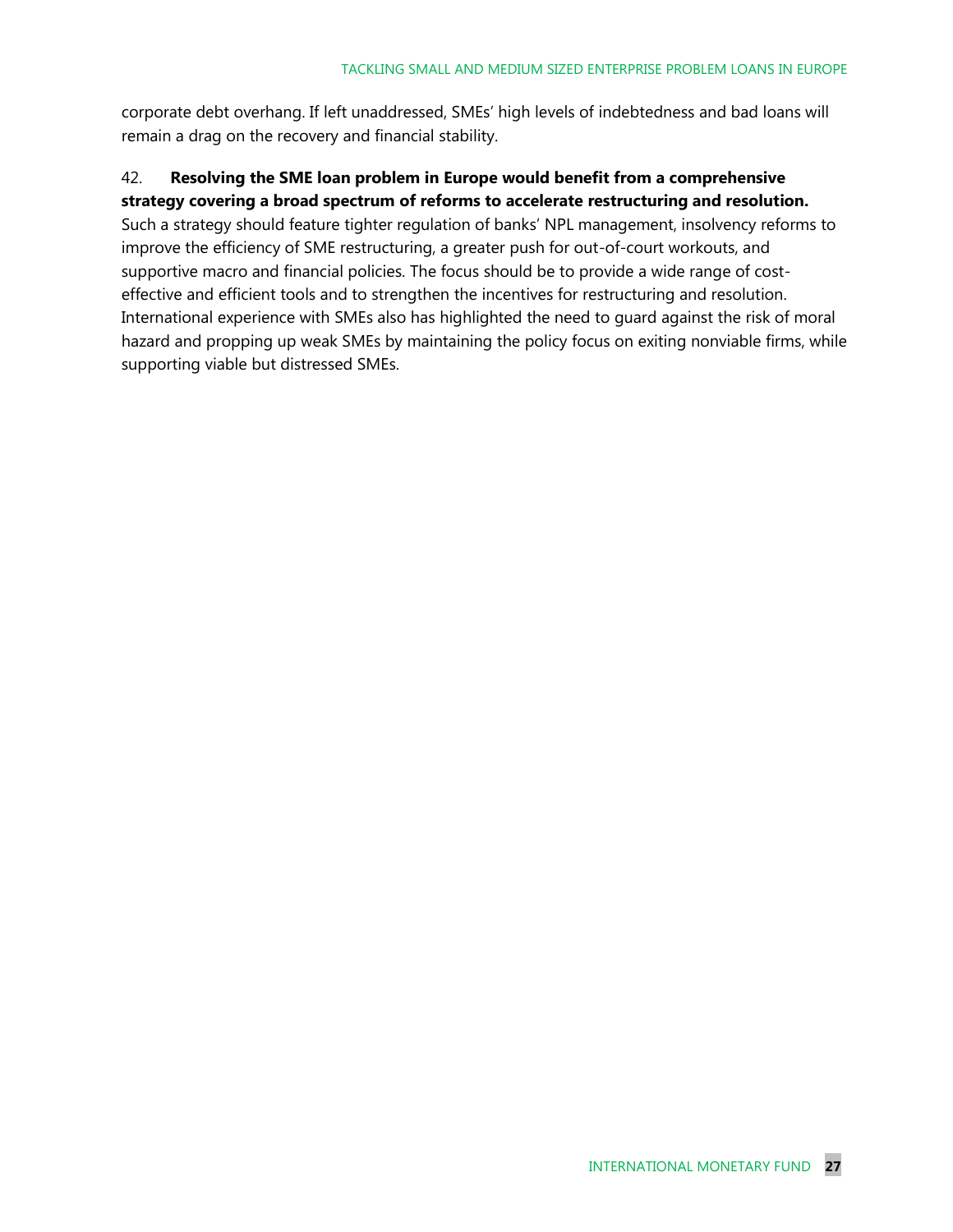corporate debt overhang. If left unaddressed, SMEs' high levels of indebtedness and bad loans will remain a drag on the recovery and financial stability.

#### 42. **Resolving the SME loan problem in Europe would benefit from a comprehensive strategy covering a broad spectrum of reforms to accelerate restructuring and resolution.**

Such a strategy should feature tighter regulation of banks' NPL management, insolvency reforms to improve the efficiency of SME restructuring, a greater push for out-of-court workouts, and supportive macro and financial policies. The focus should be to provide a wide range of costeffective and efficient tools and to strengthen the incentives for restructuring and resolution. International experience with SMEs also has highlighted the need to guard against the risk of moral hazard and propping up weak SMEs by maintaining the policy focus on exiting nonviable firms, while supporting viable but distressed SMEs.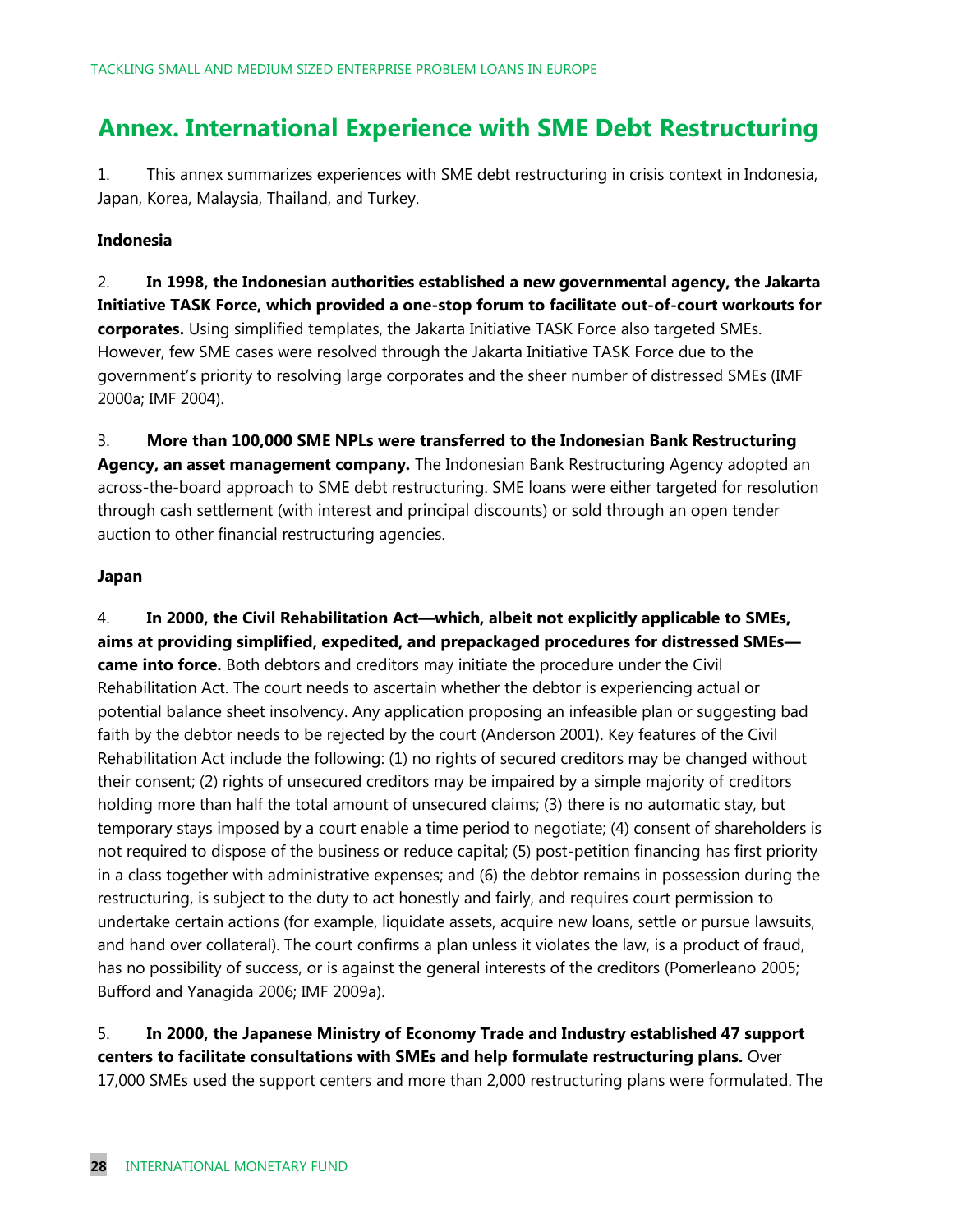### **Annex. International Experience with SME Debt Restructuring**

1. This annex summarizes experiences with SME debt restructuring in crisis context in Indonesia, Japan, Korea, Malaysia, Thailand, and Turkey.

#### **Indonesia**

2. **In 1998, the Indonesian authorities established a new governmental agency, the Jakarta Initiative TASK Force, which provided a one-stop forum to facilitate out-of-court workouts for corporates.** Using simplified templates, the Jakarta Initiative TASK Force also targeted SMEs. However, few SME cases were resolved through the Jakarta Initiative TASK Force due to the government's priority to resolving large corporates and the sheer number of distressed SMEs (IMF 2000a; IMF 2004).

3. **More than 100,000 SME NPLs were transferred to the Indonesian Bank Restructuring Agency, an asset management company.** The Indonesian Bank Restructuring Agency adopted an across-the-board approach to SME debt restructuring. SME loans were either targeted for resolution through cash settlement (with interest and principal discounts) or sold through an open tender auction to other financial restructuring agencies.

#### **Japan**

4. **In 2000, the Civil Rehabilitation Act—which, albeit not explicitly applicable to SMEs, aims at providing simplified, expedited, and prepackaged procedures for distressed SMEs came into force.** Both debtors and creditors may initiate the procedure under the Civil Rehabilitation Act. The court needs to ascertain whether the debtor is experiencing actual or potential balance sheet insolvency. Any application proposing an infeasible plan or suggesting bad faith by the debtor needs to be rejected by the court (Anderson 2001). Key features of the Civil Rehabilitation Act include the following: (1) no rights of secured creditors may be changed without their consent; (2) rights of unsecured creditors may be impaired by a simple majority of creditors holding more than half the total amount of unsecured claims; (3) there is no automatic stay, but temporary stays imposed by a court enable a time period to negotiate; (4) consent of shareholders is not required to dispose of the business or reduce capital; (5) post-petition financing has first priority in a class together with administrative expenses; and (6) the debtor remains in possession during the restructuring, is subject to the duty to act honestly and fairly, and requires court permission to undertake certain actions (for example, liquidate assets, acquire new loans, settle or pursue lawsuits, and hand over collateral). The court confirms a plan unless it violates the law, is a product of fraud, has no possibility of success, or is against the general interests of the creditors (Pomerleano 2005; Bufford and Yanagida 2006; IMF 2009a).

#### 5. **In 2000, the Japanese Ministry of Economy Trade and Industry established 47 support centers to facilitate consultations with SMEs and help formulate restructuring plans.** Over 17,000 SMEs used the support centers and more than 2,000 restructuring plans were formulated. The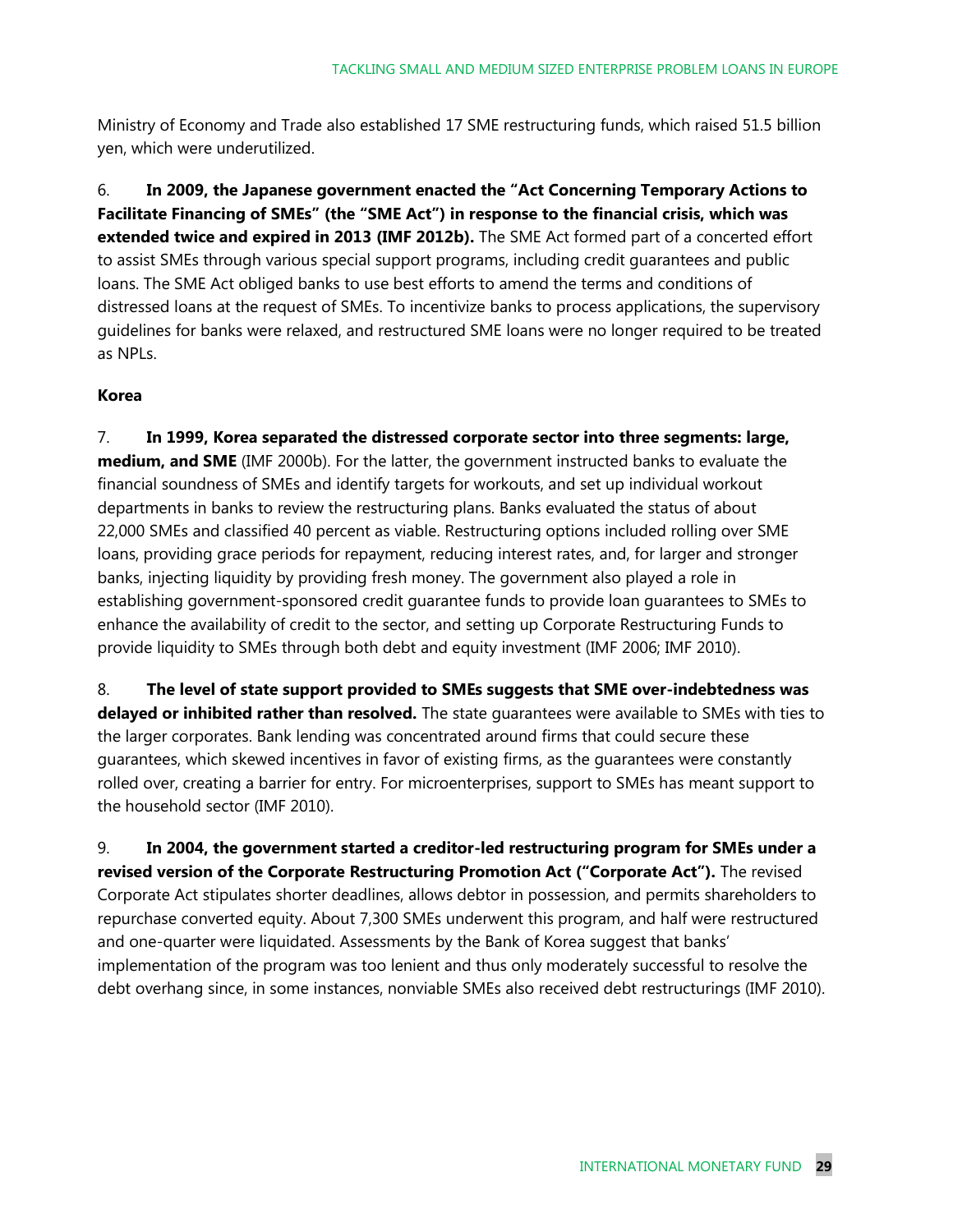Ministry of Economy and Trade also established 17 SME restructuring funds, which raised 51.5 billion yen, which were underutilized.

6. **In 2009, the Japanese government enacted the "Act Concerning Temporary Actions to Facilitate Financing of SMEs" (the "SME Act") in response to the financial crisis, which was extended twice and expired in 2013 (IMF 2012b).** The SME Act formed part of a concerted effort to assist SMEs through various special support programs, including credit guarantees and public loans. The SME Act obliged banks to use best efforts to amend the terms and conditions of distressed loans at the request of SMEs. To incentivize banks to process applications, the supervisory guidelines for banks were relaxed, and restructured SME loans were no longer required to be treated as NPLs.

#### **Korea**

7. **In 1999, Korea separated the distressed corporate sector into three segments: large, medium, and SME** (IMF 2000b). For the latter, the government instructed banks to evaluate the financial soundness of SMEs and identify targets for workouts, and set up individual workout departments in banks to review the restructuring plans. Banks evaluated the status of about 22,000 SMEs and classified 40 percent as viable. Restructuring options included rolling over SME loans, providing grace periods for repayment, reducing interest rates, and, for larger and stronger banks, injecting liquidity by providing fresh money. The government also played a role in establishing government-sponsored credit guarantee funds to provide loan guarantees to SMEs to enhance the availability of credit to the sector, and setting up Corporate Restructuring Funds to provide liquidity to SMEs through both debt and equity investment (IMF 2006; IMF 2010).

8. **The level of state support provided to SMEs suggests that SME over-indebtedness was delayed or inhibited rather than resolved.** The state guarantees were available to SMEs with ties to the larger corporates. Bank lending was concentrated around firms that could secure these guarantees, which skewed incentives in favor of existing firms, as the guarantees were constantly rolled over, creating a barrier for entry. For microenterprises, support to SMEs has meant support to the household sector (IMF 2010).

9. **In 2004, the government started a creditor-led restructuring program for SMEs under a revised version of the Corporate Restructuring Promotion Act ("Corporate Act").** The revised Corporate Act stipulates shorter deadlines, allows debtor in possession, and permits shareholders to repurchase converted equity. About 7,300 SMEs underwent this program, and half were restructured and one-quarter were liquidated. Assessments by the Bank of Korea suggest that banks' implementation of the program was too lenient and thus only moderately successful to resolve the debt overhang since, in some instances, nonviable SMEs also received debt restructurings (IMF 2010).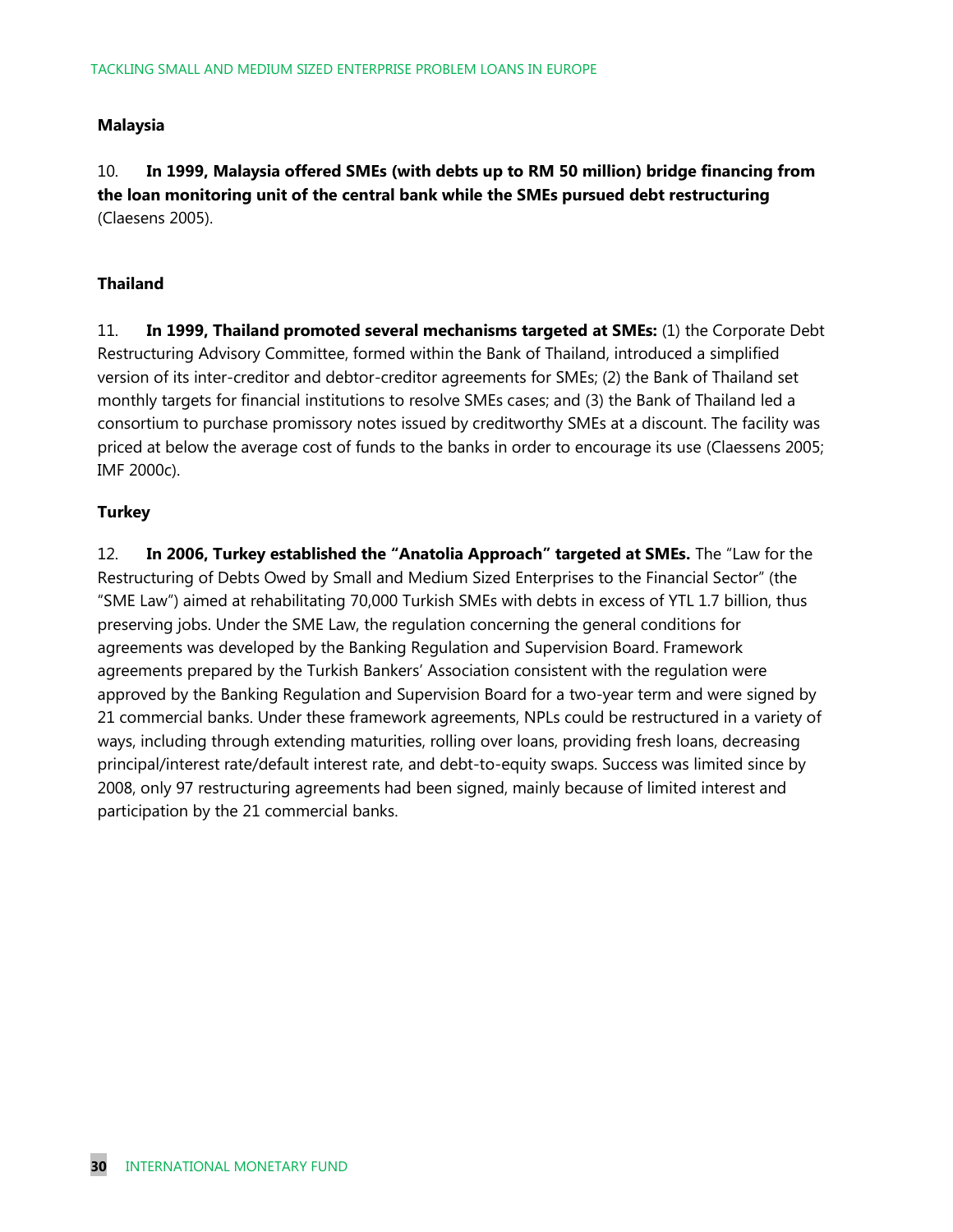#### **Malaysia**

10. **In 1999, Malaysia offered SMEs (with debts up to RM 50 million) bridge financing from the loan monitoring unit of the central bank while the SMEs pursued debt restructuring** (Claesens 2005).

#### **Thailand**

11. **In 1999, Thailand promoted several mechanisms targeted at SMEs:** (1) the Corporate Debt Restructuring Advisory Committee, formed within the Bank of Thailand, introduced a simplified version of its inter-creditor and debtor-creditor agreements for SMEs; (2) the Bank of Thailand set monthly targets for financial institutions to resolve SMEs cases; and (3) the Bank of Thailand led a consortium to purchase promissory notes issued by creditworthy SMEs at a discount. The facility was priced at below the average cost of funds to the banks in order to encourage its use (Claessens 2005; IMF 2000c).

#### **Turkey**

12. **In 2006, Turkey established the "Anatolia Approach" targeted at SMEs.** The "Law for the Restructuring of Debts Owed by Small and Medium Sized Enterprises to the Financial Sector" (the "SME Law") aimed at rehabilitating 70,000 Turkish SMEs with debts in excess of YTL 1.7 billion, thus preserving jobs. Under the SME Law, the regulation concerning the general conditions for agreements was developed by the Banking Regulation and Supervision Board. Framework agreements prepared by the Turkish Bankers' Association consistent with the regulation were approved by the Banking Regulation and Supervision Board for a two-year term and were signed by 21 commercial banks. Under these framework agreements, NPLs could be restructured in a variety of ways, including through extending maturities, rolling over loans, providing fresh loans, decreasing principal/interest rate/default interest rate, and debt-to-equity swaps. Success was limited since by 2008, only 97 restructuring agreements had been signed, mainly because of limited interest and participation by the 21 commercial banks.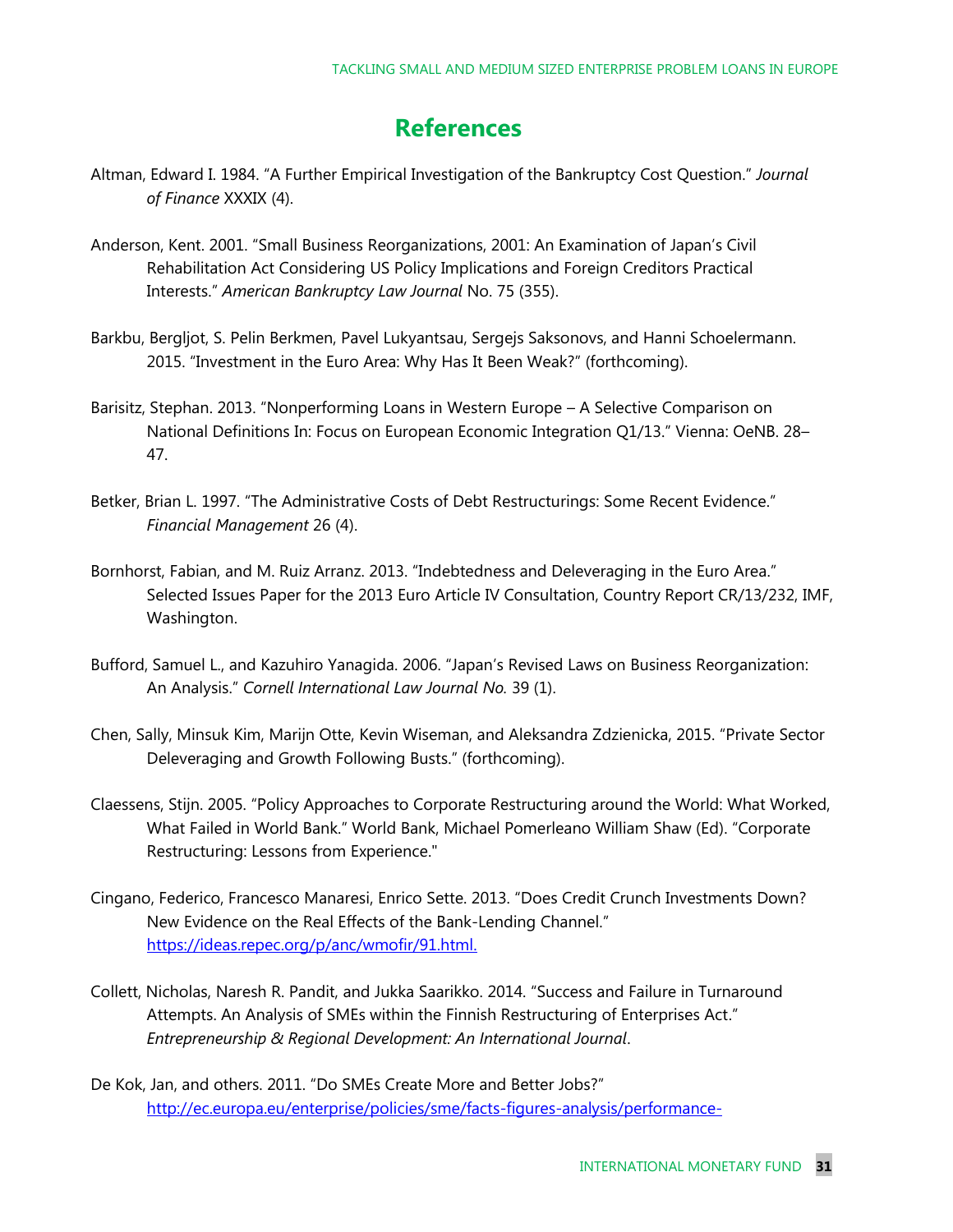### **References**

- Altman, Edward I. 1984. "A Further Empirical Investigation of the Bankruptcy Cost Question." *Journal of Finance* XXXIX (4).
- Anderson, Kent. 2001. "Small Business Reorganizations, 2001: An Examination of Japan's Civil Rehabilitation Act Considering US Policy Implications and Foreign Creditors Practical Interests." *American Bankruptcy Law Journal* No. 75 (355).
- Barkbu, Bergljot, S. Pelin Berkmen, Pavel Lukyantsau, Sergejs Saksonovs, and Hanni Schoelermann. 2015. "Investment in the Euro Area: Why Has It Been Weak?" (forthcoming).
- Barisitz, Stephan. 2013. "Nonperforming Loans in Western Europe A Selective Comparison on National Definitions In: Focus on European Economic Integration Q1/13." Vienna: OeNB. 28– 47.
- Betker, Brian L. 1997. "The Administrative Costs of Debt Restructurings: Some Recent Evidence." *Financial Management* 26 (4).
- Bornhorst, Fabian, and M. Ruiz Arranz. 2013. "Indebtedness and Deleveraging in the Euro Area." Selected Issues Paper for the 2013 Euro Article IV Consultation, Country Report CR/13/232, IMF, Washington.
- Bufford, Samuel L., and Kazuhiro Yanagida. 2006. "Japan's Revised Laws on Business Reorganization: An Analysis." *Cornell International Law Journal No.* 39 (1).
- Chen, Sally, Minsuk Kim, Marijn Otte, Kevin Wiseman, and Aleksandra Zdzienicka, 2015. "Private Sector Deleveraging and Growth Following Busts." (forthcoming).
- Claessens, Stijn. 2005. "Policy Approaches to Corporate Restructuring around the World: What Worked, What Failed in World Bank." World Bank, Michael Pomerleano William Shaw (Ed). "Corporate Restructuring: Lessons from Experience."
- Cingano, Federico, Francesco Manaresi, Enrico Sette. 2013. "Does Credit Crunch Investments Down? New Evidence on the Real Effects of the Bank-Lending Channel." [https://ideas.repec.org/p/anc/wmofir/91.html.](https://ideas.repec.org/p/anc/wmofir/91.html)
- Collett, Nicholas, Naresh R. Pandit, and Jukka Saarikko. 2014. "Success and Failure in Turnaround Attempts. An Analysis of SMEs within the Finnish Restructuring of Enterprises Act." *Entrepreneurship & Regional Development: An International Journal*.
- De Kok, Jan, and others. 2011. "Do SMEs Create More and Better Jobs?" [http://ec.europa.eu/enterprise/policies/sme/facts-figures-analysis/performance-](http://ec.europa.eu/enterprise/policies/sme/facts-figures-analysis/performance-review/files/supporting-documents/2012/do-smes-create-more-and-better-jobs_en.pdf)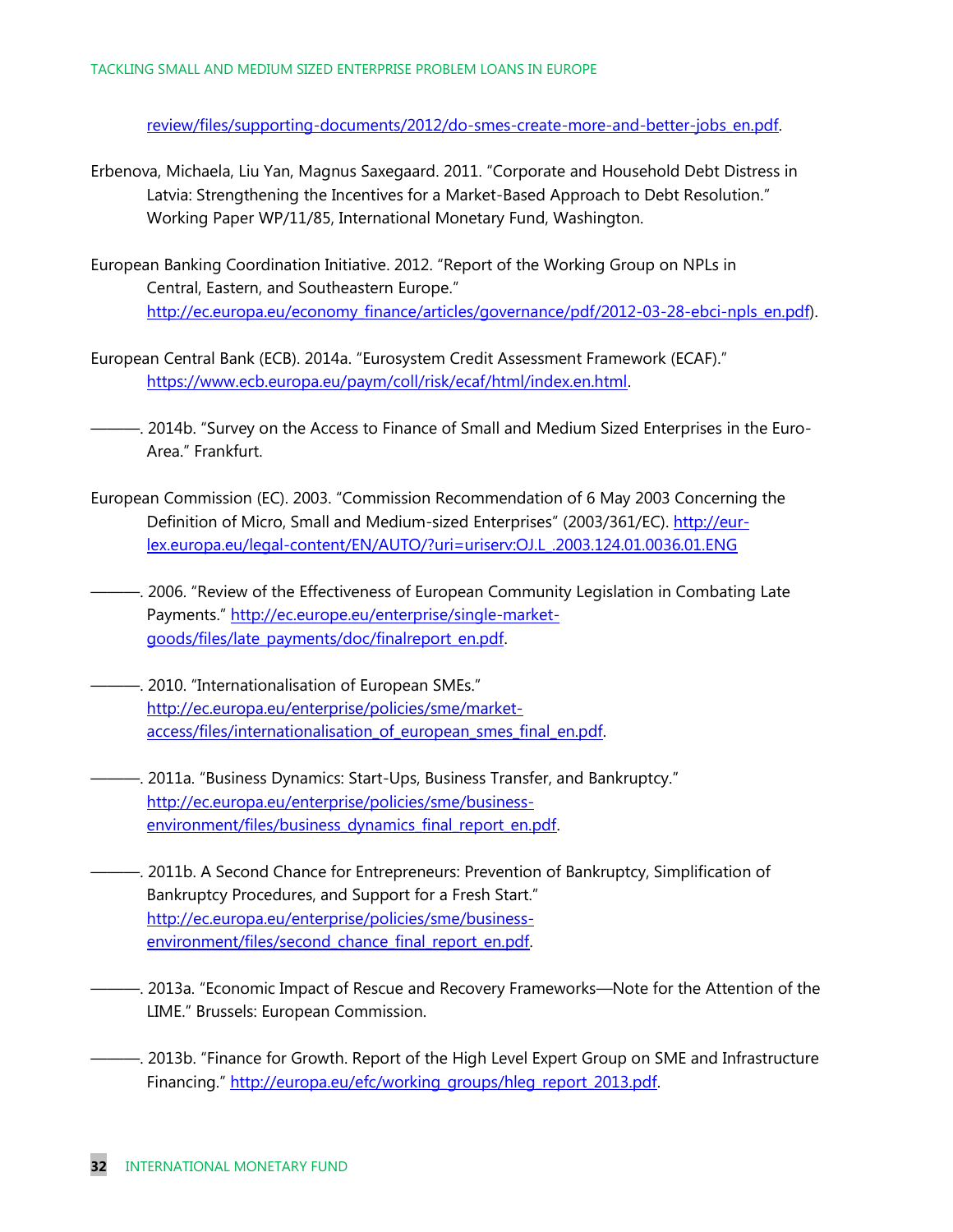review/files/supporting-documents/2012/do-smes-create-more-and-better-jobs\_en.pdf.

- Erbenova, Michaela, Liu Yan, Magnus Saxegaard. 2011. "Corporate and Household Debt Distress in Latvia: Strengthening the Incentives for a Market-Based Approach to Debt Resolution." Working Paper WP/11/85, International Monetary Fund, Washington.
- European Banking Coordination Initiative. 2012. "Report of the Working Group on NPLs in Central, Eastern, and Southeastern Europe." [http://ec.europa.eu/economy\\_finance/articles/governance/pdf/2012-03-28-ebci-npls\\_en.pdf\)](http://ec.europa.eu/economy_finance/articles/governance/pdf/2012-03-28-ebci-npls_en.pdf).
- European Central Bank (ECB). 2014a. "Eurosystem Credit Assessment Framework (ECAF)." [https://www.ecb.europa.eu/paym/coll/risk/ecaf/html/index.en.html.](https://www.ecb.europa.eu/paym/coll/risk/ecaf/html/index.en.html)
- ———. 2014b. "Survey on the Access to Finance of Small and Medium Sized Enterprises in the Euro-Area." Frankfurt.
- European Commission (EC). 2003. "Commission Recommendation of 6 May 2003 Concerning the Definition of Micro, Small and Medium-sized Enterprises" (2003/361/EC). [http://eur](http://eur-lex.europa.eu/legal-content/EN/AUTO/?uri=uriserv:OJ.L_.2003.124.01.0036.01.ENG)[lex.europa.eu/legal-content/EN/AUTO/?uri=uriserv:OJ.L\\_.2003.124.01.0036.01.ENG](http://eur-lex.europa.eu/legal-content/EN/AUTO/?uri=uriserv:OJ.L_.2003.124.01.0036.01.ENG)
- ———. 2006. "Review of the Effectiveness of European Community Legislation in Combating Late Payments." [http://ec.europe.eu/enterprise/single-market](http://ec.europe.eu/enterprise/single-market-goods/files/late_payments/doc/finalreport_en.pdf)[goods/files/late\\_payments/doc/finalreport\\_en.pdf.](http://ec.europe.eu/enterprise/single-market-goods/files/late_payments/doc/finalreport_en.pdf)
- ———. 2010. "Internationalisation of European SMEs." [http://ec.europa.eu/enterprise/policies/sme/market](http://ec.europa.eu/enterprise/policies/sme/market-access/files/internationalisation_of_european_smes_final_en.pdf)access/files/internationalisation of european smes final en.pdf.
- ———. 2011a. "Business Dynamics: Start-Ups, Business Transfer, and Bankruptcy." [http://ec.europa.eu/enterprise/policies/sme/business](http://ec.europa.eu/enterprise/policies/sme/business-environment/files/business_dynamics_final_report_en.pdf)environment/files/business dynamics final report en.pdf.
- ———. 2011b. A Second Chance for Entrepreneurs: Prevention of Bankruptcy, Simplification of Bankruptcy Procedures, and Support for a Fresh Start." [http://ec.europa.eu/enterprise/policies/sme/business](http://ec.europa.eu/enterprise/policies/sme/business-environment/files/second_chance_final_report_en.pdf)[environment/files/second\\_chance\\_final\\_report\\_en.pdf.](http://ec.europa.eu/enterprise/policies/sme/business-environment/files/second_chance_final_report_en.pdf)
- ———. 2013a. "Economic Impact of Rescue and Recovery Frameworks—Note for the Attention of the LIME." Brussels: European Commission.
- ———. 2013b. "Finance for Growth. Report of the High Level Expert Group on SME and Infrastructure Financing." [http://europa.eu/efc/working\\_groups/hleg\\_report\\_2013.pdf.](http://europa.eu/efc/working_groups/hleg_report_2013.pdf)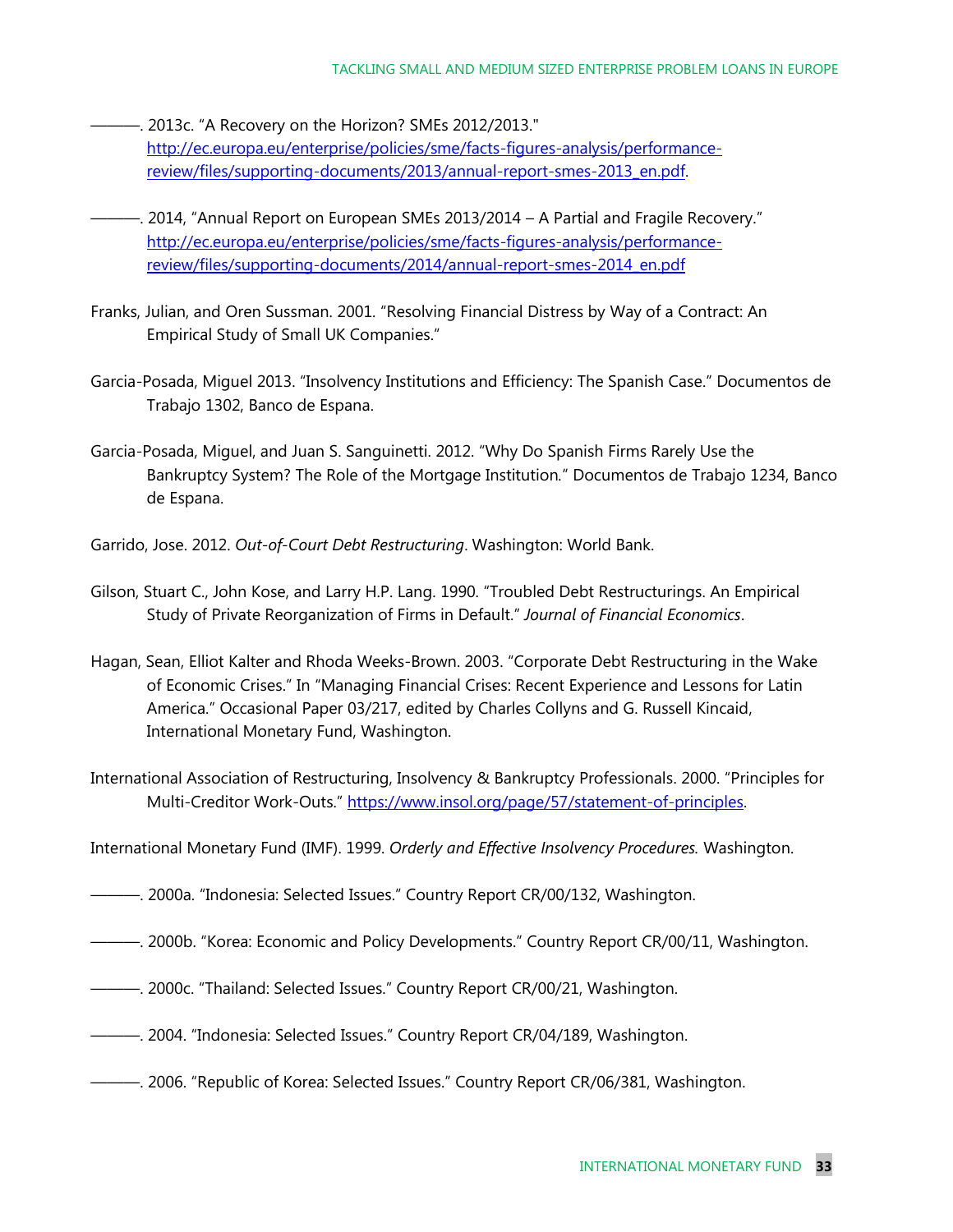- ———. 2013c. "A Recovery on the Horizon? SMEs 2012/2013." [http://ec.europa.eu/enterprise/policies/sme/facts-figures-analysis/performance](http://ec.europa.eu/enterprise/policies/sme/facts-figures-analysis/performance-review/files/supporting-documents/2013/annual-report-smes-2013_en.pdf)[review/files/supporting-documents/2013/annual-report-smes-2013\\_en.pdf.](http://ec.europa.eu/enterprise/policies/sme/facts-figures-analysis/performance-review/files/supporting-documents/2013/annual-report-smes-2013_en.pdf)
- ———. 2014, "Annual Report on European SMEs 2013/2014 A Partial and Fragile Recovery." [http://ec.europa.eu/enterprise/policies/sme/facts-figures-analysis/performance](http://ec.europa.eu/enterprise/policies/sme/facts-figures-analysis/performance-review/files/supporting-documents/2014/annual-report-smes-2014_en.pdf)[review/files/supporting-documents/2014/annual-report-smes-2014\\_en.pdf](http://ec.europa.eu/enterprise/policies/sme/facts-figures-analysis/performance-review/files/supporting-documents/2014/annual-report-smes-2014_en.pdf)
- Franks, Julian, and Oren Sussman. 2001. "Resolving Financial Distress by Way of a Contract: An Empirical Study of Small UK Companies."
- Garcia-Posada, Miguel 2013. "Insolvency Institutions and Efficiency: The Spanish Case." Documentos de Trabajo 1302, Banco de Espana.
- Garcia-Posada, Miguel, and Juan S. Sanguinetti. 2012. "Why Do Spanish Firms Rarely Use the Bankruptcy System? The Role of the Mortgage Institution*.*" Documentos de Trabajo 1234, Banco de Espana.
- Garrido, Jose. 2012. *Out-of-Court Debt Restructuring*. Washington: World Bank.
- Gilson, Stuart C., John Kose, and Larry H.P. Lang. 1990. "Troubled Debt Restructurings. An Empirical Study of Private Reorganization of Firms in Default." *Journal of Financial Economics*.
- Hagan, Sean, Elliot Kalter and Rhoda Weeks-Brown. 2003. "Corporate Debt Restructuring in the Wake of Economic Crises." In "Managing Financial Crises: Recent Experience and Lessons for Latin America." Occasional Paper 03/217, edited by Charles Collyns and G. Russell Kincaid, International Monetary Fund, Washington.
- International Association of Restructuring, Insolvency & Bankruptcy Professionals. 2000. "Principles for Multi-Creditor Work-Outs." [https://www.insol.org/page/57/statement-of-principles.](https://www.insol.org/page/57/statement-of-principles)
- International Monetary Fund (IMF). 1999. *Orderly and Effective Insolvency Procedures.* Washington.
- ———. 2000a. "Indonesia: Selected Issues." Country Report CR/00/132, Washington.
- ———. 2000b. "Korea: Economic and Policy Developments." Country Report CR/00/11, Washington.
- ———. 2000c. "Thailand: Selected Issues." Country Report CR/00/21, Washington.
- ———. 2004. "Indonesia: Selected Issues." Country Report CR/04/189, Washington.
- ———. 2006. "Republic of Korea: Selected Issues." Country Report CR/06/381, Washington.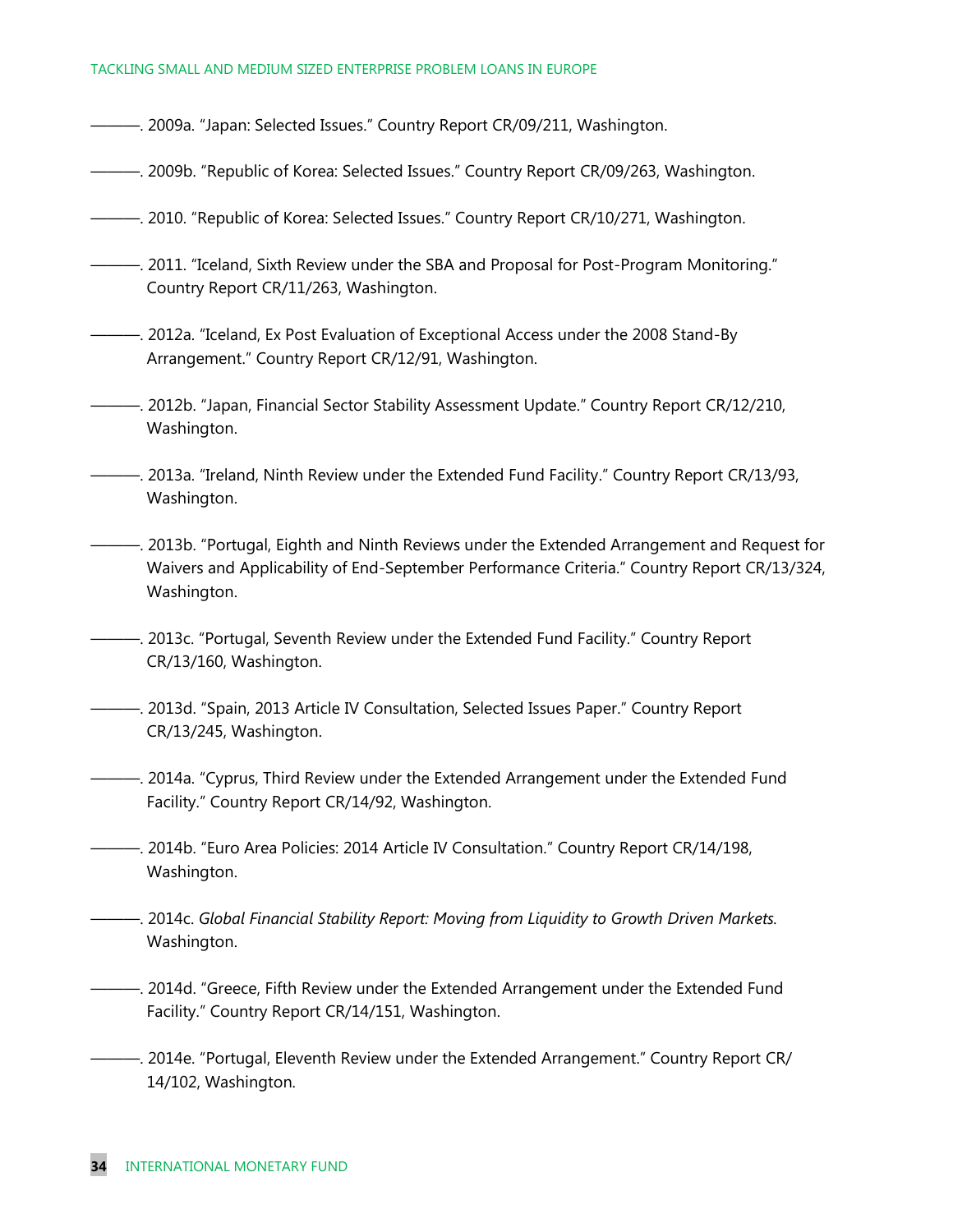#### TACKLING SMALL AND MEDIUM SIZED ENTERPRISE PROBLEM LOANS IN EUROPE

- ———. 2009a. "Japan: Selected Issues." Country Report CR/09/211, Washington.
- ———. 2009b. "Republic of Korea: Selected Issues." Country Report CR/09/263, Washington.
- ———. 2010. "Republic of Korea: Selected Issues." Country Report CR/10/271, Washington.
- ———. 2011. "Iceland, Sixth Review under the SBA and Proposal for Post-Program Monitoring." Country Report CR/11/263, Washington.
- ———. 2012a. "Iceland, Ex Post Evaluation of Exceptional Access under the 2008 Stand-By Arrangement." Country Report CR/12/91, Washington.
- ———. 2012b. "Japan, Financial Sector Stability Assessment Update." Country Report CR/12/210, Washington.
- ———. 2013a. "Ireland, Ninth Review under the Extended Fund Facility." Country Report CR/13/93, Washington.
- ———. 2013b. "Portugal, Eighth and Ninth Reviews under the Extended Arrangement and Request for Waivers and Applicability of End-September Performance Criteria." Country Report CR/13/324, Washington.
- ———. 2013c. "Portugal, Seventh Review under the Extended Fund Facility." Country Report CR/13/160, Washington.
- ———. 2013d. "Spain, 2013 Article IV Consultation, Selected Issues Paper." Country Report CR/13/245, Washington.
- ———. 2014a. "Cyprus, Third Review under the Extended Arrangement under the Extended Fund Facility." Country Report CR/14/92, Washington.
- ———. 2014b. "Euro Area Policies: 2014 Article IV Consultation." Country Report CR/14/198, Washington.
- ———. 2014c. *Global Financial Stability Report: Moving from Liquidity to Growth Driven Markets.* Washington.
- ———. 2014d. "Greece, Fifth Review under the Extended Arrangement under the Extended Fund Facility." Country Report CR/14/151, Washington.
- ———. 2014e. "Portugal, Eleventh Review under the Extended Arrangement." Country Report CR/ 14/102, Washington.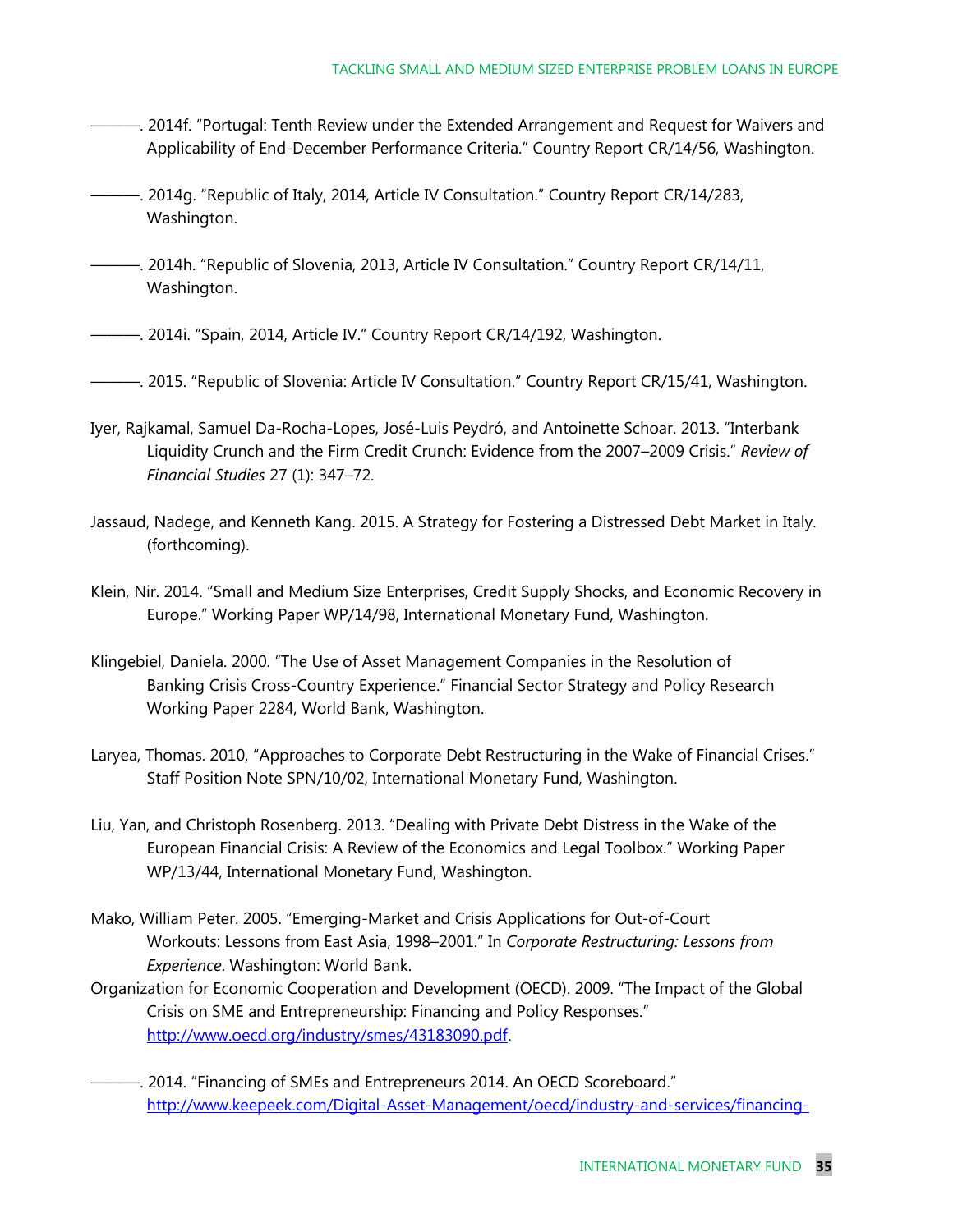- ———. 2014f. "Portugal: Tenth Review under the Extended Arrangement and Request for Waivers and Applicability of End-December Performance Criteria." Country Report CR/14/56, Washington.
- ———. 2014g. "Republic of Italy, 2014, Article IV Consultation." Country Report CR/14/283, Washington.
- ———. 2014h. "Republic of Slovenia, 2013, Article IV Consultation." Country Report CR/14/11, Washington.
- ———. 2014i. "Spain, 2014, Article IV." Country Report CR/14/192, Washington.
- ———. 2015. "Republic of Slovenia: Article IV Consultation." Country Report CR/15/41, Washington.
- Iyer, Rajkamal, Samuel [Da-Rocha-Lopes,](http://repositori.upf.edu/browse?value=Da-Rocha-Lopes,%20Samuel&type=author%09%09%09%09%09%09%09%09%09%09%20%20%20%20%20%20%20%20) José-Luis [Peydró, a](http://repositori.upf.edu/browse?value=Peydró,%20José-Luis&type=author%09%09%09%09%09%09%09%09%09%09%20%20%20%20%20%20%20%20)nd Antoinett[e Schoar.](http://repositori.upf.edu/browse?value=Schoar,%20Antoinette&type=author%09%09%09%09%09%09%09%09%09%09%20%20%20%20%20%20%20%20) 2013. "Interbank Liquidity Crunch and the Firm Credit Crunch: Evidence from the 2007–2009 Crisis." *Review of Financial Studies* 27 (1): 347–72.
- Jassaud, Nadege, and Kenneth Kang. 2015. A Strategy for Fostering a Distressed Debt Market in Italy. (forthcoming).
- Klein, Nir. 2014. "Small and Medium Size Enterprises, Credit Supply Shocks, and Economic Recovery in Europe." Working Paper WP/14/98, International Monetary Fund, Washington.
- Klingebiel, Daniela. 2000. "The Use of Asset Management Companies in the Resolution of Banking Crisis Cross-Country Experience." Financial Sector Strategy and Policy Research Working Paper 2284, World Bank, Washington.
- Laryea, Thomas. 2010, "Approaches to Corporate Debt Restructuring in the Wake of Financial Crises." Staff Position Note SPN/10/02, International Monetary Fund, Washington.
- Liu, Yan, and Christoph Rosenberg. 2013. "Dealing with Private Debt Distress in the Wake of the European Financial Crisis: A Review of the Economics and Legal Toolbox." Working Paper WP/13/44, International Monetary Fund, Washington.
- Mako, William Peter. 2005. "Emerging-Market and Crisis Applications for Out-of-Court Workouts: Lessons from East Asia, 1998–2001." In *Corporate Restructuring: Lessons from Experience*. Washington: World Bank.
- Organization for Economic Cooperation and Development (OECD). 2009. "The Impact of the Global Crisis on SME and Entrepreneurship: Financing and Policy Responses." [http://www.oecd.org/industry/smes/43183090.pdf.](http://www.oecd.org/industry/smes/43183090.pdf)
- -. 2014. "Financing of SMEs and Entrepreneurs 2014. An OECD Scoreboard." [http://www.keepeek.com/Digital-Asset-Management/oecd/industry-and-services/financing-](http://www.keepeek.com/Digital-Asset-Management/oecd/industry-and-services/financing-smes-and-entrepreneurs-2014_fin_sme_ent-2014-en#page1)